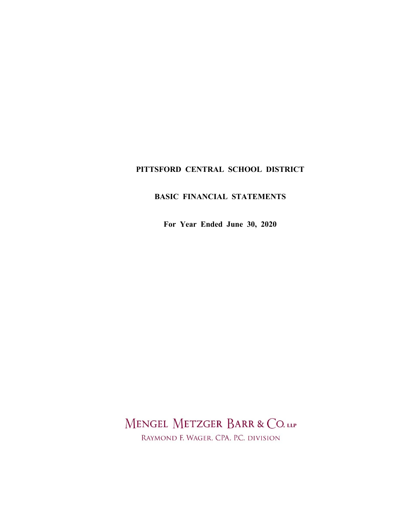### **PITTSFORD CENTRAL SCHOOL DISTRICT**

### **BASIC FINANCIAL STATEMENTS**

**For Year Ended June 30, 2020**

MENGEL METZGER BARR & CO. LLP RAYMOND F. WAGER, CPA, P.C. DIVISION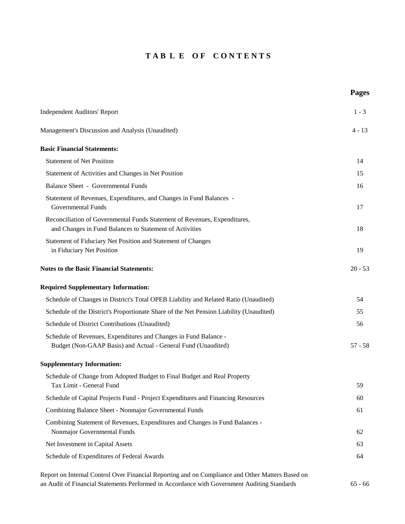### **T A B L E O F C O N T E N T S**

**Pages**

| <b>Independent Auditors' Report</b>                                                                                                  | $1 - 3$   |
|--------------------------------------------------------------------------------------------------------------------------------------|-----------|
| Management's Discussion and Analysis (Unaudited)                                                                                     | $4 - 13$  |
| <b>Basic Financial Statements:</b>                                                                                                   |           |
| <b>Statement of Net Position</b>                                                                                                     | 14        |
| Statement of Activities and Changes in Net Position                                                                                  | 15        |
| <b>Balance Sheet - Governmental Funds</b>                                                                                            | 16        |
| Statement of Revenues, Expenditures, and Changes in Fund Balances -<br><b>Governmental Funds</b>                                     | 17        |
| Reconciliation of Governmental Funds Statement of Revenues, Expenditures,<br>and Changes in Fund Balances to Statement of Activities | 18        |
| Statement of Fiduciary Net Position and Statement of Changes<br>in Fiduciary Net Position                                            | 19        |
| <b>Notes to the Basic Financial Statements:</b>                                                                                      | $20 - 53$ |
| <b>Required Supplementary Information:</b>                                                                                           |           |
| Schedule of Changes in District's Total OPEB Liability and Related Ratio (Unaudited)                                                 | 54        |
| Schedule of the District's Proportionate Share of the Net Pension Liability (Unaudited)                                              | 55        |
| Schedule of District Contributions (Unaudited)                                                                                       | 56        |
| Schedule of Revenues, Expenditures and Changes in Fund Balance -<br>Budget (Non-GAAP Basis) and Actual - General Fund (Unaudited)    | $57 - 58$ |
| <b>Supplementary Information:</b>                                                                                                    |           |
| Schedule of Change from Adopted Budget to Final Budget and Real Property<br>Tax Limit - General Fund                                 | 59        |
| Schedule of Capital Projects Fund - Project Expenditures and Financing Resources                                                     | 60        |
| Combining Balance Sheet - Nonmajor Governmental Funds                                                                                | 61        |
| Combining Statement of Revenues, Expenditures and Changes in Fund Balances -<br>Nonmajor Governmental Funds                          | 62        |
| Net Investment in Capital Assets                                                                                                     | 63        |
| Schedule of Expenditures of Federal Awards                                                                                           | 64        |
| Report on Internal Control Over Financial Reporting and on Compliance and Other Matters Based on                                     |           |

an Audit of Financial Statements Performed in Accordance with Government Auditing Standards 65 - 66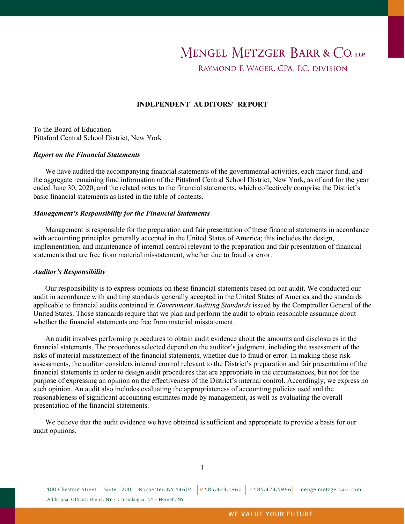# MENGEL METZGER BARR & CO. LLP

Raymond F. Wager, CPA, P.C. division

#### **INDEPENDENT AUDITORS' REPORT**

To the Board of Education Pittsford Central School District, New York

#### *Report on the Financial Statements*

We have audited the accompanying financial statements of the governmental activities, each major fund, and the aggregate remaining fund information of the Pittsford Central School District, New York, as of and for the year ended June 30, 2020, and the related notes to the financial statements, which collectively comprise the District's basic financial statements as listed in the table of contents.

#### *Management's Responsibility for the Financial Statements*

Management is responsible for the preparation and fair presentation of these financial statements in accordance with accounting principles generally accepted in the United States of America; this includes the design, implementation, and maintenance of internal control relevant to the preparation and fair presentation of financial statements that are free from material misstatement, whether due to fraud or error.

#### *Auditor's Responsibility*

Our responsibility is to express opinions on these financial statements based on our audit. We conducted our audit in accordance with auditing standards generally accepted in the United States of America and the standards applicable to financial audits contained in *Government Auditing Standards* issued by the Comptroller General of the United States. Those standards require that we plan and perform the audit to obtain reasonable assurance about whether the financial statements are free from material misstatement.

An audit involves performing procedures to obtain audit evidence about the amounts and disclosures in the financial statements. The procedures selected depend on the auditor's judgment, including the assessment of the risks of material misstatement of the financial statements, whether due to fraud or error. In making those risk assessments, the auditor considers internal control relevant to the District's preparation and fair presentation of the financial statements in order to design audit procedures that are appropriate in the circumstances, but not for the purpose of expressing an opinion on the effectiveness of the District's internal control. Accordingly, we express no such opinion. An audit also includes evaluating the appropriateness of accounting policies used and the reasonableness of significant accounting estimates made by management, as well as evaluating the overall presentation of the financial statements.

We believe that the audit evidence we have obtained is sufficient and appropriate to provide a basis for our audit opinions.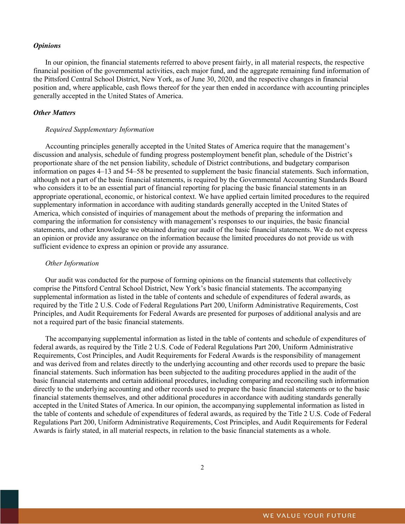#### *Opinions*

In our opinion, the financial statements referred to above present fairly, in all material respects, the respective financial position of the governmental activities, each major fund, and the aggregate remaining fund information of the Pittsford Central School District, New York, as of June 30, 2020, and the respective changes in financial position and, where applicable, cash flows thereof for the year then ended in accordance with accounting principles generally accepted in the United States of America.

#### *Other Matters*

#### *Required Supplementary Information*

Accounting principles generally accepted in the United States of America require that the management's discussion and analysis, schedule of funding progress postemployment benefit plan, schedule of the District's proportionate share of the net pension liability, schedule of District contributions, and budgetary comparison information on pages 4–13 and 54–58 be presented to supplement the basic financial statements. Such information, although not a part of the basic financial statements, is required by the Governmental Accounting Standards Board who considers it to be an essential part of financial reporting for placing the basic financial statements in an appropriate operational, economic, or historical context. We have applied certain limited procedures to the required supplementary information in accordance with auditing standards generally accepted in the United States of America, which consisted of inquiries of management about the methods of preparing the information and comparing the information for consistency with management's responses to our inquiries, the basic financial statements, and other knowledge we obtained during our audit of the basic financial statements. We do not express an opinion or provide any assurance on the information because the limited procedures do not provide us with sufficient evidence to express an opinion or provide any assurance.

#### *Other Information*

Our audit was conducted for the purpose of forming opinions on the financial statements that collectively comprise the Pittsford Central School District, New York's basic financial statements. The accompanying supplemental information as listed in the table of contents and schedule of expenditures of federal awards, as required by the Title 2 U.S. Code of Federal Regulations Part 200, Uniform Administrative Requirements, Cost Principles, and Audit Requirements for Federal Awards are presented for purposes of additional analysis and are not a required part of the basic financial statements.

The accompanying supplemental information as listed in the table of contents and schedule of expenditures of federal awards, as required by the Title 2 U.S. Code of Federal Regulations Part 200, Uniform Administrative Requirements, Cost Principles, and Audit Requirements for Federal Awards is the responsibility of management and was derived from and relates directly to the underlying accounting and other records used to prepare the basic financial statements. Such information has been subjected to the auditing procedures applied in the audit of the basic financial statements and certain additional procedures, including comparing and reconciling such information directly to the underlying accounting and other records used to prepare the basic financial statements or to the basic financial statements themselves, and other additional procedures in accordance with auditing standards generally accepted in the United States of America. In our opinion, the accompanying supplemental information as listed in the table of contents and schedule of expenditures of federal awards, as required by the Title 2 U.S. Code of Federal Regulations Part 200, Uniform Administrative Requirements, Cost Principles, and Audit Requirements for Federal Awards is fairly stated, in all material respects, in relation to the basic financial statements as a whole.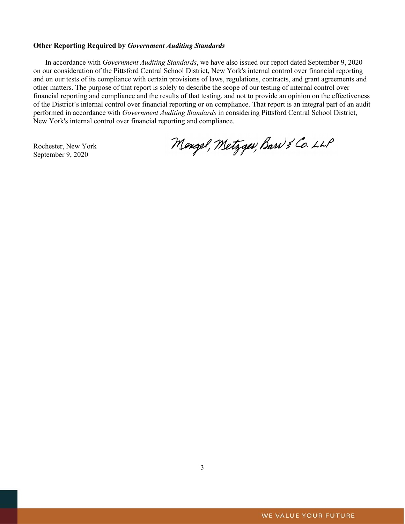#### **Other Reporting Required by** *Government Auditing Standards*

In accordance with *Government Auditing Standards*, we have also issued our report dated September 9, 2020 on our consideration of the Pittsford Central School District, New York's internal control over financial reporting and on our tests of its compliance with certain provisions of laws, regulations, contracts, and grant agreements and other matters. The purpose of that report is solely to describe the scope of our testing of internal control over financial reporting and compliance and the results of that testing, and not to provide an opinion on the effectiveness of the District's internal control over financial reporting or on compliance. That report is an integral part of an audit performed in accordance with *Government Auditing Standards* in considering Pittsford Central School District, New York's internal control over financial reporting and compliance.

Rochester, New York September 9, 2020

Mengel, Metzger, Barr) & Co. LLP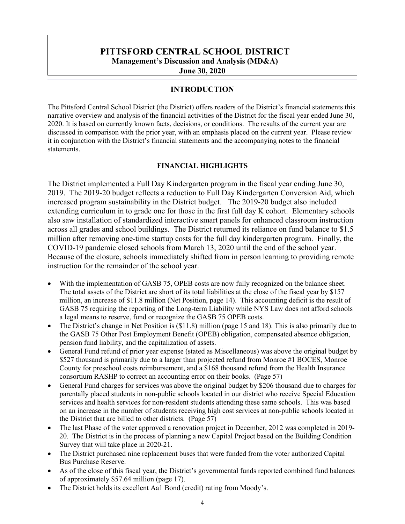### **PITTSFORD CENTRAL SCHOOL DISTRICT**

**Management's Discussion and Analysis (MD&A)**

**June 30, 2020**

#### **INTRODUCTION**

The Pittsford Central School District (the District) offers readers of the District's financial statements this narrative overview and analysis of the financial activities of the District for the fiscal year ended June 30, 2020. It is based on currently known facts, decisions, or conditions. The results of the current year are discussed in comparison with the prior year, with an emphasis placed on the current year. Please review it in conjunction with the District's financial statements and the accompanying notes to the financial statements.

#### **FINANCIAL HIGHLIGHTS**

The District implemented a Full Day Kindergarten program in the fiscal year ending June 30, 2019. The 2019-20 budget reflects a reduction to Full Day Kindergarten Conversion Aid, which increased program sustainability in the District budget. The 2019-20 budget also included extending curriculum in to grade one for those in the first full day K cohort. Elementary schools also saw installation of standardized interactive smart panels for enhanced classroom instruction across all grades and school buildings. The District returned its reliance on fund balance to \$1.5 million after removing one-time startup costs for the full day kindergarten program. Finally, the COVID-19 pandemic closed schools from March 13, 2020 until the end of the school year. Because of the closure, schools immediately shifted from in person learning to providing remote instruction for the remainder of the school year.

- With the implementation of GASB 75, OPEB costs are now fully recognized on the balance sheet. The total assets of the District are short of its total liabilities at the close of the fiscal year by \$157 million, an increase of \$11.8 million (Net Position, page 14). This accounting deficit is the result of GASB 75 requiring the reporting of the Long-term Liability while NYS Law does not afford schools a legal means to reserve, fund or recognize the GASB 75 OPEB costs.
- The District's change in Net Position is (\$11.8) million (page 15 and 18). This is also primarily due to the GASB 75 Other Post Employment Benefit (OPEB) obligation, compensated absence obligation, pension fund liability, and the capitalization of assets.
- General Fund refund of prior year expense (stated as Miscellaneous) was above the original budget by \$527 thousand is primarily due to a larger than projected refund from Monroe #1 BOCES, Monroe County for preschool costs reimbursement, and a \$168 thousand refund from the Health Insurance consortium RASHP to correct an accounting error on their books. (Page 57)
- General Fund charges for services was above the original budget by \$206 thousand due to charges for parentally placed students in non-public schools located in our district who receive Special Education services and health services for non-resident students attending these same schools. This was based on an increase in the number of students receiving high cost services at non-public schools located in the District that are billed to other districts. (Page 57)
- The last Phase of the voter approved a renovation project in December, 2012 was completed in 2019- 20. The District is in the process of planning a new Capital Project based on the Building Condition Survey that will take place in 2020-21.
- The District purchased nine replacement buses that were funded from the voter authorized Capital Bus Purchase Reserve.
- As of the close of this fiscal year, the District's governmental funds reported combined fund balances of approximately \$57.64 million (page 17).
- The District holds its excellent Aa1 Bond (credit) rating from Moody's.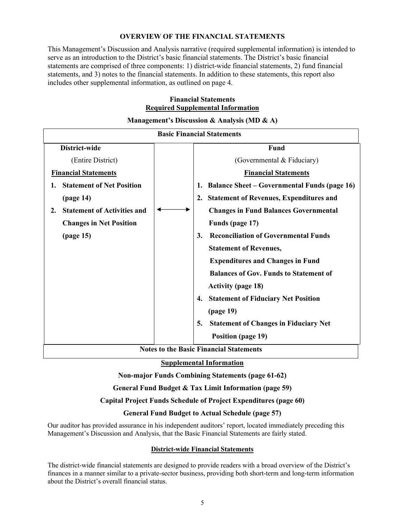#### **OVERVIEW OF THE FINANCIAL STATEMENTS**

This Management's Discussion and Analysis narrative (required supplemental information) is intended to serve as an introduction to the District's basic financial statements. The District's basic financial statements are comprised of three components: 1) district-wide financial statements, 2) fund financial statements, and 3) notes to the financial statements. In addition to these statements, this report also includes other supplemental information, as outlined on page 4.

#### **Financial Statements Required Supplemental Information**

| Management's Discussion & Analysis (MD & A)            |                                                           |  |  |  |  |  |
|--------------------------------------------------------|-----------------------------------------------------------|--|--|--|--|--|
| <b>Basic Financial Statements</b>                      |                                                           |  |  |  |  |  |
| District-wide                                          | Fund                                                      |  |  |  |  |  |
| (Entire District)                                      | (Governmental & Fiduciary)                                |  |  |  |  |  |
| <b>Financial Statements</b>                            | <b>Financial Statements</b>                               |  |  |  |  |  |
| <b>Statement of Net Position</b><br>1.                 | <b>Balance Sheet – Governmental Funds (page 16)</b><br>1. |  |  |  |  |  |
| (page 14)                                              | <b>Statement of Revenues, Expenditures and</b><br>2.      |  |  |  |  |  |
| <b>Statement of Activities and</b><br>$\overline{2}$ . | <b>Changes in Fund Balances Governmental</b>              |  |  |  |  |  |
| <b>Changes in Net Position</b>                         | Funds (page 17)                                           |  |  |  |  |  |
| (page 15)                                              | <b>Reconciliation of Governmental Funds</b><br>3.         |  |  |  |  |  |
|                                                        | <b>Statement of Revenues,</b>                             |  |  |  |  |  |
|                                                        | <b>Expenditures and Changes in Fund</b>                   |  |  |  |  |  |
|                                                        | <b>Balances of Gov. Funds to Statement of</b>             |  |  |  |  |  |
|                                                        | <b>Activity (page 18)</b>                                 |  |  |  |  |  |
|                                                        | <b>Statement of Fiduciary Net Position</b><br>4.          |  |  |  |  |  |
|                                                        | (page 19)                                                 |  |  |  |  |  |
|                                                        | <b>Statement of Changes in Fiduciary Net</b><br>5.        |  |  |  |  |  |
|                                                        | <b>Position (page 19)</b>                                 |  |  |  |  |  |
| <b>Notes to the Basic Financial Statements</b>         |                                                           |  |  |  |  |  |

#### **Supplemental Information**

**Non-major Funds Combining Statements (page 61-62)**

#### **General Fund Budget & Tax Limit Information (page 59)**

#### **Capital Project Funds Schedule of Project Expenditures (page 60)**

#### **General Fund Budget to Actual Schedule (page 57)**

Our auditor has provided assurance in his independent auditors' report, located immediately preceding this Management's Discussion and Analysis, that the Basic Financial Statements are fairly stated.

#### **District-wide Financial Statements**

The district-wide financial statements are designed to provide readers with a broad overview of the District's finances in a manner similar to a private-sector business, providing both short-term and long-term information about the District's overall financial status.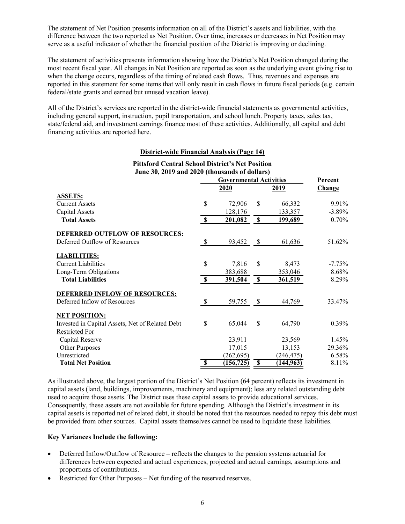The statement of Net Position presents information on all of the District's assets and liabilities, with the difference between the two reported as Net Position. Over time, increases or decreases in Net Position may serve as a useful indicator of whether the financial position of the District is improving or declining.

The statement of activities presents information showing how the District's Net Position changed during the most recent fiscal year. All changes in Net Position are reported as soon as the underlying event giving rise to when the change occurs, regardless of the timing of related cash flows. Thus, revenues and expenses are reported in this statement for some items that will only result in cash flows in future fiscal periods (e.g. certain federal/state grants and earned but unused vacation leave).

All of the District's services are reported in the district-wide financial statements as governmental activities, including general support, instruction, pupil transportation, and school lunch. Property taxes, sales tax, state/federal aid, and investment earnings finance most of these activities. Additionally, all capital and debt financing activities are reported here.

#### **District-wide Financial Analysis (Page 14)**

#### **Pittsford Central School District's Net Position June 30, 2019 and 2020 (thousands of dollars)**

|                                                 | <b>Governmental Activities</b> |            |                         |            | Percent   |  |
|-------------------------------------------------|--------------------------------|------------|-------------------------|------------|-----------|--|
|                                                 |                                | 2020       |                         | 2019       | Change    |  |
| <b>ASSETS:</b>                                  |                                |            |                         |            |           |  |
| <b>Current Assets</b>                           | \$                             | 72,906     | \$                      | 66,332     | 9.91%     |  |
| <b>Capital Assets</b>                           |                                | 128,176    |                         | 133,357    | $-3.89%$  |  |
| <b>Total Assets</b>                             | $\mathbf S$                    | 201,082    | \$                      | 199,689    | 0.70%     |  |
| <b>DEFERRED OUTFLOW OF RESOURCES:</b>           |                                |            |                         |            |           |  |
| Deferred Outflow of Resources                   | $\mathcal{S}$                  | 93,452     | $\mathbb{S}$            | 61,636     | 51.62%    |  |
| <b>LIABILITIES:</b>                             |                                |            |                         |            |           |  |
| <b>Current Liabilities</b>                      | \$                             | 7,816      | \$                      | 8,473      | $-7.75\%$ |  |
| Long-Term Obligations                           |                                | 383,688    |                         | 353,046    | 8.68%     |  |
| <b>Total Liabilities</b>                        | $\mathbf{s}$                   | 391,504    | $\mathbf S$             | 361,519    | 8.29%     |  |
| <b>DEFERRED INFLOW OF RESOURCES:</b>            |                                |            |                         |            |           |  |
| Deferred Inflow of Resources                    | $\mathcal{S}$                  | 59,755     | \$                      | 44,769     | 33.47%    |  |
| <b>NET POSITION:</b>                            |                                |            |                         |            |           |  |
| Invested in Capital Assets, Net of Related Debt | \$                             | 65,044     | <sup>\$</sup>           | 64,790     | $0.39\%$  |  |
| <b>Restricted For</b>                           |                                |            |                         |            |           |  |
| Capital Reserve                                 |                                | 23,911     |                         | 23,569     | 1.45%     |  |
| Other Purposes                                  |                                | 17,015     |                         | 13,153     | 29.36%    |  |
| Unrestricted                                    |                                | (262, 695) |                         | (246, 475) | 6.58%     |  |
| <b>Total Net Position</b>                       | $\overline{\mathbf{s}}$        | (156, 725) | $\overline{\mathbb{S}}$ | (144, 963) | 8.11%     |  |

As illustrated above, the largest portion of the District's Net Position (64 percent) reflects its investment in capital assets (land, buildings, improvements, machinery and equipment); less any related outstanding debt used to acquire those assets. The District uses these capital assets to provide educational services. Consequently, these assets are not available for future spending. Although the District's investment in its capital assets is reported net of related debt, it should be noted that the resources needed to repay this debt must be provided from other sources. Capital assets themselves cannot be used to liquidate these liabilities.

#### **Key Variances Include the following:**

- Deferred Inflow/Outflow of Resource reflects the changes to the pension systems actuarial for differences between expected and actual experiences, projected and actual earnings, assumptions and proportions of contributions.
- Restricted for Other Purposes Net funding of the reserved reserves.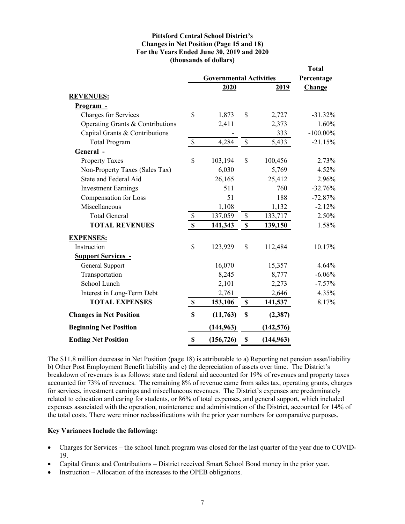#### **Pittsford Central School District's Changes in Net Position (Page 15 and 18) For the Years Ended June 30, 2019 and 2020 (thousands of dollars)**

|                                  |                                   | <b>Total</b>                   |                           |            |             |
|----------------------------------|-----------------------------------|--------------------------------|---------------------------|------------|-------------|
|                                  |                                   | <b>Governmental Activities</b> |                           | Percentage |             |
|                                  |                                   | 2020                           |                           | 2019       | Change      |
| <b>REVENUES:</b>                 |                                   |                                |                           |            |             |
| Program -                        |                                   |                                |                           |            |             |
| <b>Charges for Services</b>      | \$                                | 1,873                          | $\mathbb{S}$              | 2,727      | $-31.32%$   |
| Operating Grants & Contributions |                                   | 2,411                          |                           | 2,373      | 1.60%       |
| Capital Grants & Contributions   |                                   |                                |                           | 333        | $-100.00\%$ |
| <b>Total Program</b>             | $\mathsf{\$}$                     | 4,284                          | \$                        | 5,433      | $-21.15%$   |
| General -                        |                                   |                                |                           |            |             |
| <b>Property Taxes</b>            | \$                                | 103,194                        | \$                        | 100,456    | 2.73%       |
| Non-Property Taxes (Sales Tax)   |                                   | 6,030                          |                           | 5,769      | 4.52%       |
| State and Federal Aid            |                                   | 26,165                         |                           | 25,412     | 2.96%       |
| <b>Investment Earnings</b>       |                                   | 511                            |                           | 760        | $-32.76%$   |
| Compensation for Loss            |                                   | 51                             |                           | 188        | $-72.87%$   |
| Miscellaneous                    |                                   | 1,108                          |                           | 1,132      | $-2.12%$    |
| <b>Total General</b>             | $\mathbb{S}% _{t}\left( t\right)$ | 137,059                        | \$                        | 133,717    | 2.50%       |
| <b>TOTAL REVENUES</b>            | $\overline{\mathbf{s}}$           | 141,343                        | $\mathbb{S}$              | 139,150    | 1.58%       |
| <b>EXPENSES:</b>                 |                                   |                                |                           |            |             |
| Instruction                      | \$                                | 123,929                        | \$                        | 112,484    | 10.17%      |
| <b>Support Services -</b>        |                                   |                                |                           |            |             |
| General Support                  |                                   | 16,070                         |                           | 15,357     | 4.64%       |
| Transportation                   |                                   | 8,245                          |                           | 8,777      | $-6.06%$    |
| School Lunch                     |                                   | 2,101                          |                           | 2,273      | $-7.57%$    |
| Interest in Long-Term Debt       |                                   | 2,761                          |                           | 2,646      | 4.35%       |
| <b>TOTAL EXPENSES</b>            | $\mathbb S$                       | 153,106                        | $\mathbb S$               | 141,537    | 8.17%       |
| <b>Changes in Net Position</b>   | \$                                | (11,763)                       | $\boldsymbol{\mathsf{S}}$ | (2,387)    |             |
| <b>Beginning Net Position</b>    |                                   | (144, 963)                     |                           | (142, 576) |             |
| <b>Ending Net Position</b>       | \$                                | (156, 726)                     | $\boldsymbol{\mathsf{S}}$ | (144, 963) |             |

The \$11.8 million decrease in Net Position (page 18) is attributable to a) Reporting net pension asset/liability b) Other Post Employment Benefit liability and c) the depreciation of assets over time. The District's breakdown of revenues is as follows: state and federal aid accounted for 19% of revenues and property taxes accounted for 73% of revenues. The remaining 8% of revenue came from sales tax, operating grants, charges for services, investment earnings and miscellaneous revenues. The District's expenses are predominately related to education and caring for students, or 86% of total expenses, and general support, which included expenses associated with the operation, maintenance and administration of the District, accounted for 14% of the total costs. There were minor reclassifications with the prior year numbers for comparative purposes.

#### **Key Variances Include the following:**

- Charges for Services the school lunch program was closed for the last quarter of the year due to COVID-19.
- Capital Grants and Contributions District received Smart School Bond money in the prior year.
- Instruction Allocation of the increases to the OPEB obligations.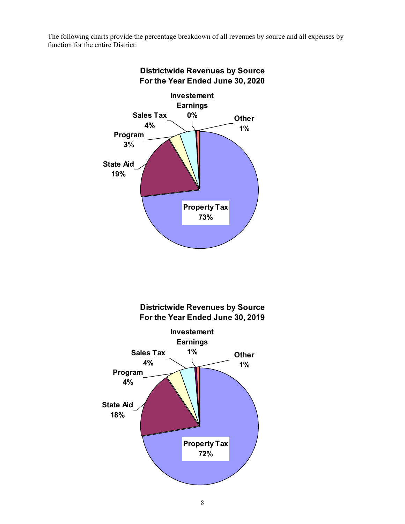The following charts provide the percentage breakdown of all revenues by source and all expenses by function for the entire District:



## **Districtwide Revenues by Source For the Year Ended June 30, 2020**

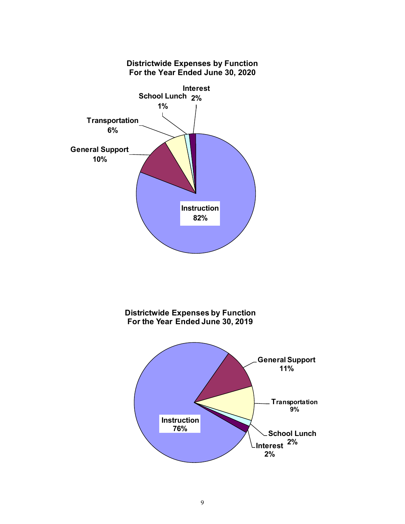

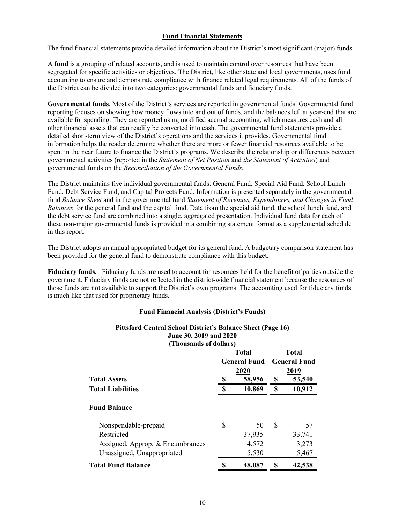#### **Fund Financial Statements**

The fund financial statements provide detailed information about the District's most significant (major) funds.

A **fund** is a grouping of related accounts, and is used to maintain control over resources that have been segregated for specific activities or objectives. The District, like other state and local governments, uses fund accounting to ensure and demonstrate compliance with finance related legal requirements. All of the funds of the District can be divided into two categories: governmental funds and fiduciary funds.

**Governmental funds**. Most of the District's services are reported in governmental funds. Governmental fund reporting focuses on showing how money flows into and out of funds, and the balances left at year-end that are available for spending. They are reported using modified accrual accounting, which measures cash and all other financial assets that can readily be converted into cash. The governmental fund statements provide a detailed short-term view of the District's operations and the services it provides. Governmental fund information helps the reader determine whether there are more or fewer financial resources available to be spent in the near future to finance the District's programs. We describe the relationship or differences between governmental activities (reported in the *Statement of Net Position* and *the Statement of Activities*) and governmental funds on the *Reconciliation of the Governmental Funds.*

The District maintains five individual governmental funds: General Fund, Special Aid Fund, School Lunch Fund, Debt Service Fund, and Capital Projects Fund. Information is presented separately in the governmental fund *Balance Sheet* and in the governmental fund *Statement of Revenues, Expenditures, and Changes in Fund Balances* for the general fund and the capital fund. Data from the special aid fund, the school lunch fund, and the debt service fund are combined into a single, aggregated presentation. Individual fund data for each of these non-major governmental funds is provided in a combining statement format as a supplemental schedule in this report.

The District adopts an annual appropriated budget for its general fund. A budgetary comparison statement has been provided for the general fund to demonstrate compliance with this budget.

**Fiduciary funds.** Fiduciary funds are used to account for resources held for the benefit of parties outside the government. Fiduciary funds are not reflected in the district-wide financial statement because the resources of those funds are not available to support the District's own programs. The accounting used for fiduciary funds is much like that used for proprietary funds.

#### **Fund Financial Analysis (District's Funds)**

#### **Pittsford Central School District's Balance Sheet (Page 16) June 30, 2019 and 2020 (Thousands of dollars)**

|                                  | <b>Total</b> |                     |                     | <b>Total</b> |  |  |
|----------------------------------|--------------|---------------------|---------------------|--------------|--|--|
|                                  |              | <b>General Fund</b> | <b>General Fund</b> |              |  |  |
|                                  |              | 2020                |                     | 2019         |  |  |
| <b>Total Assets</b>              | \$           | 58,956              |                     | 53,540       |  |  |
| <b>Total Liabilities</b>         | S            | 10,869              | S                   | 10,912       |  |  |
| <b>Fund Balance</b>              |              |                     |                     |              |  |  |
| Nonspendable-prepaid             | \$           | 50                  | S                   | 57           |  |  |
| Restricted                       |              | 37,935              |                     | 33,741       |  |  |
| Assigned, Approp. & Encumbrances |              | 4,572               |                     | 3,273        |  |  |
| Unassigned, Unappropriated       |              | 5,530               |                     | 5,467        |  |  |
| <b>Total Fund Balance</b>        |              | 48,087              |                     | 42,538       |  |  |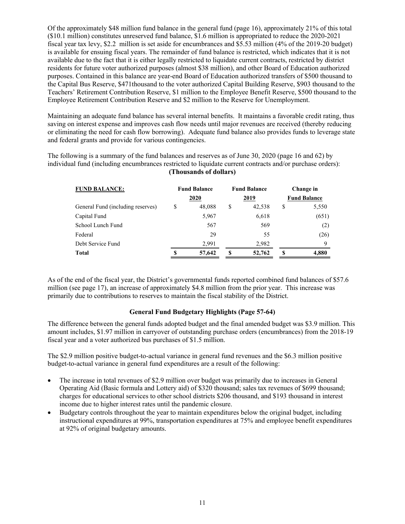Of the approximately \$48 million fund balance in the general fund (page 16), approximately 21% of this total (\$10.1 million) constitutes unreserved fund balance, \$1.6 million is appropriated to reduce the 2020-2021 fiscal year tax levy, \$2.2 million is set aside for encumbrances and \$5.53 million (4% of the 2019-20 budget) is available for ensuing fiscal years. The remainder of fund balance is restricted, which indicates that it is not available due to the fact that it is either legally restricted to liquidate current contracts, restricted by district residents for future voter authorized purposes (almost \$38 million), and other Board of Education authorized purposes. Contained in this balance are year-end Board of Education authorized transfers of \$500 thousand to the Capital Bus Reserve, \$471thousand to the voter authorized Capital Building Reserve, \$903 thousand to the Teachers' Retirement Contribution Reserve, \$1 million to the Employee Benefit Reserve, \$500 thousand to the Employee Retirement Contribution Reserve and \$2 million to the Reserve for Unemployment.

Maintaining an adequate fund balance has several internal benefits. It maintains a favorable credit rating, thus saving on interest expense and improves cash flow needs until major revenues are received (thereby reducing or eliminating the need for cash flow borrowing). Adequate fund balance also provides funds to leverage state and federal grants and provide for various contingencies.

The following is a summary of the fund balances and reserves as of June 30, 2020 (page 16 and 62) by individual fund (including encumbrances restricted to liquidate current contracts and/or purchase orders): **(Thousands of dollars)**

| <b>FUND BALANCE:</b>              | <b>Fund Balance</b><br>2020 |        |    | <b>Fund Balance</b><br>2019 | Change in<br><b>Fund Balance</b> |       |  |
|-----------------------------------|-----------------------------|--------|----|-----------------------------|----------------------------------|-------|--|
| General Fund (including reserves) | \$                          | 48,088 | \$ | 42,538                      | \$                               | 5,550 |  |
| Capital Fund                      |                             | 5,967  |    | 6,618                       |                                  | (651) |  |
| School Lunch Fund                 |                             | 567    |    | 569                         |                                  | (2)   |  |
| Federal                           |                             | 29     |    | 55                          |                                  | (26)  |  |
| Debt Service Fund                 |                             | 2,991  |    | 2,982                       |                                  | Q     |  |
| <b>Total</b>                      | S                           | 57,642 |    | 52,762                      | S                                | 4,880 |  |
|                                   |                             |        |    |                             |                                  |       |  |

As of the end of the fiscal year, the District's governmental funds reported combined fund balances of \$57.6 million (see page 17), an increase of approximately \$4.8 million from the prior year. This increase was primarily due to contributions to reserves to maintain the fiscal stability of the District.

#### **General Fund Budgetary Highlights (Page 57-64)**

The difference between the general funds adopted budget and the final amended budget was \$3.9 million. This amount includes, \$1.97 million in carryover of outstanding purchase orders (encumbrances) from the 2018-19 fiscal year and a voter authorized bus purchases of \$1.5 million.

The \$2.9 million positive budget-to-actual variance in general fund revenues and the \$6.3 million positive budget-to-actual variance in general fund expenditures are a result of the following:

- The increase in total revenues of \$2.9 million over budget was primarily due to increases in General Operating Aid (Basic formula and Lottery aid) of \$320 thousand; sales tax revenues of \$699 thousand; charges for educational services to other school districts \$206 thousand, and \$193 thousand in interest income due to higher interest rates until the pandemic closure.
- Budgetary controls throughout the year to maintain expenditures below the original budget, including instructional expenditures at 99%, transportation expenditures at 75% and employee benefit expenditures at 92% of original budgetary amounts.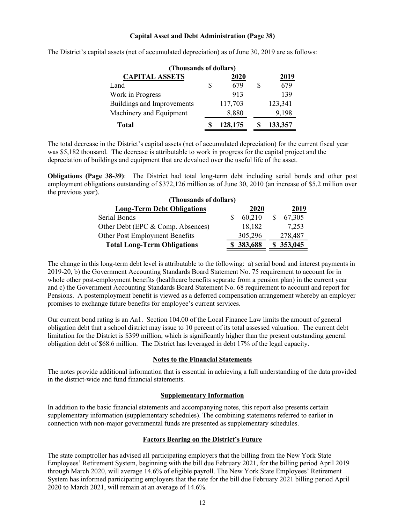#### **Capital Asset and Debt Administration (Page 38)**

The District's capital assets (net of accumulated depreciation) as of June 30, 2019 are as follows:

| (Thousands of dollars)     |   |         |   |         |  |  |  |
|----------------------------|---|---------|---|---------|--|--|--|
| <b>CAPITAL ASSETS</b>      |   | 2020    |   | 2019    |  |  |  |
| Land                       | S | 679     | S | 679     |  |  |  |
| Work in Progress           |   | 913     |   | 139     |  |  |  |
| Buildings and Improvements |   | 117,703 |   | 123,341 |  |  |  |
| Machinery and Equipment    |   | 8,880   |   | 9,198   |  |  |  |
| Total                      |   | 128,175 |   | 133,357 |  |  |  |

The total decrease in the District's capital assets (net of accumulated depreciation) for the current fiscal year was \$5,182 thousand. The decrease is attributable to work in progress for the capital project and the depreciation of buildings and equipment that are devalued over the useful life of the asset.

**Obligations (Page 38-39)**: The District had total long-term debt including serial bonds and other post employment obligations outstanding of \$372,126 million as of June 30, 2010 (an increase of \$5.2 million over the previous year).

| (Thousands of dollars)             |  |         |  |           |  |  |  |  |  |
|------------------------------------|--|---------|--|-----------|--|--|--|--|--|
| <b>Long-Term Debt Obligations</b>  |  | 2020    |  | 2019      |  |  |  |  |  |
| Serial Bonds                       |  | 60,210  |  | 67,305    |  |  |  |  |  |
| Other Debt (EPC & Comp. Absences)  |  | 18,182  |  | 7,253     |  |  |  |  |  |
| Other Post Employment Benefits     |  | 305,296 |  | 278,487   |  |  |  |  |  |
| <b>Total Long-Term Obligations</b> |  | 383,688 |  | \$353,045 |  |  |  |  |  |

The change in this long-term debt level is attributable to the following: a) serial bond and interest payments in 2019-20, b) the Government Accounting Standards Board Statement No. 75 requirement to account for in whole other post-employment benefits (healthcare benefits separate from a pension plan) in the current year and c) the Government Accounting Standards Board Statement No. 68 requirement to account and report for Pensions. A postemployment benefit is viewed as a deferred compensation arrangement whereby an employer promises to exchange future benefits for employee's current services.

Our current bond rating is an Aa1. Section 104.00 of the Local Finance Law limits the amount of general obligation debt that a school district may issue to 10 percent of its total assessed valuation. The current debt limitation for the District is \$399 million, which is significantly higher than the present outstanding general obligation debt of \$68.6 million. The District has leveraged in debt 17% of the legal capacity.

#### **Notes to the Financial Statements**

The notes provide additional information that is essential in achieving a full understanding of the data provided in the district-wide and fund financial statements.

#### **Supplementary Information**

In addition to the basic financial statements and accompanying notes, this report also presents certain supplementary information (supplementary schedules). The combining statements referred to earlier in connection with non-major governmental funds are presented as supplementary schedules.

#### **Factors Bearing on the District's Future**

The state comptroller has advised all participating employers that the billing from the New York State Employees' Retirement System, beginning with the bill due February 2021, for the billing period April 2019 through March 2020, will average 14.6% of eligible payroll. The New York State Employees' Retirement System has informed participating employers that the rate for the bill due February 2021 billing period April 2020 to March 2021, will remain at an average of 14.6%.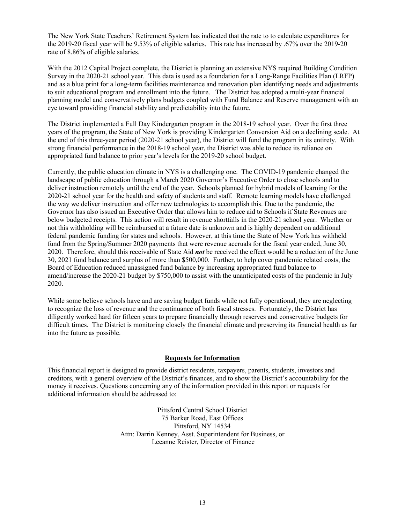The New York State Teachers' Retirement System has indicated that the rate to to calculate expenditures for the 2019-20 fiscal year will be 9.53% of eligible salaries. This rate has increased by .67% over the 2019-20 rate of 8.86% of eligible salaries.

With the 2012 Capital Project complete, the District is planning an extensive NYS required Building Condition Survey in the 2020-21 school year. This data is used as a foundation for a Long-Range Facilities Plan (LRFP) and as a blue print for a long-term facilities maintenance and renovation plan identifying needs and adjustments to suit educational program and enrollment into the future. The District has adopted a multi-year financial planning model and conservatively plans budgets coupled with Fund Balance and Reserve management with an eye toward providing financial stability and predictability into the future.

The District implemented a Full Day Kindergarten program in the 2018-19 school year. Over the first three years of the program, the State of New York is providing Kindergarten Conversion Aid on a declining scale. At the end of this three-year period (2020-21 school year), the District will fund the program in its entirety. With strong financial performance in the 2018-19 school year, the District was able to reduce its reliance on appropriated fund balance to prior year's levels for the 2019-20 school budget.

Currently, the public education climate in NYS is a challenging one. The COVID-19 pandemic changed the landscape of public education through a March 2020 Governor's Executive Order to close schools and to deliver instruction remotely until the end of the year. Schools planned for hybrid models of learning for the 2020-21 school year for the health and safety of students and staff. Remote learning models have challenged the way we deliver instruction and offer new technologies to accomplish this. Due to the pandemic, the Governor has also issued an Executive Order that allows him to reduce aid to Schools if State Revenues are below budgeted receipts. This action will result in revenue shortfalls in the 2020-21 school year. Whether or not this withholding will be reimbursed at a future date is unknown and is highly dependent on additional federal pandemic funding for states and schools. However, at this time the State of New York has withheld fund from the Spring/Summer 2020 payments that were revenue accruals for the fiscal year ended, June 30, 2020. Therefore, should this receivable of State Aid *not* be received the effect would be a reduction of the June 30, 2021 fund balance and surplus of more than \$500,000. Further, to help cover pandemic related costs, the Board of Education reduced unassigned fund balance by increasing appropriated fund balance to amend/increase the 2020-21 budget by \$750,000 to assist with the unanticipated costs of the pandemic in July 2020.

While some believe schools have and are saving budget funds while not fully operational, they are neglecting to recognize the loss of revenue and the continuance of both fiscal stresses. Fortunately, the District has diligently worked hard for fifteen years to prepare financially through reserves and conservative budgets for difficult times. The District is monitoring closely the financial climate and preserving its financial health as far into the future as possible.

#### **Requests for Information**

This financial report is designed to provide district residents, taxpayers, parents, students, investors and creditors, with a general overview of the District's finances, and to show the District's accountability for the money it receives. Questions concerning any of the information provided in this report or requests for additional information should be addressed to:

> Pittsford Central School District 75 Barker Road, East Offices Pittsford, NY 14534 Attn: Darrin Kenney, Asst. Superintendent for Business, or Leeanne Reister, Director of Finance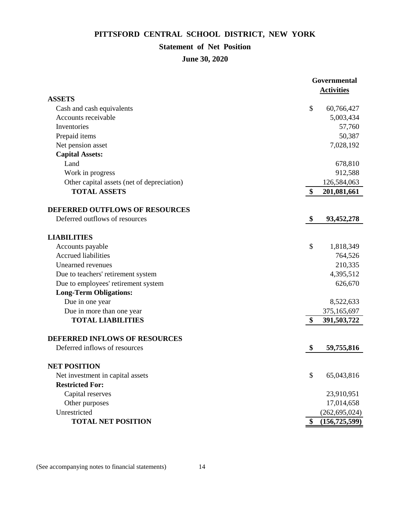## **PITTSFORD CENTRAL SCHOOL DISTRICT, NEW YORK**

### **Statement of Net Position**

**June 30, 2020**

|                                            | Governmental<br><b>Activities</b> |                 |
|--------------------------------------------|-----------------------------------|-----------------|
| <b>ASSETS</b>                              |                                   |                 |
| Cash and cash equivalents                  | \$                                | 60,766,427      |
| Accounts receivable                        |                                   | 5,003,434       |
| Inventories                                |                                   | 57,760          |
| Prepaid items                              |                                   | 50,387          |
| Net pension asset                          |                                   | 7,028,192       |
| <b>Capital Assets:</b>                     |                                   |                 |
| Land                                       |                                   | 678,810         |
| Work in progress                           |                                   | 912,588         |
| Other capital assets (net of depreciation) |                                   | 126,584,063     |
| <b>TOTAL ASSETS</b>                        | $\mathbf{\$}$                     | 201,081,661     |
| DEFERRED OUTFLOWS OF RESOURCES             |                                   |                 |
| Deferred outflows of resources             | \$                                | 93,452,278      |
| <b>LIABILITIES</b>                         |                                   |                 |
| Accounts payable                           | \$                                | 1,818,349       |
| <b>Accrued liabilities</b>                 |                                   | 764,526         |
| Unearned revenues                          |                                   | 210,335         |
| Due to teachers' retirement system         |                                   | 4,395,512       |
| Due to employees' retirement system        |                                   | 626,670         |
| <b>Long-Term Obligations:</b>              |                                   |                 |
| Due in one year                            |                                   | 8,522,633       |
| Due in more than one year                  |                                   | 375,165,697     |
| <b>TOTAL LIABILITIES</b>                   | \$                                | 391,503,722     |
| <b>DEFERRED INFLOWS OF RESOURCES</b>       |                                   |                 |
| Deferred inflows of resources              | \$                                | 59,755,816      |
| <b>NET POSITION</b>                        |                                   |                 |
| Net investment in capital assets           | \$                                | 65,043,816      |
| <b>Restricted For:</b>                     |                                   |                 |
| Capital reserves                           |                                   | 23,910,951      |
| Other purposes                             |                                   | 17,014,658      |
| Unrestricted                               |                                   | (262, 695, 024) |
| <b>TOTAL NET POSITION</b>                  | \$                                | (156, 725, 599) |

(See accompanying notes to financial statements) 14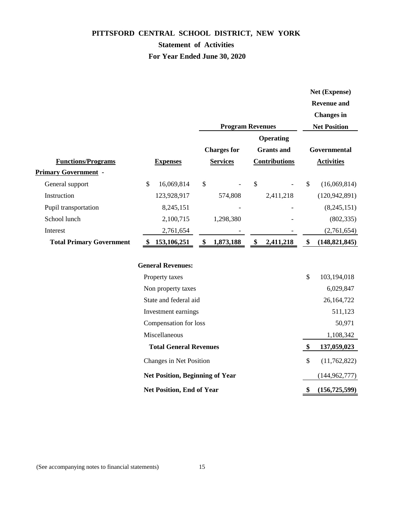## **PITTSFORD CENTRAL SCHOOL DISTRICT, NEW YORK Statement of Activities**

### **For Year Ended June 30, 2020**

|                                 |                               | <b>Program Revenues</b><br><b>Charges</b> for | Net (Expense)<br><b>Revenue and</b><br><b>Changes</b> in<br><b>Net Position</b><br>Governmental |                       |  |  |
|---------------------------------|-------------------------------|-----------------------------------------------|-------------------------------------------------------------------------------------------------|-----------------------|--|--|
| <b>Functions/Programs</b>       | <b>Expenses</b>               | <b>Services</b>                               | <b>Contributions</b>                                                                            | <b>Activities</b>     |  |  |
| <b>Primary Government -</b>     |                               |                                               |                                                                                                 |                       |  |  |
| General support                 | \$<br>16,069,814              | \$                                            | \$                                                                                              | \$<br>(16,069,814)    |  |  |
| Instruction                     | 123,928,917                   | 574,808                                       | 2,411,218                                                                                       | (120, 942, 891)       |  |  |
| Pupil transportation            | 8,245,151                     | $\overline{\phantom{m}}$                      |                                                                                                 | (8,245,151)           |  |  |
| School lunch                    | 2,100,715                     | 1,298,380                                     |                                                                                                 | (802, 335)            |  |  |
| Interest                        | 2,761,654                     |                                               |                                                                                                 | (2,761,654)           |  |  |
| <b>Total Primary Government</b> | 153,106,251<br>-S             | \$<br>1,873,188                               | \$<br>2,411,218                                                                                 | \$<br>(148, 821, 845) |  |  |
|                                 | <b>General Revenues:</b>      |                                               |                                                                                                 |                       |  |  |
|                                 | Property taxes                |                                               |                                                                                                 | \$<br>103,194,018     |  |  |
|                                 | Non property taxes            |                                               |                                                                                                 | 6,029,847             |  |  |
|                                 | State and federal aid         |                                               |                                                                                                 | 26,164,722            |  |  |
|                                 | Investment earnings           |                                               |                                                                                                 | 511,123               |  |  |
|                                 | Compensation for loss         |                                               |                                                                                                 | 50,971                |  |  |
|                                 | Miscellaneous                 |                                               |                                                                                                 | 1,108,342             |  |  |
|                                 | <b>Total General Revenues</b> |                                               |                                                                                                 | \$<br>137,059,023     |  |  |
|                                 | Changes in Net Position       |                                               |                                                                                                 | \$<br>(11,762,822)    |  |  |

Net Position, Beginning of Year (144,962,777) Net Position, End of Year **\$** (156,725,599)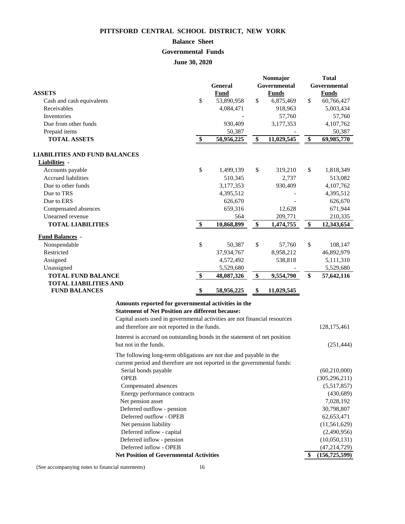### **PITTSFORD CENTRAL SCHOOL DISTRICT, NEW YORK**

#### **Balance Sheet**

#### **Governmental Funds**

**June 30, 2020**

|                                      |                                                                                                    |                                  |             | Nonmajor |              | <b>Total</b> |                 |
|--------------------------------------|----------------------------------------------------------------------------------------------------|----------------------------------|-------------|----------|--------------|--------------|-----------------|
|                                      |                                                                                                    |                                  | General     |          | Governmental |              | Governmental    |
| <b>ASSETS</b>                        |                                                                                                    |                                  | <b>Fund</b> |          | Funds        |              | <b>Funds</b>    |
| Cash and cash equivalents            |                                                                                                    | \$                               | 53,890,958  | \$       | 6,875,469    | \$           | 60,766,427      |
| Receivables                          |                                                                                                    |                                  | 4,084,471   |          | 918,963      |              | 5,003,434       |
| Inventories                          |                                                                                                    |                                  |             |          | 57,760       |              | 57,760          |
| Due from other funds                 |                                                                                                    |                                  | 930,409     |          | 3,177,353    |              | 4,107,762       |
| Prepaid items                        |                                                                                                    |                                  | 50,387      |          |              |              | 50,387          |
| <b>TOTAL ASSETS</b>                  |                                                                                                    | $\overline{\boldsymbol{\theta}}$ | 58,956,225  | \$       | 11,029,545   | \$           | 69,985,770      |
| <b>LIABILITIES AND FUND BALANCES</b> |                                                                                                    |                                  |             |          |              |              |                 |
| Liabilities -                        |                                                                                                    |                                  |             |          |              |              |                 |
| Accounts payable                     |                                                                                                    | \$                               | 1,499,139   | \$       | 319,210      | \$           | 1,818,349       |
| <b>Accrued liabilities</b>           |                                                                                                    |                                  | 510,345     |          | 2,737        |              | 513,082         |
| Due to other funds                   |                                                                                                    |                                  | 3,177,353   |          | 930,409      |              | 4,107,762       |
| Due to TRS                           |                                                                                                    |                                  | 4,395,512   |          |              |              | 4,395,512       |
| Due to ERS                           |                                                                                                    |                                  | 626,670     |          |              |              | 626,670         |
| Compensated absences                 |                                                                                                    |                                  | 659,316     |          | 12,628       |              | 671,944         |
| Unearned revenue                     |                                                                                                    |                                  | 564         |          | 209,771      |              | 210,335         |
| <b>TOTAL LIABILITIES</b>             |                                                                                                    | \$                               | 10,868,899  | \$       | 1,474,755    | \$           | 12,343,654      |
| <b>Fund Balances -</b>               |                                                                                                    |                                  |             |          |              |              |                 |
| Nonspendable                         |                                                                                                    | \$                               | 50,387      | \$       | 57,760       | \$           | 108,147         |
| Restricted                           |                                                                                                    |                                  | 37,934,767  |          | 8,958,212    |              | 46,892,979      |
| Assigned                             |                                                                                                    |                                  | 4,572,492   |          | 538,818      |              | 5,111,310       |
| Unassigned                           |                                                                                                    |                                  | 5,529,680   |          |              |              | 5,529,680       |
| <b>TOTAL FUND BALANCE</b>            |                                                                                                    | \$                               | 48,087,326  | \$       | 9,554,790    | \$           | 57,642,116      |
| <b>TOTAL LIABILITIES AND</b>         |                                                                                                    |                                  |             |          |              |              |                 |
| <b>FUND BALANCES</b>                 |                                                                                                    | <u>\$</u>                        | 58,956,225  | - \$     | 11,029,545   |              |                 |
|                                      | Amounts reported for governmental activities in the                                                |                                  |             |          |              |              |                 |
|                                      | <b>Statement of Net Position are different because:</b>                                            |                                  |             |          |              |              |                 |
|                                      | Capital assets used in governmental activities are not financial resources                         |                                  |             |          |              |              |                 |
|                                      | and therefore are not reported in the funds.                                                       |                                  |             |          |              |              | 128, 175, 461   |
|                                      |                                                                                                    |                                  |             |          |              |              |                 |
|                                      | Interest is accrued on outstanding bonds in the statement of net position<br>but not in the funds. |                                  |             |          |              |              | (251, 444)      |
|                                      |                                                                                                    |                                  |             |          |              |              |                 |
|                                      | The following long-term obligations are not due and payable in the                                 |                                  |             |          |              |              |                 |
|                                      | current period and therefore are not reported in the governmental funds:                           |                                  |             |          |              |              |                 |
|                                      | Serial bonds payable                                                                               |                                  |             |          |              |              | (60, 210, 000)  |
|                                      | <b>OPEB</b>                                                                                        |                                  |             |          |              |              | (305, 296, 211) |
|                                      | Compensated absences                                                                               |                                  |             |          |              |              | (5,517,857)     |
|                                      | Energy performance contracts                                                                       |                                  |             |          |              |              | (430,689)       |
|                                      | Net pension asset                                                                                  |                                  |             |          |              |              | 7,028,192       |
|                                      | Deferred outflow - pension                                                                         |                                  |             |          |              |              | 30,798,807      |
|                                      | Deferred outflow - OPEB                                                                            |                                  |             |          |              |              | 62, 653, 471    |
|                                      | Net pension liability                                                                              |                                  |             |          |              |              | (11, 561, 629)  |
|                                      | Deferred inflow - capital                                                                          |                                  |             |          |              |              | (2,490,956)     |
|                                      | Deferred inflow - pension                                                                          |                                  |             |          |              |              | (10,050,131)    |
|                                      | Deferred inflow - OPEB                                                                             |                                  |             |          |              |              | (47, 214, 729)  |
|                                      | <b>Net Position of Governmental Activities</b>                                                     |                                  |             |          |              | \$           | (156, 725, 599) |

(See accompanying notes to financial statements) 16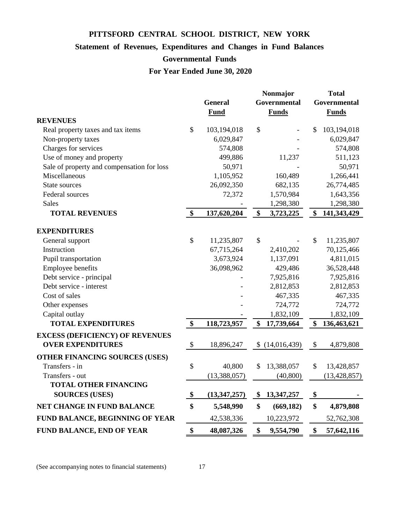## **PITTSFORD CENTRAL SCHOOL DISTRICT, NEW YORK Statement of Revenues, Expenditures and Changes in Fund Balances Governmental Funds For Year Ended June 30, 2020**

|                                            |                   |                |                           | Nonmajor     | <b>Total</b> |                |  |
|--------------------------------------------|-------------------|----------------|---------------------------|--------------|--------------|----------------|--|
|                                            |                   | <b>General</b> |                           | Governmental | Governmental |                |  |
|                                            |                   | <b>Fund</b>    |                           | <b>Funds</b> | <b>Funds</b> |                |  |
| <b>REVENUES</b>                            |                   |                |                           |              |              |                |  |
| Real property taxes and tax items          | \$                | 103,194,018    | $\boldsymbol{\mathsf{S}}$ |              | \$           | 103,194,018    |  |
| Non-property taxes                         |                   | 6,029,847      |                           |              |              | 6,029,847      |  |
| Charges for services                       |                   | 574,808        |                           |              |              | 574,808        |  |
| Use of money and property                  |                   | 499,886        |                           | 11,237       |              | 511,123        |  |
| Sale of property and compensation for loss |                   | 50,971         |                           |              |              | 50,971         |  |
| Miscellaneous                              |                   | 1,105,952      |                           | 160,489      |              | 1,266,441      |  |
| State sources                              |                   | 26,092,350     |                           | 682,135      |              | 26,774,485     |  |
| Federal sources                            |                   | 72,372         |                           | 1,570,984    |              | 1,643,356      |  |
| <b>Sales</b>                               |                   |                |                           | 1,298,380    |              | 1,298,380      |  |
| <b>TOTAL REVENUES</b>                      | \$                | 137,620,204    | \$                        | 3,723,225    |              | \$141,343,429  |  |
| <b>EXPENDITURES</b>                        |                   |                |                           |              |              |                |  |
| General support                            | \$                | 11,235,807     | \$                        |              | $\mathbb{S}$ | 11,235,807     |  |
| Instruction                                |                   | 67,715,264     |                           | 2,410,202    |              | 70,125,466     |  |
| Pupil transportation                       |                   | 3,673,924      |                           | 1,137,091    |              | 4,811,015      |  |
| <b>Employee benefits</b>                   |                   | 36,098,962     |                           | 429,486      |              | 36,528,448     |  |
| Debt service - principal                   |                   |                |                           | 7,925,816    |              | 7,925,816      |  |
| Debt service - interest                    |                   |                |                           | 2,812,853    |              | 2,812,853      |  |
| Cost of sales                              |                   |                |                           | 467,335      |              | 467,335        |  |
| Other expenses                             |                   |                |                           | 724,772      |              | 724,772        |  |
| Capital outlay                             |                   |                |                           | 1,832,109    |              | 1,832,109      |  |
| <b>TOTAL EXPENDITURES</b>                  | $\boldsymbol{\$}$ | 118,723,957    | \$                        | 17,739,664   | \$           | 136,463,621    |  |
| <b>EXCESS (DEFICIENCY) OF REVENUES</b>     |                   |                |                           |              |              |                |  |
| <b>OVER EXPENDITURES</b>                   | \$                | 18,896,247     |                           | (14,016,439) | \$           | 4,879,808      |  |
| <b>OTHER FINANCING SOURCES (USES)</b>      |                   |                |                           |              |              |                |  |
| Transfers - in                             | \$                | 40,800         | \$                        | 13,388,057   | \$           | 13,428,857     |  |
| Transfers - out                            |                   | (13,388,057)   |                           | (40, 800)    |              | (13, 428, 857) |  |
| <b>TOTAL OTHER FINANCING</b>               |                   |                |                           |              |              |                |  |
| <b>SOURCES (USES)</b>                      | \$                | (13, 347, 257) | \$                        | 13, 347, 257 | \$           |                |  |
| <b>NET CHANGE IN FUND BALANCE</b>          | $\boldsymbol{\$}$ | 5,548,990      | \$                        | (669, 182)   | \$           | 4,879,808      |  |
| FUND BALANCE, BEGINNING OF YEAR            |                   | 42,538,336     |                           | 10,223,972   |              | 52,762,308     |  |
| <b>FUND BALANCE, END OF YEAR</b>           | \$                | 48,087,326     | \$                        | 9,554,790    | \$           | 57,642,116     |  |

(See accompanying notes to financial statements) 17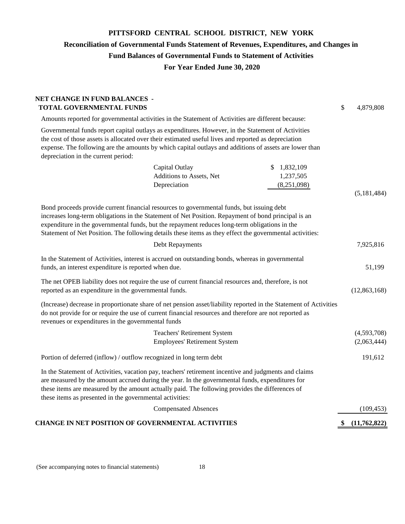## **PITTSFORD CENTRAL SCHOOL DISTRICT, NEW YORK Reconciliation of Governmental Funds Statement of Revenues, Expenditures, and Changes in Fund Balances of Governmental Funds to Statement of Activities For Year Ended June 30, 2020**

| NET CHANGE IN FUND BALANCES -<br><b>TOTAL GOVERNMENTAL FUNDS</b>                                                                                                                                                                                                                                                                                                                                              | \$<br>4,879,808 |
|---------------------------------------------------------------------------------------------------------------------------------------------------------------------------------------------------------------------------------------------------------------------------------------------------------------------------------------------------------------------------------------------------------------|-----------------|
| Amounts reported for governmental activities in the Statement of Activities are different because:                                                                                                                                                                                                                                                                                                            |                 |
| Governmental funds report capital outlays as expenditures. However, in the Statement of Activities<br>the cost of those assets is allocated over their estimated useful lives and reported as depreciation<br>expense. The following are the amounts by which capital outlays and additions of assets are lower than<br>depreciation in the current period:                                                   |                 |
| Capital Outlay<br>\$.<br>1,832,109                                                                                                                                                                                                                                                                                                                                                                            |                 |
| Additions to Assets, Net<br>1,237,505<br>Depreciation<br>(8,251,098)                                                                                                                                                                                                                                                                                                                                          |                 |
|                                                                                                                                                                                                                                                                                                                                                                                                               | (5,181,484)     |
| Bond proceeds provide current financial resources to governmental funds, but issuing debt<br>increases long-term obligations in the Statement of Net Position. Repayment of bond principal is an<br>expenditure in the governmental funds, but the repayment reduces long-term obligations in the<br>Statement of Net Position. The following details these items as they effect the governmental activities: |                 |
| Debt Repayments                                                                                                                                                                                                                                                                                                                                                                                               | 7,925,816       |
| In the Statement of Activities, interest is accrued on outstanding bonds, whereas in governmental<br>funds, an interest expenditure is reported when due.                                                                                                                                                                                                                                                     | 51,199          |
| The net OPEB liability does not require the use of current financial resources and, therefore, is not<br>reported as an expenditure in the governmental funds.                                                                                                                                                                                                                                                | (12, 863, 168)  |
| (Increase) decrease in proportionate share of net pension asset/liability reported in the Statement of Activities<br>do not provide for or require the use of current financial resources and therefore are not reported as<br>revenues or expenditures in the governmental funds                                                                                                                             |                 |
| Teachers' Retirement System                                                                                                                                                                                                                                                                                                                                                                                   | (4,593,708)     |
| <b>Employees' Retirement System</b>                                                                                                                                                                                                                                                                                                                                                                           | (2,063,444)     |
| Portion of deferred (inflow) / outflow recognized in long term debt                                                                                                                                                                                                                                                                                                                                           | 191,612         |
| In the Statement of Activities, vacation pay, teachers' retirement incentive and judgments and claims<br>are measured by the amount accrued during the year. In the governmental funds, expenditures for<br>these items are measured by the amount actually paid. The following provides the differences of<br>these items as presented in the governmental activities:                                       |                 |
| <b>Compensated Absences</b>                                                                                                                                                                                                                                                                                                                                                                                   | (109, 453)      |
| <b>CHANGE IN NET POSITION OF GOVERNMENTAL ACTIVITIES</b>                                                                                                                                                                                                                                                                                                                                                      | \$(11,762,822)  |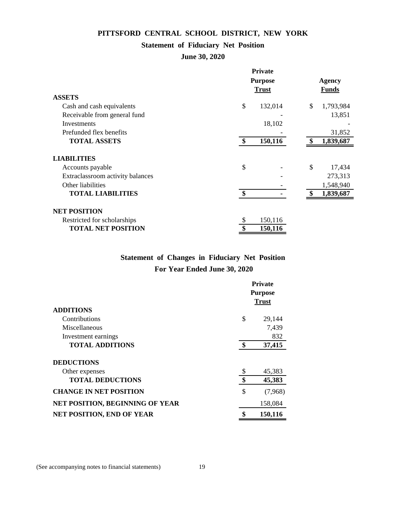### **PITTSFORD CENTRAL SCHOOL DISTRICT, NEW YORK**

### **Statement of Fiduciary Net Position**

**June 30, 2020**

|                                  | <b>Private</b><br><b>Purpose</b><br><b>Trust</b> | <b>Agency</b><br>Funds |
|----------------------------------|--------------------------------------------------|------------------------|
| <b>ASSETS</b>                    |                                                  |                        |
| Cash and cash equivalents        | \$<br>132,014                                    | 1,793,984<br>\$        |
| Receivable from general fund     |                                                  | 13,851                 |
| <b>Investments</b>               | 18,102                                           |                        |
| Prefunded flex benefits          |                                                  | 31,852                 |
| <b>TOTAL ASSETS</b>              | \$<br>150,116                                    | 1,839,687              |
| <b>LIABILITIES</b>               |                                                  |                        |
| Accounts payable                 | \$                                               | \$<br>17,434           |
| Extraclassroom activity balances |                                                  | 273,313                |
| Other liabilities                |                                                  | 1,548,940              |
| <b>TOTAL LIABILITIES</b>         | -\$                                              | 1,839,687              |
| <b>NET POSITION</b>              |                                                  |                        |
| Restricted for scholarships      | 150,116<br>S                                     |                        |
| <b>TOTAL NET POSITION</b>        | \$<br>150,116                                    |                        |

### **Statement of Changes in Fiduciary Net Position For Year Ended June 30, 2020**

| <b>ADDITIONS</b>                | <b>Private</b><br><b>Purpose</b><br><b>Trust</b> |
|---------------------------------|--------------------------------------------------|
| Contributions                   | \$<br>29,144                                     |
| Miscellaneous                   | 7,439                                            |
| Investment earnings             | 832                                              |
| <b>TOTAL ADDITIONS</b>          | \$<br>37,415                                     |
| <b>DEDUCTIONS</b>               |                                                  |
| Other expenses                  | \$<br>45,383                                     |
| <b>TOTAL DEDUCTIONS</b>         | \$<br>45,383                                     |
| <b>CHANGE IN NET POSITION</b>   | \$<br>(7,968)                                    |
| NET POSITION, BEGINNING OF YEAR | 158,084                                          |
| NET POSITION, END OF YEAR       | 150,116                                          |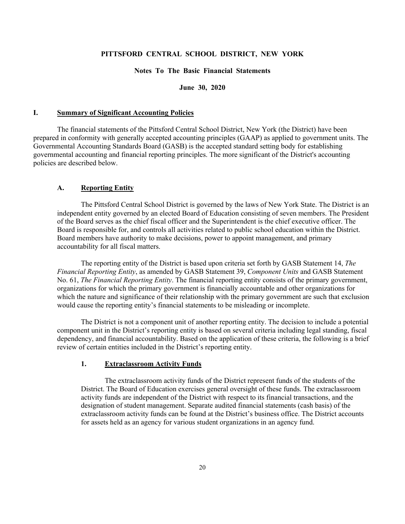#### **PITTSFORD CENTRAL SCHOOL DISTRICT, NEW YORK**

#### **Notes To The Basic Financial Statements**

**June 30, 2020**

#### **I. Summary of Significant Accounting Policies**

The financial statements of the Pittsford Central School District, New York (the District) have been prepared in conformity with generally accepted accounting principles (GAAP) as applied to government units. The Governmental Accounting Standards Board (GASB) is the accepted standard setting body for establishing governmental accounting and financial reporting principles. The more significant of the District's accounting policies are described below.

#### **A. Reporting Entity**

The Pittsford Central School District is governed by the laws of New York State. The District is an independent entity governed by an elected Board of Education consisting of seven members. The President of the Board serves as the chief fiscal officer and the Superintendent is the chief executive officer. The Board is responsible for, and controls all activities related to public school education within the District. Board members have authority to make decisions, power to appoint management, and primary accountability for all fiscal matters.

The reporting entity of the District is based upon criteria set forth by GASB Statement 14, *The Financial Reporting Entity*, as amended by GASB Statement 39, *Component Units* and GASB Statement No. 61, *The Financial Reporting Entity*. The financial reporting entity consists of the primary government, organizations for which the primary government is financially accountable and other organizations for which the nature and significance of their relationship with the primary government are such that exclusion would cause the reporting entity's financial statements to be misleading or incomplete.

The District is not a component unit of another reporting entity. The decision to include a potential component unit in the District's reporting entity is based on several criteria including legal standing, fiscal dependency, and financial accountability. Based on the application of these criteria, the following is a brief review of certain entities included in the District's reporting entity.

#### **1. Extraclassroom Activity Funds**

The extraclassroom activity funds of the District represent funds of the students of the District. The Board of Education exercises general oversight of these funds. The extraclassroom activity funds are independent of the District with respect to its financial transactions, and the designation of student management. Separate audited financial statements (cash basis) of the extraclassroom activity funds can be found at the District's business office. The District accounts for assets held as an agency for various student organizations in an agency fund.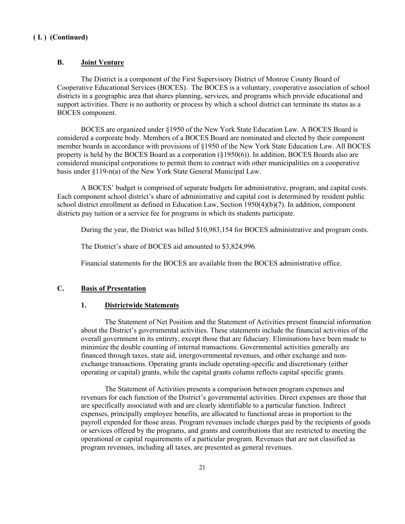#### **B. Joint Venture**

The District is a component of the First Supervisory District of Monroe County Board of Cooperative Educational Services (BOCES). The BOCES is a voluntary, cooperative association of school districts in a geographic area that shares planning, services, and programs which provide educational and support activities. There is no authority or process by which a school district can terminate its status as a BOCES component.

BOCES are organized under §1950 of the New York State Education Law. A BOCES Board is considered a corporate body. Members of a BOCES Board are nominated and elected by their component member boards in accordance with provisions of §1950 of the New York State Education Law. All BOCES property is held by the BOCES Board as a corporation (§1950(6)). In addition, BOCES Boards also are considered municipal corporations to permit them to contract with other municipalities on a cooperative basis under §119-n(a) of the New York State General Municipal Law.

A BOCES' budget is comprised of separate budgets for administrative, program, and capital costs. Each component school district's share of administrative and capital cost is determined by resident public school district enrollment as defined in Education Law, Section 1950(4)(b)(7). In addition, component districts pay tuition or a service fee for programs in which its students participate.

During the year, the District was billed \$10,983,154 for BOCES administrative and program costs.

The District's share of BOCES aid amounted to \$3,824,996.

Financial statements for the BOCES are available from the BOCES administrative office.

#### **C. Basis of Presentation**

#### **1. Districtwide Statements**

The Statement of Net Position and the Statement of Activities present financial information about the District's governmental activities. These statements include the financial activities of the overall government in its entirety, except those that are fiduciary. Eliminations have been made to minimize the double counting of internal transactions. Governmental activities generally are financed through taxes, state aid, intergovernmental revenues, and other exchange and nonexchange transactions. Operating grants include operating-specific and discretionary (either operating or capital) grants, while the capital grants column reflects capital specific grants.

The Statement of Activities presents a comparison between program expenses and revenues for each function of the District's governmental activities. Direct expenses are those that are specifically associated with and are clearly identifiable to a particular function. Indirect expenses, principally employee benefits, are allocated to functional areas in proportion to the payroll expended for those areas. Program revenues include charges paid by the recipients of goods or services offered by the programs, and grants and contributions that are restricted to meeting the operational or capital requirements of a particular program. Revenues that are not classified as program revenues, including all taxes, are presented as general revenues.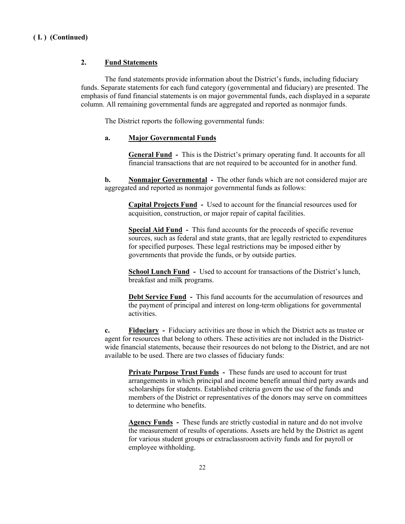#### **2. Fund Statements**

The fund statements provide information about the District's funds, including fiduciary funds. Separate statements for each fund category (governmental and fiduciary) are presented. The emphasis of fund financial statements is on major governmental funds, each displayed in a separate column. All remaining governmental funds are aggregated and reported as nonmajor funds.

The District reports the following governmental funds:

#### **a. Major Governmental Funds**

**General Fund -** This is the District's primary operating fund. It accounts for all financial transactions that are not required to be accounted for in another fund.

**b. Nonmajor Governmental -** The other funds which are not considered major are aggregated and reported as nonmajor governmental funds as follows:

**Capital Projects Fund -** Used to account for the financial resources used for acquisition, construction, or major repair of capital facilities.

**Special Aid Fund -** This fund accounts for the proceeds of specific revenue sources, such as federal and state grants, that are legally restricted to expenditures for specified purposes. These legal restrictions may be imposed either by governments that provide the funds, or by outside parties.

**School Lunch Fund -** Used to account for transactions of the District's lunch, breakfast and milk programs.

**Debt Service Fund -** This fund accounts for the accumulation of resources and the payment of principal and interest on long-term obligations for governmental activities.

**c. Fiduciary -** Fiduciary activities are those in which the District acts as trustee or agent for resources that belong to others. These activities are not included in the Districtwide financial statements, because their resources do not belong to the District, and are not available to be used. There are two classes of fiduciary funds:

**Private Purpose Trust Funds -** These funds are used to account for trust arrangements in which principal and income benefit annual third party awards and scholarships for students. Established criteria govern the use of the funds and members of the District or representatives of the donors may serve on committees to determine who benefits.

**Agency Funds -** These funds are strictly custodial in nature and do not involve the measurement of results of operations. Assets are held by the District as agent for various student groups or extraclassroom activity funds and for payroll or employee withholding.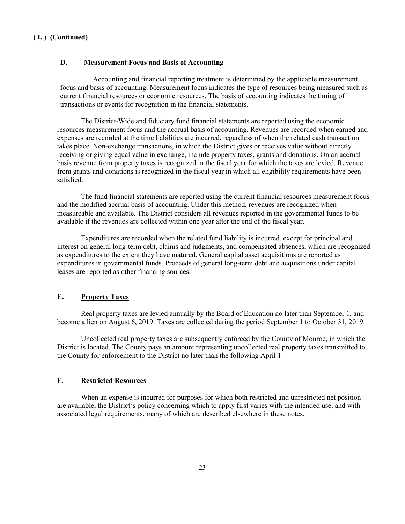#### **D. Measurement Focus and Basis of Accounting**

Accounting and financial reporting treatment is determined by the applicable measurement focus and basis of accounting. Measurement focus indicates the type of resources being measured such as current financial resources or economic resources. The basis of accounting indicates the timing of transactions or events for recognition in the financial statements.

The District-Wide and fiduciary fund financial statements are reported using the economic resources measurement focus and the accrual basis of accounting. Revenues are recorded when earned and expenses are recorded at the time liabilities are incurred, regardless of when the related cash transaction takes place. Non-exchange transactions, in which the District gives or receives value without directly receiving or giving equal value in exchange, include property taxes, grants and donations. On an accrual basis revenue from property taxes is recognized in the fiscal year for which the taxes are levied. Revenue from grants and donations is recognized in the fiscal year in which all eligibility requirements have been satisfied.

The fund financial statements are reported using the current financial resources measurement focus and the modified accrual basis of accounting. Under this method, revenues are recognized when measureable and available. The District considers all revenues reported in the governmental funds to be available if the revenues are collected within one year after the end of the fiscal year.

Expenditures are recorded when the related fund liability is incurred, except for principal and interest on general long-term debt, claims and judgments, and compensated absences, which are recognized as expenditures to the extent they have matured. General capital asset acquisitions are reported as expenditures in governmental funds. Proceeds of general long-term debt and acquisitions under capital leases are reported as other financing sources.

#### **E. Property Taxes**

Real property taxes are levied annually by the Board of Education no later than September 1, and become a lien on August 6, 2019. Taxes are collected during the period September 1 to October 31, 2019.

Uncollected real property taxes are subsequently enforced by the County of Monroe, in which the District is located. The County pays an amount representing uncollected real property taxes transmitted to the County for enforcement to the District no later than the following April 1.

#### **F. Restricted Resources**

When an expense is incurred for purposes for which both restricted and unrestricted net position are available, the District's policy concerning which to apply first varies with the intended use, and with associated legal requirements, many of which are described elsewhere in these notes.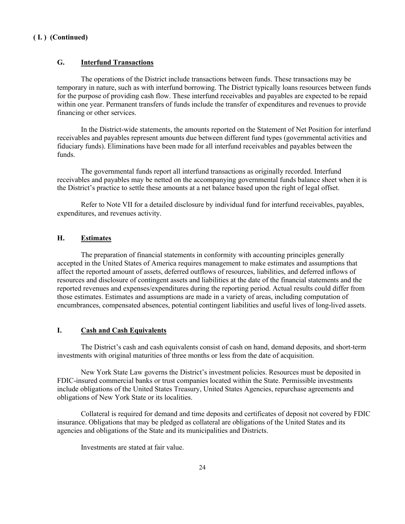#### **G. Interfund Transactions**

The operations of the District include transactions between funds. These transactions may be temporary in nature, such as with interfund borrowing. The District typically loans resources between funds for the purpose of providing cash flow. These interfund receivables and payables are expected to be repaid within one year. Permanent transfers of funds include the transfer of expenditures and revenues to provide financing or other services.

In the District-wide statements, the amounts reported on the Statement of Net Position for interfund receivables and payables represent amounts due between different fund types (governmental activities and fiduciary funds). Eliminations have been made for all interfund receivables and payables between the funds.

The governmental funds report all interfund transactions as originally recorded. Interfund receivables and payables may be netted on the accompanying governmental funds balance sheet when it is the District's practice to settle these amounts at a net balance based upon the right of legal offset.

Refer to Note VII for a detailed disclosure by individual fund for interfund receivables, payables, expenditures, and revenues activity.

#### **H. Estimates**

The preparation of financial statements in conformity with accounting principles generally accepted in the United States of America requires management to make estimates and assumptions that affect the reported amount of assets, deferred outflows of resources, liabilities, and deferred inflows of resources and disclosure of contingent assets and liabilities at the date of the financial statements and the reported revenues and expenses/expenditures during the reporting period. Actual results could differ from those estimates. Estimates and assumptions are made in a variety of areas, including computation of encumbrances, compensated absences, potential contingent liabilities and useful lives of long-lived assets.

#### **I. Cash and Cash Equivalents**

The District's cash and cash equivalents consist of cash on hand, demand deposits, and short-term investments with original maturities of three months or less from the date of acquisition.

New York State Law governs the District's investment policies. Resources must be deposited in FDIC-insured commercial banks or trust companies located within the State. Permissible investments include obligations of the United States Treasury, United States Agencies, repurchase agreements and obligations of New York State or its localities.

Collateral is required for demand and time deposits and certificates of deposit not covered by FDIC insurance. Obligations that may be pledged as collateral are obligations of the United States and its agencies and obligations of the State and its municipalities and Districts.

Investments are stated at fair value.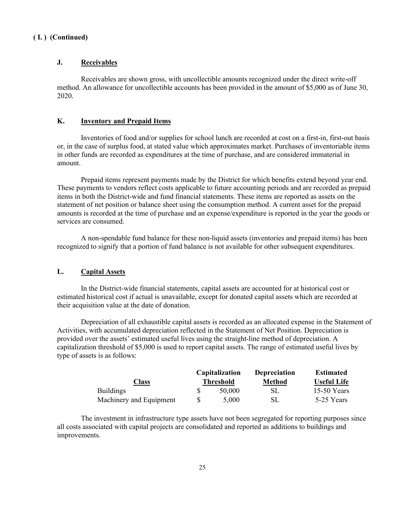#### **J. Receivables**

Receivables are shown gross, with uncollectible amounts recognized under the direct write-off method. An allowance for uncollectible accounts has been provided in the amount of \$5,000 as of June 30, 2020.

#### **K. Inventory and Prepaid Items**

Inventories of food and/or supplies for school lunch are recorded at cost on a first-in, first-out basis or, in the case of surplus food, at stated value which approximates market. Purchases of inventoriable items in other funds are recorded as expenditures at the time of purchase, and are considered immaterial in amount.

Prepaid items represent payments made by the District for which benefits extend beyond year end. These payments to vendors reflect costs applicable to future accounting periods and are recorded as prepaid items in both the District-wide and fund financial statements. These items are reported as assets on the statement of net position or balance sheet using the consumption method. A current asset for the prepaid amounts is recorded at the time of purchase and an expense/expenditure is reported in the year the goods or services are consumed.

A non-spendable fund balance for these non-liquid assets (inventories and prepaid items) has been recognized to signify that a portion of fund balance is not available for other subsequent expenditures.

#### **L. Capital Assets**

In the District-wide financial statements, capital assets are accounted for at historical cost or estimated historical cost if actual is unavailable, except for donated capital assets which are recorded at their acquisition value at the date of donation.

Depreciation of all exhaustible capital assets is recorded as an allocated expense in the Statement of Activities, with accumulated depreciation reflected in the Statement of Net Position. Depreciation is provided over the assets' estimated useful lives using the straight-line method of depreciation. A capitalization threshold of \$5,000 is used to report capital assets. The range of estimated useful lives by type of assets is as follows:

|                         | Capitalization | <b>Depreciation</b> | <b>Estimated</b>   |
|-------------------------|----------------|---------------------|--------------------|
| Class                   | Threshold      | Method              | <b>Useful Life</b> |
| <b>Buildings</b>        | 50.000         | SL.                 | $15-50$ Years      |
| Machinery and Equipment | 5.000          | SL.                 | 5-25 Years         |

The investment in infrastructure type assets have not been segregated for reporting purposes since all costs associated with capital projects are consolidated and reported as additions to buildings and improvements.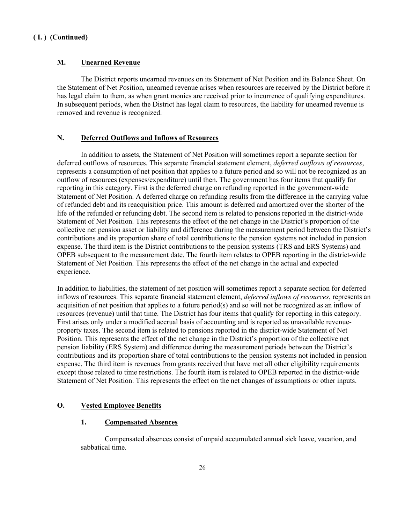#### **M. Unearned Revenue**

The District reports unearned revenues on its Statement of Net Position and its Balance Sheet. On the Statement of Net Position, unearned revenue arises when resources are received by the District before it has legal claim to them, as when grant monies are received prior to incurrence of qualifying expenditures. In subsequent periods, when the District has legal claim to resources, the liability for unearned revenue is removed and revenue is recognized.

#### **N. Deferred Outflows and Inflows of Resources**

In addition to assets, the Statement of Net Position will sometimes report a separate section for deferred outflows of resources. This separate financial statement element, *deferred outflows of resources*, represents a consumption of net position that applies to a future period and so will not be recognized as an outflow of resources (expenses/expenditure) until then. The government has four items that qualify for reporting in this category. First is the deferred charge on refunding reported in the government-wide Statement of Net Position. A deferred charge on refunding results from the difference in the carrying value of refunded debt and its reacquisition price. This amount is deferred and amortized over the shorter of the life of the refunded or refunding debt. The second item is related to pensions reported in the district-wide Statement of Net Position. This represents the effect of the net change in the District's proportion of the collective net pension asset or liability and difference during the measurement period between the District's contributions and its proportion share of total contributions to the pension systems not included in pension expense. The third item is the District contributions to the pension systems (TRS and ERS Systems) and OPEB subsequent to the measurement date. The fourth item relates to OPEB reporting in the district-wide Statement of Net Position. This represents the effect of the net change in the actual and expected experience.

In addition to liabilities, the statement of net position will sometimes report a separate section for deferred inflows of resources. This separate financial statement element, *deferred inflows of resources*, represents an acquisition of net position that applies to a future period(s) and so will not be recognized as an inflow of resources (revenue) until that time. The District has four items that qualify for reporting in this category. First arises only under a modified accrual basis of accounting and is reported as unavailable revenueproperty taxes. The second item is related to pensions reported in the district-wide Statement of Net Position. This represents the effect of the net change in the District's proportion of the collective net pension liability (ERS System) and difference during the measurement periods between the District's contributions and its proportion share of total contributions to the pension systems not included in pension expense. The third item is revenues from grants received that have met all other eligibility requirements except those related to time restrictions. The fourth item is related to OPEB reported in the district-wide Statement of Net Position. This represents the effect on the net changes of assumptions or other inputs.

#### **O. Vested Employee Benefits**

#### **1. Compensated Absences**

Compensated absences consist of unpaid accumulated annual sick leave, vacation, and sabbatical time.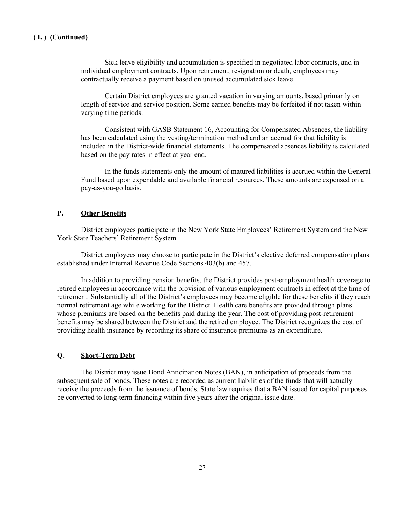Sick leave eligibility and accumulation is specified in negotiated labor contracts, and in individual employment contracts. Upon retirement, resignation or death, employees may contractually receive a payment based on unused accumulated sick leave.

Certain District employees are granted vacation in varying amounts, based primarily on length of service and service position. Some earned benefits may be forfeited if not taken within varying time periods.

Consistent with GASB Statement 16, Accounting for Compensated Absences, the liability has been calculated using the vesting/termination method and an accrual for that liability is included in the District-wide financial statements. The compensated absences liability is calculated based on the pay rates in effect at year end.

In the funds statements only the amount of matured liabilities is accrued within the General Fund based upon expendable and available financial resources. These amounts are expensed on a pay-as-you-go basis.

#### **P. Other Benefits**

District employees participate in the New York State Employees' Retirement System and the New York State Teachers' Retirement System.

District employees may choose to participate in the District's elective deferred compensation plans established under Internal Revenue Code Sections 403(b) and 457.

In addition to providing pension benefits, the District provides post-employment health coverage to retired employees in accordance with the provision of various employment contracts in effect at the time of retirement. Substantially all of the District's employees may become eligible for these benefits if they reach normal retirement age while working for the District. Health care benefits are provided through plans whose premiums are based on the benefits paid during the year. The cost of providing post-retirement benefits may be shared between the District and the retired employee. The District recognizes the cost of providing health insurance by recording its share of insurance premiums as an expenditure.

#### **Q. Short-Term Debt**

The District may issue Bond Anticipation Notes (BAN), in anticipation of proceeds from the subsequent sale of bonds. These notes are recorded as current liabilities of the funds that will actually receive the proceeds from the issuance of bonds. State law requires that a BAN issued for capital purposes be converted to long-term financing within five years after the original issue date.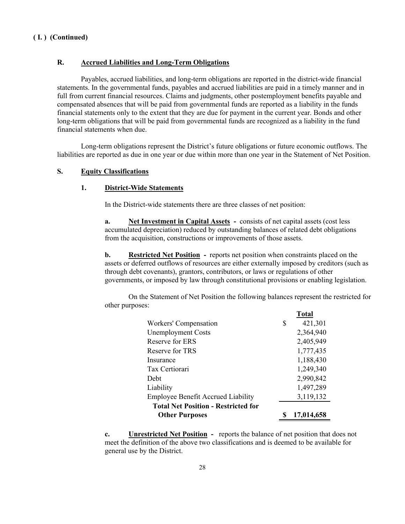#### **R. Accrued Liabilities and Long-Term Obligations**

Payables, accrued liabilities, and long-term obligations are reported in the district-wide financial statements. In the governmental funds, payables and accrued liabilities are paid in a timely manner and in full from current financial resources. Claims and judgments, other postemployment benefits payable and compensated absences that will be paid from governmental funds are reported as a liability in the funds financial statements only to the extent that they are due for payment in the current year. Bonds and other long-term obligations that will be paid from governmental funds are recognized as a liability in the fund financial statements when due.

Long-term obligations represent the District's future obligations or future economic outflows. The liabilities are reported as due in one year or due within more than one year in the Statement of Net Position.

#### **S. Equity Classifications**

#### **1. District-Wide Statements**

In the District-wide statements there are three classes of net position:

**a. Net Investment in Capital Assets -** consists of net capital assets (cost less accumulated depreciation) reduced by outstanding balances of related debt obligations from the acquisition, constructions or improvements of those assets.

**b. Restricted Net Position** - reports net position when constraints placed on the assets or deferred outflows of resources are either externally imposed by creditors (such as through debt covenants), grantors, contributors, or laws or regulations of other governments, or imposed by law through constitutional provisions or enabling legislation.

On the Statement of Net Position the following balances represent the restricted for other purposes:

**Total**

|                                            | 1 otal        |
|--------------------------------------------|---------------|
| Workers' Compensation                      | \$<br>421,301 |
| <b>Unemployment Costs</b>                  | 2,364,940     |
| Reserve for ERS                            | 2,405,949     |
| Reserve for TRS                            | 1,777,435     |
| Insurance                                  | 1,188,430     |
| Tax Certiorari                             | 1,249,340     |
| Debt                                       | 2,990,842     |
| Liability                                  | 1,497,289     |
| <b>Employee Benefit Accrued Liability</b>  | 3,119,132     |
| <b>Total Net Position - Restricted for</b> |               |
| <b>Other Purposes</b>                      | 17,014,658    |

**c. Unrestricted Net Position -** reports the balance of net position that does not meet the definition of the above two classifications and is deemed to be available for general use by the District.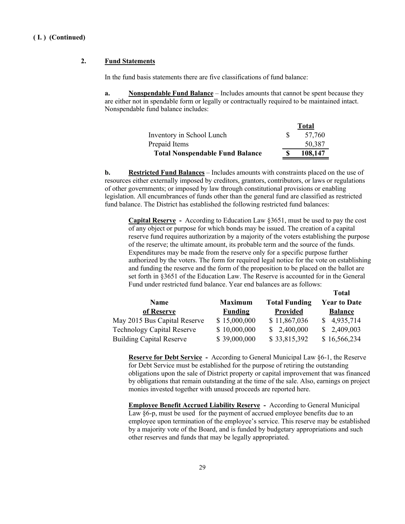#### **2. Fund Statements**

In the fund basis statements there are five classifications of fund balance:

**a. Nonspendable Fund Balance** – Includes amounts that cannot be spent because they are either not in spendable form or legally or contractually required to be maintained intact. Nonspendable fund balance includes:

|                                        | Total   |
|----------------------------------------|---------|
| Inventory in School Lunch              | 57.760  |
| Prepaid Items                          | 50,387  |
| <b>Total Nonspendable Fund Balance</b> | 108.147 |

**b. Restricted Fund Balances** – Includes amounts with constraints placed on the use of resources either externally imposed by creditors, grantors, contributors, or laws or regulations of other governments; or imposed by law through constitutional provisions or enabling legislation. All encumbrances of funds other than the general fund are classified as restricted fund balance. The District has established the following restricted fund balances:

**Capital Reserve -** According to Education Law §3651, must be used to pay the cost of any object or purpose for which bonds may be issued. The creation of a capital reserve fund requires authorization by a majority of the voters establishing the purpose of the reserve; the ultimate amount, its probable term and the source of the funds. Expenditures may be made from the reserve only for a specific purpose further authorized by the voters. The form for required legal notice for the vote on establishing and funding the reserve and the form of the proposition to be placed on the ballot are set forth in §3651 of the Education Law. The Reserve is accounted for in the General Fund under restricted fund balance. Year end balances are as follows:

**Total**

|                |                      | .                   |
|----------------|----------------------|---------------------|
| <b>Maximum</b> | <b>Total Funding</b> | <b>Year to Date</b> |
| <b>Funding</b> | Provided             | <b>Balance</b>      |
| \$15,000,000   | \$11,867,036         | \$4,935,714         |
| \$10,000,000   | \$2,400,000          | \$2,409,003         |
| \$39,000,000   | \$33,815,392         | \$16,566,234        |
|                |                      |                     |

**Reserve for Debt Service -** According to General Municipal Law §6-1, the Reserve for Debt Service must be established for the purpose of retiring the outstanding obligations upon the sale of District property or capital improvement that was financed by obligations that remain outstanding at the time of the sale. Also, earnings on project monies invested together with unused proceeds are reported here.

**Employee Benefit Accrued Liability Reserve -** According to General Municipal Law §6-p, must be used for the payment of accrued employee benefits due to an employee upon termination of the employee's service. This reserve may be established by a majority vote of the Board, and is funded by budgetary appropriations and such other reserves and funds that may be legally appropriated.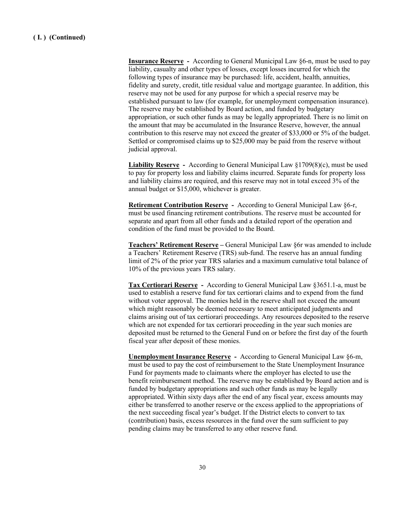**Insurance Reserve -** According to General Municipal Law §6-n, must be used to pay liability, casualty and other types of losses, except losses incurred for which the following types of insurance may be purchased: life, accident, health, annuities, fidelity and surety, credit, title residual value and mortgage guarantee. In addition, this reserve may not be used for any purpose for which a special reserve may be established pursuant to law (for example, for unemployment compensation insurance). The reserve may be established by Board action, and funded by budgetary appropriation, or such other funds as may be legally appropriated. There is no limit on the amount that may be accumulated in the Insurance Reserve, however, the annual contribution to this reserve may not exceed the greater of \$33,000 or 5% of the budget. Settled or compromised claims up to \$25,000 may be paid from the reserve without judicial approval.

**Liability Reserve -** According to General Municipal Law §1709(8)(c), must be used to pay for property loss and liability claims incurred. Separate funds for property loss and liability claims are required, and this reserve may not in total exceed 3% of the annual budget or \$15,000, whichever is greater.

**Retirement Contribution Reserve -** According to General Municipal Law §6-r, must be used financing retirement contributions. The reserve must be accounted for separate and apart from all other funds and a detailed report of the operation and condition of the fund must be provided to the Board.

**Teachers' Retirement Reserve –** General Municipal Law §6r was amended to include a Teachers' Retirement Reserve (TRS) sub-fund. The reserve has an annual funding limit of 2% of the prior year TRS salaries and a maximum cumulative total balance of 10% of the previous years TRS salary.

**Tax Certiorari Reserve -** According to General Municipal Law §3651.1-a, must be used to establish a reserve fund for tax certiorari claims and to expend from the fund without voter approval. The monies held in the reserve shall not exceed the amount which might reasonably be deemed necessary to meet anticipated judgments and claims arising out of tax certiorari proceedings. Any resources deposited to the reserve which are not expended for tax certiorari proceeding in the year such monies are deposited must be returned to the General Fund on or before the first day of the fourth fiscal year after deposit of these monies.

**Unemployment Insurance Reserve -** According to General Municipal Law §6-m, must be used to pay the cost of reimbursement to the State Unemployment Insurance Fund for payments made to claimants where the employer has elected to use the benefit reimbursement method. The reserve may be established by Board action and is funded by budgetary appropriations and such other funds as may be legally appropriated. Within sixty days after the end of any fiscal year, excess amounts may either be transferred to another reserve or the excess applied to the appropriations of the next succeeding fiscal year's budget. If the District elects to convert to tax (contribution) basis, excess resources in the fund over the sum sufficient to pay pending claims may be transferred to any other reserve fund.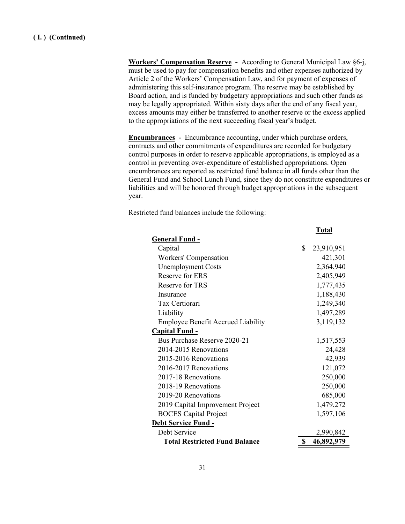**Workers' Compensation Reserve -** According to General Municipal Law §6-j, must be used to pay for compensation benefits and other expenses authorized by Article 2 of the Workers' Compensation Law, and for payment of expenses of administering this self-insurance program. The reserve may be established by Board action, and is funded by budgetary appropriations and such other funds as may be legally appropriated. Within sixty days after the end of any fiscal year, excess amounts may either be transferred to another reserve or the excess applied to the appropriations of the next succeeding fiscal year's budget.

**Encumbrances -** Encumbrance accounting, under which purchase orders, contracts and other commitments of expenditures are recorded for budgetary control purposes in order to reserve applicable appropriations, is employed as a control in preventing over-expenditure of established appropriations. Open encumbrances are reported as restricted fund balance in all funds other than the General Fund and School Lunch Fund, since they do not constitute expenditures or liabilities and will be honored through budget appropriations in the subsequent year.

**Total**

Restricted fund balances include the following:

| <b>General Fund -</b>                     |                  |
|-------------------------------------------|------------------|
| Capital                                   | \$<br>23,910,951 |
| Workers' Compensation                     | 421,301          |
| <b>Unemployment Costs</b>                 | 2,364,940        |
| Reserve for ERS                           | 2,405,949        |
| Reserve for TRS                           | 1,777,435        |
| Insurance                                 | 1,188,430        |
| Tax Certiorari                            | 1,249,340        |
| Liability                                 | 1,497,289        |
| <b>Employee Benefit Accrued Liability</b> | 3,119,132        |
| <b>Capital Fund -</b>                     |                  |
| Bus Purchase Reserve 2020-21              | 1,517,553        |
| 2014-2015 Renovations                     | 24,428           |
| 2015-2016 Renovations                     | 42,939           |
| 2016-2017 Renovations                     | 121,072          |
| 2017-18 Renovations                       | 250,000          |
| 2018-19 Renovations                       | 250,000          |
| 2019-20 Renovations                       | 685,000          |
| 2019 Capital Improvement Project          | 1,479,272        |
| <b>BOCES</b> Capital Project              | 1,597,106        |
| Debt Service Fund -                       |                  |
| Debt Service                              | 2,990,842        |
| <b>Total Restricted Fund Balance</b>      | \$<br>46,892,979 |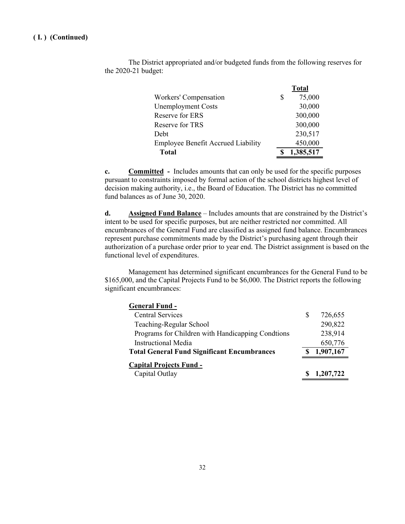|                                           |   | <b>Total</b> |
|-------------------------------------------|---|--------------|
| Workers' Compensation                     | S | 75,000       |
| <b>Unemployment Costs</b>                 |   | 30,000       |
| Reserve for ERS                           |   | 300,000      |
| Reserve for TRS                           |   | 300,000      |
| Debt                                      |   | 230,517      |
| <b>Employee Benefit Accrued Liability</b> |   | 450,000      |
| <b>Total</b>                              |   | 1,385,517    |

The District appropriated and/or budgeted funds from the following reserves for the 2020-21 budget:

**c. Committed -** Includes amounts that can only be used for the specific purposes pursuant to constraints imposed by formal action of the school districts highest level of decision making authority, i.e., the Board of Education. The District has no committed fund balances as of June 30, 2020.

**d. Assigned Fund Balance** – Includes amounts that are constrained by the District's intent to be used for specific purposes, but are neither restricted nor committed. All encumbrances of the General Fund are classified as assigned fund balance. Encumbrances represent purchase commitments made by the District's purchasing agent through their authorization of a purchase order prior to year end. The District assignment is based on the functional level of expenditures.

Management has determined significant encumbrances for the General Fund to be \$165,000, and the Capital Projects Fund to be \$6,000. The District reports the following significant encumbrances:

| <b>General Fund -</b>                              |   |           |
|----------------------------------------------------|---|-----------|
| <b>Central Services</b>                            | S | 726,655   |
| Teaching-Regular School                            |   | 290,822   |
| Programs for Children with Handicapping Condtions  |   | 238,914   |
| <b>Instructional Media</b>                         |   | 650,776   |
| <b>Total General Fund Significant Encumbrances</b> |   | 1,907,167 |
| <b>Capital Projects Fund -</b>                     |   |           |
| Capital Outlay                                     |   | 1,207,722 |
|                                                    |   |           |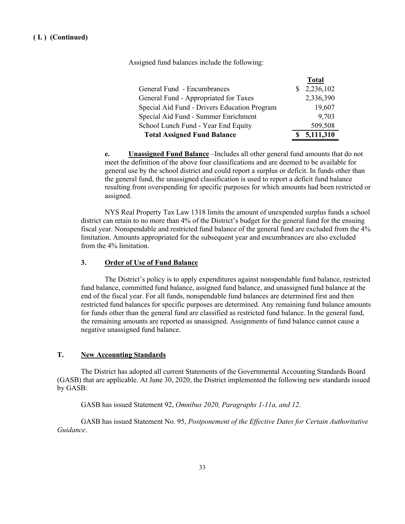Assigned fund balances include the following:

|                                              | 1 otal    |
|----------------------------------------------|-----------|
| General Fund - Encumbrances                  | 2,236,102 |
| General Fund - Appropriated for Taxes        | 2,336,390 |
| Special Aid Fund - Drivers Education Program | 19,607    |
| Special Aid Fund - Summer Enrichment         | 9,703     |
| School Lunch Fund - Year End Equity          | 509,508   |
| <b>Total Assigned Fund Balance</b>           | 5,111,310 |
|                                              |           |

**Total**

**e. Unassigned Fund Balance** –Includes all other general fund amounts that do not meet the definition of the above four classifications and are deemed to be available for general use by the school district and could report a surplus or deficit. In funds other than the general fund, the unassigned classification is used to report a deficit fund balance resulting from overspending for specific purposes for which amounts had been restricted or assigned.

NYS Real Property Tax Law 1318 limits the amount of unexpended surplus funds a school district can retain to no more than 4% of the District's budget for the general fund for the ensuing fiscal year. Nonspendable and restricted fund balance of the general fund are excluded from the 4% limitation. Amounts appropriated for the subsequent year and encumbrances are also excluded from the 4% limitation.

#### **3. Order of Use of Fund Balance**

The District's policy is to apply expenditures against nonspendable fund balance, restricted fund balance, committed fund balance, assigned fund balance, and unassigned fund balance at the end of the fiscal year. For all funds, nonspendable fund balances are determined first and then restricted fund balances for specific purposes are determined. Any remaining fund balance amounts for funds other than the general fund are classified as restricted fund balance. In the general fund, the remaining amounts are reported as unassigned. Assignments of fund balance cannot cause a negative unassigned fund balance.

#### **T. New Accounting Standards**

The District has adopted all current Statements of the Governmental Accounting Standards Board (GASB) that are applicable. At June 30, 2020, the District implemented the following new standards issued by GASB:

GASB has issued Statement 92, *Omnibus 2020, Paragraphs 1-11a, and 12*.

GASB has issued Statement No. 95, *Postponement of the Effective Dates for Certain Authoritative Guidance*.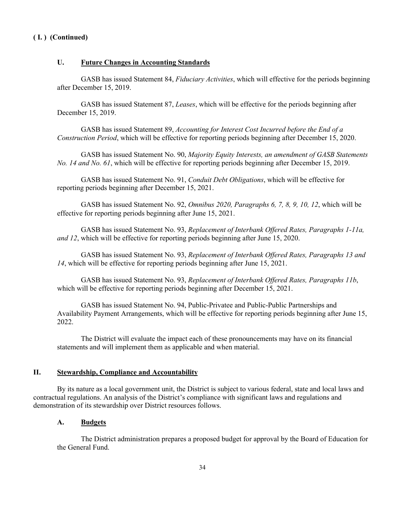#### **U. Future Changes in Accounting Standards**

GASB has issued Statement 84, *Fiduciary Activities*, which will effective for the periods beginning after December 15, 2019.

GASB has issued Statement 87, *Leases*, which will be effective for the periods beginning after December 15, 2019.

GASB has issued Statement 89, *Accounting for Interest Cost Incurred before the End of a Construction Period*, which will be effective for reporting periods beginning after December 15, 2020.

GASB has issued Statement No. 90, *Majority Equity Interests, an amendment of GASB Statements No. 14 and No. 61*, which will be effective for reporting periods beginning after December 15, 2019.

GASB has issued Statement No. 91, *Conduit Debt Obligations*, which will be effective for reporting periods beginning after December 15, 2021.

GASB has issued Statement No. 92, *Omnibus 2020, Paragraphs 6, 7, 8, 9, 10, 12*, which will be effective for reporting periods beginning after June 15, 2021.

GASB has issued Statement No. 93, *Replacement of Interbank Offered Rates, Paragraphs 1-11a, and 12*, which will be effective for reporting periods beginning after June 15, 2020.

GASB has issued Statement No. 93, *Replacement of Interbank Offered Rates, Paragraphs 13 and 14*, which will be effective for reporting periods beginning after June 15, 2021.

GASB has issued Statement No. 93, *Replacement of Interbank Offered Rates, Paragraphs 11b*, which will be effective for reporting periods beginning after December 15, 2021.

GASB has issued Statement No. 94, Public-Privatee and Public-Public Partnerships and Availability Payment Arrangements, which will be effective for reporting periods beginning after June 15, 2022.

The District will evaluate the impact each of these pronouncements may have on its financial statements and will implement them as applicable and when material.

#### **II. Stewardship, Compliance and Accountability**

By its nature as a local government unit, the District is subject to various federal, state and local laws and contractual regulations. An analysis of the District's compliance with significant laws and regulations and demonstration of its stewardship over District resources follows.

#### **A. Budgets**

The District administration prepares a proposed budget for approval by the Board of Education for the General Fund.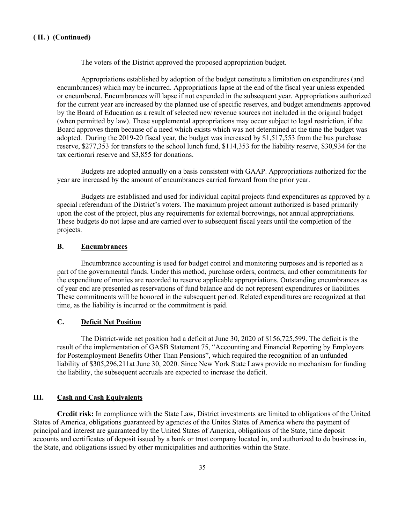The voters of the District approved the proposed appropriation budget.

Appropriations established by adoption of the budget constitute a limitation on expenditures (and encumbrances) which may be incurred. Appropriations lapse at the end of the fiscal year unless expended or encumbered. Encumbrances will lapse if not expended in the subsequent year. Appropriations authorized for the current year are increased by the planned use of specific reserves, and budget amendments approved by the Board of Education as a result of selected new revenue sources not included in the original budget (when permitted by law). These supplemental appropriations may occur subject to legal restriction, if the Board approves them because of a need which exists which was not determined at the time the budget was adopted. During the 2019-20 fiscal year, the budget was increased by \$1,517,553 from the bus purchase reserve, \$277,353 for transfers to the school lunch fund, \$114,353 for the liability reserve, \$30,934 for the tax certiorari reserve and \$3,855 for donations.

Budgets are adopted annually on a basis consistent with GAAP. Appropriations authorized for the year are increased by the amount of encumbrances carried forward from the prior year.

Budgets are established and used for individual capital projects fund expenditures as approved by a special referendum of the District's voters. The maximum project amount authorized is based primarily upon the cost of the project, plus any requirements for external borrowings, not annual appropriations. These budgets do not lapse and are carried over to subsequent fiscal years until the completion of the projects.

#### **B. Encumbrances**

Encumbrance accounting is used for budget control and monitoring purposes and is reported as a part of the governmental funds. Under this method, purchase orders, contracts, and other commitments for the expenditure of monies are recorded to reserve applicable appropriations. Outstanding encumbrances as of year end are presented as reservations of fund balance and do not represent expenditures or liabilities. These commitments will be honored in the subsequent period. Related expenditures are recognized at that time, as the liability is incurred or the commitment is paid.

#### **C. Deficit Net Position**

The District-wide net position had a deficit at June 30, 2020 of \$156,725,599. The deficit is the result of the implementation of GASB Statement 75, "Accounting and Financial Reporting by Employers for Postemployment Benefits Other Than Pensions", which required the recognition of an unfunded liability of \$305,296,211at June 30, 2020. Since New York State Laws provide no mechanism for funding the liability, the subsequent accruals are expected to increase the deficit.

#### **III. Cash and Cash Equivalents**

**Credit risk:** In compliance with the State Law, District investments are limited to obligations of the United States of America, obligations guaranteed by agencies of the Unites States of America where the payment of principal and interest are guaranteed by the United States of America, obligations of the State, time deposit accounts and certificates of deposit issued by a bank or trust company located in, and authorized to do business in, the State, and obligations issued by other municipalities and authorities within the State.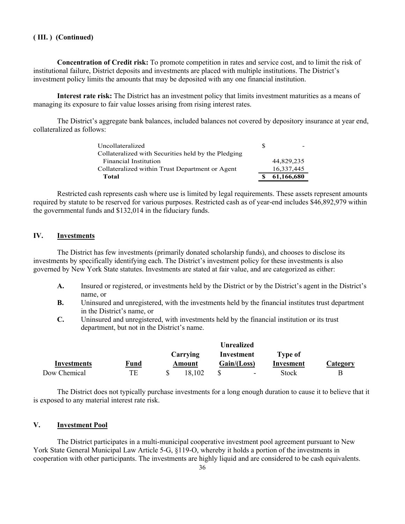**Concentration of Credit risk:** To promote competition in rates and service cost, and to limit the risk of institutional failure, District deposits and investments are placed with multiple institutions. The District's investment policy limits the amounts that may be deposited with any one financial institution.

**Interest rate risk:** The District has an investment policy that limits investment maturities as a means of managing its exposure to fair value losses arising from rising interest rates.

The District's aggregate bank balances, included balances not covered by depository insurance at year end, collateralized as follows:

| Uncollateralized                                    | æ, |              |
|-----------------------------------------------------|----|--------------|
| Collateralized with Securities held by the Pledging |    |              |
| <b>Financial Institution</b>                        |    | 44.829.235   |
| Collateralized within Trust Department or Agent     |    | 16, 337, 445 |
| Total                                               |    | 61,166,680   |

Restricted cash represents cash where use is limited by legal requirements. These assets represent amounts required by statute to be reserved for various purposes. Restricted cash as of year-end includes \$46,892,979 within the governmental funds and \$132,014 in the fiduciary funds.

#### **IV. Investments**

The District has few investments (primarily donated scholarship funds), and chooses to disclose its investments by specifically identifying each. The District's investment policy for these investments is also governed by New York State statutes. Investments are stated at fair value, and are categorized as either:

- **A.** Insured or registered, or investments held by the District or by the District's agent in the District's name, or
- **B.** Uninsured and unregistered, with the investments held by the financial institutes trust department in the District's name, or
- **C.** Uninsured and unregistered, with investments held by the financial institution or its trust department, but not in the District's name.

|              |             |          | Unrealized               |           |                 |
|--------------|-------------|----------|--------------------------|-----------|-----------------|
|              |             | Carrying | Investment               | Type of   |                 |
| Investments  | <u>Fund</u> | Amount   | Gain/(Loss)              | Invesment | <b>Category</b> |
| Dow Chemical | TE          | 18.102   | $\overline{\phantom{a}}$ | Stock     |                 |

The District does not typically purchase investments for a long enough duration to cause it to believe that it is exposed to any material interest rate risk.

#### **V. Investment Pool**

The District participates in a multi-municipal cooperative investment pool agreement pursuant to New York State General Municipal Law Article 5-G, §119-O, whereby it holds a portion of the investments in cooperation with other participants. The investments are highly liquid and are considered to be cash equivalents.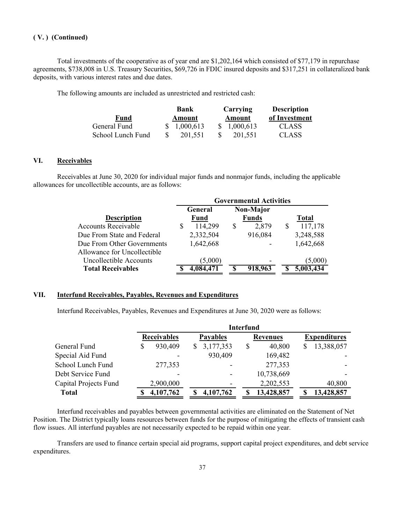Total investments of the cooperative as of year end are \$1,202,164 which consisted of \$77,179 in repurchase agreements, \$738,008 in U.S. Treasury Securities, \$69,726 in FDIC insured deposits and \$317,251 in collateralized bank deposits, with various interest rates and due dates.

The following amounts are included as unrestricted and restricted cash:

|                   | Bank        | Carrying    | <b>Description</b> |
|-------------------|-------------|-------------|--------------------|
| Fund              | Amount      | Amount      | of Investment      |
| General Fund      | \$1,000,613 | \$1,000,613 | <b>CLASS</b>       |
| School Lunch Fund | 201,551     | 201,551     | <b>CLASS</b>       |

#### **VI. Receivables**

Receivables at June 30, 2020 for individual major funds and nonmajor funds, including the applicable allowances for uncollectible accounts, are as follows:

|                             | <b>Governmental Activities</b> |             |   |                  |   |              |  |
|-----------------------------|--------------------------------|-------------|---|------------------|---|--------------|--|
|                             |                                | General     |   | <b>Non-Major</b> |   |              |  |
| <b>Description</b>          |                                | <b>Fund</b> |   | <b>Funds</b>     |   | <b>Total</b> |  |
| <b>Accounts Receivable</b>  | S                              | 114,299     | S | 2,879            | S | 117,178      |  |
| Due From State and Federal  |                                | 2,332,504   |   | 916,084          |   | 3,248,588    |  |
| Due From Other Governments  |                                | 1,642,668   |   |                  |   | 1,642,668    |  |
| Allowance for Uncollectible |                                |             |   |                  |   |              |  |
| Uncollectible Accounts      |                                | (5,000)     |   |                  |   | (5,000)      |  |
| <b>Total Receivables</b>    |                                | 4.084.471   |   | 918,963          |   | 5,003,434    |  |
|                             |                                |             |   |                  |   |              |  |

#### **VII. Interfund Receivables, Payables, Revenues and Expenditures**

Interfund Receivables, Payables, Revenues and Expenditures at June 30, 2020 were as follows:

|                       | <b>Interfund</b>   |           |  |                 |    |                 |  |                     |
|-----------------------|--------------------|-----------|--|-----------------|----|-----------------|--|---------------------|
|                       | <b>Receivables</b> |           |  | <b>Payables</b> |    | <b>Revenues</b> |  | <b>Expenditures</b> |
| General Fund          |                    | 930,409   |  | 3,177,353       | \$ | 40,800          |  | 13,388,057          |
| Special Aid Fund      |                    |           |  | 930,409         |    | 169,482         |  |                     |
| School Lunch Fund     |                    | 277,353   |  |                 |    | 277,353         |  |                     |
| Debt Service Fund     |                    |           |  |                 |    | 10,738,669      |  |                     |
| Capital Projects Fund |                    | 2,900,000 |  |                 |    | 2,202,553       |  | 40,800              |
| <b>Total</b>          |                    | 4,107,762 |  | 4,107,762       |    | 13,428,857      |  | 13,428,857          |
|                       |                    |           |  |                 |    |                 |  |                     |

Interfund receivables and payables between governmental activities are eliminated on the Statement of Net Position. The District typically loans resources between funds for the purpose of mitigating the effects of transient cash flow issues. All interfund payables are not necessarily expected to be repaid within one year.

Transfers are used to finance certain special aid programs, support capital project expenditures, and debt service expenditures.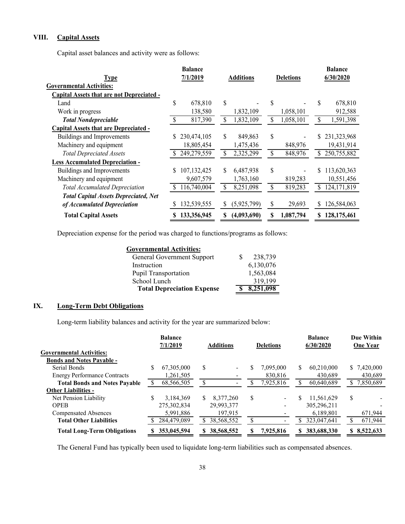### **VIII. Capital Assets**

Capital asset balances and activity were as follows:

|                                                  | <b>Balance</b> |             |                  |             |                  |           | <b>Balance</b> |               |
|--------------------------------------------------|----------------|-------------|------------------|-------------|------------------|-----------|----------------|---------------|
| Type                                             | 7/1/2019       |             | <b>Additions</b> |             | <b>Deletions</b> |           | 6/30/2020      |               |
| <b>Governmental Activities:</b>                  |                |             |                  |             |                  |           |                |               |
| <b>Capital Assets that are not Depreciated -</b> |                |             |                  |             |                  |           |                |               |
| Land                                             | \$             | 678,810     | \$               |             | \$               |           | S              | 678,810       |
| Work in progress                                 |                | 138,580     |                  | 1,832,109   |                  | 1,058,101 |                | 912,588       |
| <b>Total Nondepreciable</b>                      | S              | 817,390     | S                | 1,832,109   | \$               | 1,058,101 | S              | 1,591,398     |
| <b>Capital Assets that are Depreciated -</b>     |                |             |                  |             |                  |           |                |               |
| Buildings and Improvements                       | S.             | 230,474,105 | S                | 849,863     | \$               |           | S              | 231,323,968   |
| Machinery and equipment                          |                | 18,805,454  |                  | 1,475,436   |                  | 848,976   |                | 19,431,914    |
| <b>Total Depreciated Assets</b>                  |                | 249,279,559 | \$               | 2,325,299   | \$               | 848,976   | S              | 250,755,882   |
| <b>Less Accumulated Depreciation -</b>           |                |             |                  |             |                  |           |                |               |
| Buildings and Improvements                       |                | 107,132,425 | S                | 6,487,938   | \$               |           | S              | 113,620,363   |
| Machinery and equipment                          |                | 9,607,579   |                  | 1,763,160   |                  | 819,283   |                | 10,551,456    |
| <b>Total Accumulated Depreciation</b>            |                | 116,740,004 |                  | 8,251,098   | \$               | 819,283   | S              | 124, 171, 819 |
| <b>Total Capital Assets Depreciated, Net</b>     |                |             |                  |             |                  |           |                |               |
| of Accumulated Depreciation                      |                | 132,539,555 | S                | (5,925,799) | \$               | 29,693    | S              | 126,584,063   |
| <b>Total Capital Assets</b>                      |                | 133,356,945 |                  | (4,093,690) | S                | 1,087,794 | \$             | 128,175,461   |

Depreciation expense for the period was charged to functions/programs as follows:

| <b>Governmental Activities:</b>   |           |
|-----------------------------------|-----------|
| General Government Support        | 238,739   |
| Instruction                       | 6,130,076 |
| <b>Pupil Transportation</b>       | 1,563,084 |
| School Lunch                      | 319,199   |
| <b>Total Depreciation Expense</b> | 8,251,098 |
|                                   |           |

#### **IX. Long-Term Debt Obligations**

Long-term liability balances and activity for the year are summarized below:

|                                      | <b>Balance</b><br>7/1/2019 | <b>Additions</b> | <b>Deletions</b>              | <b>Balance</b><br>6/30/2020 | <b>Due Within</b><br><b>One Year</b> |
|--------------------------------------|----------------------------|------------------|-------------------------------|-----------------------------|--------------------------------------|
| <b>Governmental Activities:</b>      |                            |                  |                               |                             |                                      |
| <b>Bonds and Notes Payable -</b>     |                            |                  |                               |                             |                                      |
| Serial Bonds                         | 67,305,000                 | S                | \$<br>7.095.000               | S.<br>60.210.000            | \$7,420,000                          |
| <b>Energy Performance Contracts</b>  | 1,261,505                  |                  | 830,816                       | 430,689                     | 430,689                              |
| <b>Total Bonds and Notes Payable</b> | 68,566,505                 |                  | 7,925,816                     | 60,640,689                  | \$7,850,689                          |
| <b>Other Liabilities -</b>           |                            |                  |                               |                             |                                      |
| Net Pension Liability                | 3,184,369                  | 8.377.260        | S<br>$\overline{\phantom{a}}$ | \$<br>11,561,629            | S                                    |
| <b>OPEB</b>                          | 275,302,834                | 29,993,377       |                               | 305,296,211                 |                                      |
| <b>Compensated Absences</b>          | 5,991,886                  | 197,915          |                               | 6,189,801                   | 671,944                              |
| <b>Total Other Liabilities</b>       | 284,479,089                | 38,568,552       |                               | 323,047,641                 | 671,944                              |
| <b>Total Long-Term Obligations</b>   | 353,045,594                | 38,568,552       | 7,925,816                     | 383,688,330                 | \$8,522,633                          |

The General Fund has typically been used to liquidate long-term liabilities such as compensated absences.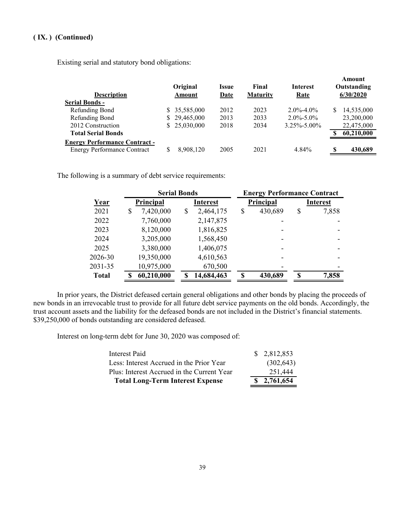Existing serial and statutory bond obligations:

| <b>Description</b>                   | Original<br>Amount | Issue<br>Date | Final<br><b>Maturity</b> | <b>Interest</b><br><u>Rate</u> |    | Amount<br>Outstanding<br>6/30/2020 |
|--------------------------------------|--------------------|---------------|--------------------------|--------------------------------|----|------------------------------------|
| <b>Serial Bonds -</b>                |                    |               |                          |                                |    |                                    |
| Refunding Bond                       | 35,585,000         | 2012          | 2023                     | $2.0\% - 4.0\%$                | S. | 14,535,000                         |
| Refunding Bond                       | 29,465,000         | 2013          | 2033                     | $2.0\% - 5.0\%$                |    | 23,200,000                         |
| 2012 Construction                    | 25,030,000         | 2018          | 2034                     | $3.25\% - 5.00\%$              |    | 22,475,000                         |
| <b>Total Serial Bonds</b>            |                    |               |                          |                                |    | 60,210,000                         |
| <b>Energy Performance Contract -</b> |                    |               |                          |                                |    |                                    |
| <b>Energy Performance Contract</b>   | 8,908,120          | 2005          | 2021                     | 4.84%                          | S  | 430,689                            |

The following is a summary of debt service requirements:

|              |                  | <b>Serial Bonds</b> | <b>Energy Performance Contract</b> |                 |
|--------------|------------------|---------------------|------------------------------------|-----------------|
| Year         | <b>Principal</b> | <b>Interest</b>     | <b>Principal</b>                   | <b>Interest</b> |
| 2021         | 7,420,000<br>\$  | 2,464,175<br>\$     | 430,689<br>\$                      | \$<br>7,858     |
| 2022         | 7,760,000        | 2,147,875           |                                    |                 |
| 2023         | 8,120,000        | 1,816,825           |                                    |                 |
| 2024         | 3,205,000        | 1,568,450           |                                    |                 |
| 2025         | 3,380,000        | 1,406,075           |                                    |                 |
| 2026-30      | 19,350,000       | 4,610,563           |                                    |                 |
| 2031-35      | 10,975,000       | 670,500             |                                    |                 |
| <b>Total</b> | 60,210,000<br>Я  | 14,684,463          | 430,689<br>Я                       | 7,858<br>\$     |

In prior years, the District defeased certain general obligations and other bonds by placing the proceeds of new bonds in an irrevocable trust to provide for all future debt service payments on the old bonds. Accordingly, the trust account assets and the liability for the defeased bonds are not included in the District's financial statements. \$39,250,000 of bonds outstanding are considered defeased.

Interest on long-term debt for June 30, 2020 was composed of:

| Interest Paid                              | \$2,812,853 |
|--------------------------------------------|-------------|
| Less: Interest Accrued in the Prior Year   | (302, 643)  |
| Plus: Interest Accrued in the Current Year | 251,444     |
| <b>Total Long-Term Interest Expense</b>    | \$2,761,654 |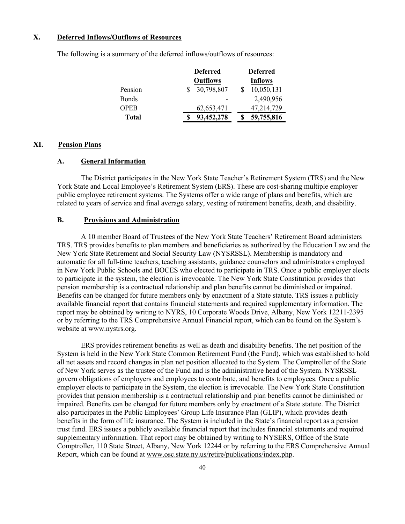#### **X. Deferred Inflows/Outflows of Resources**

The following is a summary of the deferred inflows/outflows of resources:

| <b>Deferred</b> | <b>Deferred</b> |
|-----------------|-----------------|
| <b>Outflows</b> | <b>Inflows</b>  |
| 30,798,807      | 10,050,131      |
|                 | 2,490,956       |
| 62, 653, 471    | 47,214,729      |
| 93,452,278      | 59,755,816      |
|                 |                 |

#### **XI. Pension Plans**

#### **A. General Information**

The District participates in the New York State Teacher's Retirement System (TRS) and the New York State and Local Employee's Retirement System (ERS). These are cost-sharing multiple employer public employee retirement systems. The Systems offer a wide range of plans and benefits, which are related to years of service and final average salary, vesting of retirement benefits, death, and disability.

#### **B. Provisions and Administration**

A 10 member Board of Trustees of the New York State Teachers' Retirement Board administers TRS. TRS provides benefits to plan members and beneficiaries as authorized by the Education Law and the New York State Retirement and Social Security Law (NYSRSSL). Membership is mandatory and automatic for all full-time teachers, teaching assistants, guidance counselors and administrators employed in New York Public Schools and BOCES who elected to participate in TRS. Once a public employer elects to participate in the system, the election is irrevocable. The New York State Constitution provides that pension membership is a contractual relationship and plan benefits cannot be diminished or impaired. Benefits can be changed for future members only by enactment of a State statute. TRS issues a publicly available financial report that contains financial statements and required supplementary information. The report may be obtained by writing to NYRS, 10 Corporate Woods Drive, Albany, New York 12211-2395 or by referring to the TRS Comprehensive Annual Financial report, which can be found on the System's website at www.nystrs.org.

ERS provides retirement benefits as well as death and disability benefits. The net position of the System is held in the New York State Common Retirement Fund (the Fund), which was established to hold all net assets and record changes in plan net position allocated to the System. The Comptroller of the State of New York serves as the trustee of the Fund and is the administrative head of the System. NYSRSSL govern obligations of employers and employees to contribute, and benefits to employees. Once a public employer elects to participate in the System, the election is irrevocable. The New York State Constitution provides that pension membership is a contractual relationship and plan benefits cannot be diminished or impaired. Benefits can be changed for future members only by enactment of a State statute. The District also participates in the Public Employees' Group Life Insurance Plan (GLIP), which provides death benefits in the form of life insurance. The System is included in the State's financial report as a pension trust fund. ERS issues a publicly available financial report that includes financial statements and required supplementary information. That report may be obtained by writing to NYSERS, Office of the State Comptroller, 110 State Street, Albany, New York 12244 or by referring to the ERS Comprehensive Annual Report, which can be found at www.osc.state.ny.us/retire/publications/index.php.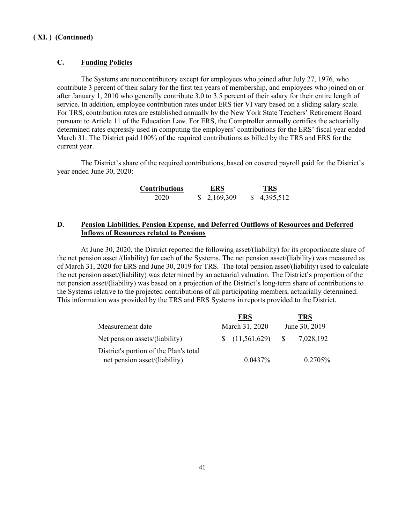#### **C. Funding Policies**

The Systems are noncontributory except for employees who joined after July 27, 1976, who contribute 3 percent of their salary for the first ten years of membership, and employees who joined on or after January 1, 2010 who generally contribute 3.0 to 3.5 percent of their salary for their entire length of service. In addition, employee contribution rates under ERS tier VI vary based on a sliding salary scale. For TRS, contribution rates are established annually by the New York State Teachers' Retirement Board pursuant to Article 11 of the Education Law. For ERS, the Comptroller annually certifies the actuarially determined rates expressly used in computing the employers' contributions for the ERS' fiscal year ended March 31. The District paid 100% of the required contributions as billed by the TRS and ERS for the current year.

The District's share of the required contributions, based on covered payroll paid for the District's year ended June 30, 2020:

| <b>Contributions</b> |  | ERS         | <b>TRS</b>  |
|----------------------|--|-------------|-------------|
| 2020                 |  | \$2,169,309 | \$4,395,512 |

#### **D. Pension Liabilities, Pension Expense, and Deferred Outflows of Resources and Deferred Inflows of Resources related to Pensions**

At June 30, 2020, the District reported the following asset/(liability) for its proportionate share of the net pension asset /(liability) for each of the Systems. The net pension asset/(liability) was measured as of March 31, 2020 for ERS and June 30, 2019 for TRS. The total pension asset/(liability) used to calculate the net pension asset/(liability) was determined by an actuarial valuation. The District's proportion of the net pension asset/(liability) was based on a projection of the District's long-term share of contributions to the Systems relative to the projected contributions of all participating members, actuarially determined. This information was provided by the TRS and ERS Systems in reports provided to the District.

|                                                                         | <b>ERS</b>           | <b>TRS</b>       |
|-------------------------------------------------------------------------|----------------------|------------------|
| Measurement date                                                        | March 31, 2020       | June 30, 2019    |
| Net pension assets/(liability)                                          | $\{(11, 561, 629)\}$ | 7,028,192<br>-SS |
| District's portion of the Plan's total<br>net pension asset/(liability) | $0.0437\%$           | 0.2705%          |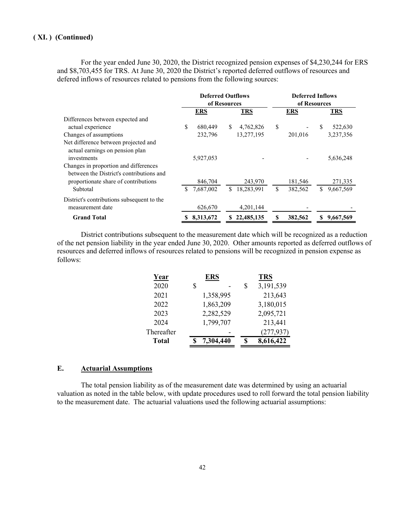For the year ended June 30, 2020, the District recognized pension expenses of \$4,230,244 for ERS and \$8,703,455 for TRS. At June 30, 2020 the District's reported deferred outflows of resources and defered inflows of resources related to pensions from the following sources:

|                                                                                   | <b>Deferred Outflows</b><br>of Resources |            | <b>Deferred Inflows</b><br>of Resources |            |    |            |    |            |
|-----------------------------------------------------------------------------------|------------------------------------------|------------|-----------------------------------------|------------|----|------------|----|------------|
|                                                                                   |                                          | <b>ERS</b> |                                         | <b>TRS</b> |    | <b>ERS</b> |    | <b>TRS</b> |
| Differences between expected and                                                  |                                          |            |                                         |            |    |            |    |            |
| actual experience                                                                 | \$                                       | 680,449    | S.                                      | 4,762,826  | \$ | ٠          | S  | 522,630    |
| Changes of assumptions                                                            |                                          | 232,796    |                                         | 13,277,195 |    | 201,016    |    | 3,237,356  |
| Net difference between projected and<br>actual earnings on pension plan           |                                          |            |                                         |            |    |            |    |            |
| investments                                                                       |                                          | 5,927,053  |                                         |            |    |            |    | 5,636,248  |
| Changes in proportion and differences<br>between the District's contributions and |                                          |            |                                         |            |    |            |    |            |
| proportionate share of contributions                                              |                                          | 846,704    |                                         | 243,970    |    | 181,546    |    | 271,335    |
| Subtotal                                                                          | S.                                       | 7,687,002  | S                                       | 18,283,991 | \$ | 382,562    | \$ | 9,667,569  |
| District's contributions subsequent to the<br>measurement date                    |                                          | 626,670    |                                         | 4,201,144  |    |            |    |            |
| <b>Grand Total</b>                                                                | S                                        | 8,313,672  | S                                       | 22,485,135 | S  | 382,562    | S  | 9,667,569  |

District contributions subsequent to the measurement date which will be recognized as a reduction of the net pension liability in the year ended June 30, 2020. Other amounts reported as deferred outflows of resources and deferred inflows of resources related to pensions will be recognized in pension expense as follows:

| ERS       | <b>TRS</b>     |
|-----------|----------------|
| S         | 3,191,539<br>S |
| 1,358,995 | 213,643        |
| 1,863,209 | 3,180,015      |
| 2,282,529 | 2,095,721      |
| 1,799,707 | 213,441        |
|           | (277, 937)     |
| 7,304,440 | 8,616,422      |
|           |                |

#### **E. Actuarial Assumptions**

The total pension liability as of the measurement date was determined by using an actuarial valuation as noted in the table below, with update procedures used to roll forward the total pension liability to the measurement date. The actuarial valuations used the following actuarial assumptions: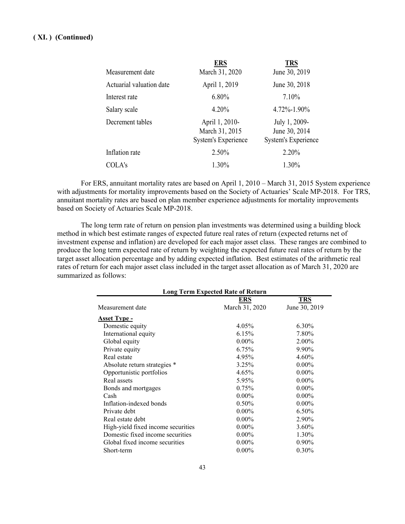| <b>ERS</b>                                                     | <b>TRS</b>                                                   |
|----------------------------------------------------------------|--------------------------------------------------------------|
| March 31, 2020                                                 | June 30, 2019                                                |
| April 1, 2019                                                  | June 30, 2018                                                |
| $6.80\%$                                                       | 7.10%                                                        |
| 4.20%                                                          | 4.72%-1.90%                                                  |
| April 1, 2010-<br>March 31, 2015<br><b>System's Experience</b> | July 1, 2009-<br>June 30, 2014<br><b>System's Experience</b> |
| 2.50%                                                          | 2.20%                                                        |
| 1.30%                                                          | 1.30%                                                        |
|                                                                |                                                              |

For ERS, annuitant mortality rates are based on April 1, 2010 – March 31, 2015 System experience with adjustments for mortality improvements based on the Society of Actuaries' Scale MP-2018. For TRS, annuitant mortality rates are based on plan member experience adjustments for mortality improvements based on Society of Actuaries Scale MP-2018.

The long term rate of return on pension plan investments was determined using a building block method in which best estimate ranges of expected future real rates of return (expected returns net of investment expense and inflation) are developed for each major asset class. These ranges are combined to produce the long term expected rate of return by weighting the expected future real rates of return by the target asset allocation percentage and by adding expected inflation. Best estimates of the arithmetic real rates of return for each major asset class included in the target asset allocation as of March 31, 2020 are summarized as follows:

L

| <b>Long Term Expected Rate of Return</b> |                |               |  |  |
|------------------------------------------|----------------|---------------|--|--|
|                                          | ERS            | TRS           |  |  |
| Measurement date                         | March 31, 2020 | June 30, 2019 |  |  |
| <b>Asset Type -</b>                      |                |               |  |  |
| Domestic equity                          | 4.05%          | $6.30\%$      |  |  |
| International equity                     | 6.15%          | 7.80%         |  |  |
| Global equity                            | $0.00\%$       | 2.00%         |  |  |
| Private equity                           | 6.75%          | 9.90%         |  |  |
| Real estate                              | 4.95%          | 4.60%         |  |  |
| Absolute return strategies *             | 3.25%          | $0.00\%$      |  |  |
| Opportunistic portfolios                 | 4.65%          | $0.00\%$      |  |  |
| Real assets                              | 5.95%          | $0.00\%$      |  |  |
| Bonds and mortgages                      | 0.75%          | $0.00\%$      |  |  |
| Cash                                     | $0.00\%$       | $0.00\%$      |  |  |
| Inflation-indexed bonds                  | $0.50\%$       | $0.00\%$      |  |  |
| Private debt                             | $0.00\%$       | 6.50%         |  |  |
| Real estate debt                         | $0.00\%$       | 2.90%         |  |  |
| High-yield fixed income securities       | $0.00\%$       | $3.60\%$      |  |  |
| Domestic fixed income securities         | $0.00\%$       | 1.30%         |  |  |
| Global fixed income securities           | $0.00\%$       | $0.90\%$      |  |  |
| Short-term                               | $0.00\%$       | $0.30\%$      |  |  |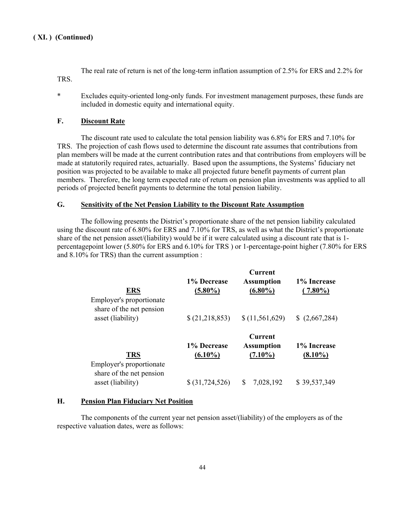The real rate of return is net of the long-term inflation assumption of 2.5% for ERS and 2.2% for TRS.

\* Excludes equity-oriented long-only funds. For investment management purposes, these funds are included in domestic equity and international equity.

#### **F. Discount Rate**

The discount rate used to calculate the total pension liability was 6.8% for ERS and 7.10% for TRS. The projection of cash flows used to determine the discount rate assumes that contributions from plan members will be made at the current contribution rates and that contributions from employers will be made at statutorily required rates, actuarially. Based upon the assumptions, the Systems' fiduciary net position was projected to be available to make all projected future benefit payments of current plan members. Therefore, the long term expected rate of return on pension plan investments was applied to all periods of projected benefit payments to determine the total pension liability.

#### **G. Sensitivity of the Net Pension Liability to the Discount Rate Assumption**

The following presents the District's proportionate share of the net pension liability calculated using the discount rate of 6.80% for ERS and 7.10% for TRS, as well as what the District's proportionate share of the net pension asset/(liability) would be if it were calculated using a discount rate that is 1 percentagepoint lower (5.80% for ERS and 6.10% for TRS ) or 1-percentage-point higher (7.80% for ERS and 8.10% for TRS) than the current assumption :

| <b>ERS</b><br>Employer's proportionate<br>share of the net pension | 1% Decrease<br>$(5.80\%)$ | <b>Current</b><br><b>Assumption</b><br>$(6.80\%)$ | 1% Increase<br>$(7.80\%)$ |
|--------------------------------------------------------------------|---------------------------|---------------------------------------------------|---------------------------|
| asset (liability)                                                  | \$(21, 218, 853)          | \$(11,561,629)                                    | (2,667,284)               |
| <b>TRS</b><br>Employer's proportionate                             | 1% Decrease<br>$(6.10\%)$ | <b>Current</b><br><b>Assumption</b><br>$(7.10\%)$ | 1% Increase<br>$(8.10\%)$ |
| share of the net pension<br>asset (liability)                      | \$ (31, 724, 526)         | 7,028,192<br>S                                    | \$39,537,349              |

#### **H. Pension Plan Fiduciary Net Position**

The components of the current year net pension asset/(liability) of the employers as of the respective valuation dates, were as follows: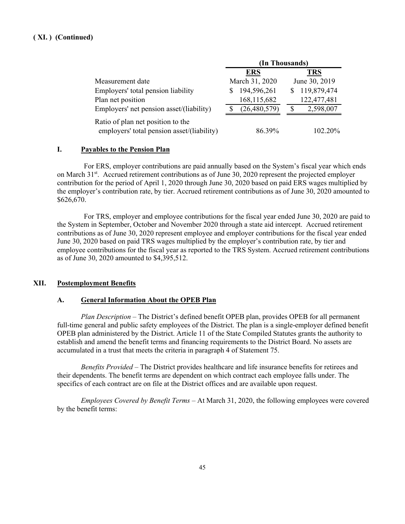|                                            | (In Thousands) |                 |
|--------------------------------------------|----------------|-----------------|
|                                            | <b>ERS</b>     | TRS             |
| Measurement date                           | March 31, 2020 | June 30, 2019   |
| Employers' total pension liability         | 194,596,261    | 119,879,474     |
| Plan net position                          | 168, 115, 682  | 122,477,481     |
| Employers' net pension asset/(liability)   | (26, 480, 579) | 2,598,007<br>\$ |
| Ratio of plan net position to the          |                |                 |
| employers' total pension asset/(liability) | 86 39%         | $10220\%$       |

#### **I. Payables to the Pension Plan**

For ERS, employer contributions are paid annually based on the System's fiscal year which ends on March 31<sup>st</sup>. Accrued retirement contributions as of June 30, 2020 represent the projected employer contribution for the period of April 1, 2020 through June 30, 2020 based on paid ERS wages multiplied by the employer's contribution rate, by tier. Accrued retirement contributions as of June 30, 2020 amounted to \$626,670.

For TRS, employer and employee contributions for the fiscal year ended June 30, 2020 are paid to the System in September, October and November 2020 through a state aid intercept. Accrued retirement contributions as of June 30, 2020 represent employee and employer contributions for the fiscal year ended June 30, 2020 based on paid TRS wages multiplied by the employer's contribution rate, by tier and employee contributions for the fiscal year as reported to the TRS System. Accrued retirement contributions as of June 30, 2020 amounted to \$4,395,512.

#### **XII. Postemployment Benefits**

#### **A. General Information About the OPEB Plan**

*Plan Description* – The District's defined benefit OPEB plan, provides OPEB for all permanent full-time general and public safety employees of the District. The plan is a single-employer defined benefit OPEB plan administered by the District. Article 11 of the State Compiled Statutes grants the authority to establish and amend the benefit terms and financing requirements to the District Board. No assets are accumulated in a trust that meets the criteria in paragraph 4 of Statement 75.

*Benefits Provided* – The District provides healthcare and life insurance benefits for retirees and their dependents. The benefit terms are dependent on which contract each employee falls under. The specifics of each contract are on file at the District offices and are available upon request.

*Employees Covered by Benefit Terms* – At March 31, 2020, the following employees were covered by the benefit terms: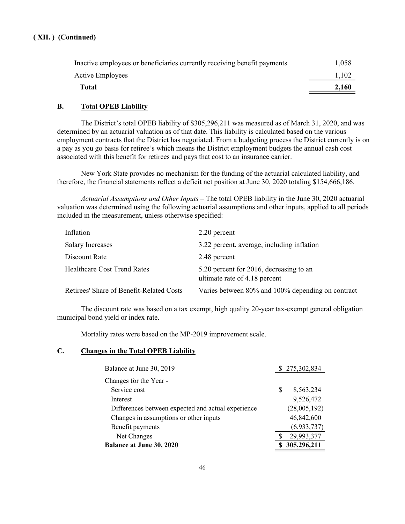| Total                                                                    | 2,160 |
|--------------------------------------------------------------------------|-------|
| Active Employees                                                         | 1.102 |
| Inactive employees or beneficiaries currently receiving benefit payments | 1.058 |

#### **B. Total OPEB Liability**

The District's total OPEB liability of \$305,296,211 was measured as of March 31, 2020, and was determined by an actuarial valuation as of that date. This liability is calculated based on the various employment contracts that the District has negotiated. From a budgeting process the District currently is on a pay as you go basis for retiree's which means the District employment budgets the annual cash cost associated with this benefit for retirees and pays that cost to an insurance carrier.

New York State provides no mechanism for the funding of the actuarial calculated liability, and therefore, the financial statements reflect a deficit net position at June 30, 2020 totaling \$154,666,186.

*Actuarial Assumptions and Other Inputs* – The total OPEB liability in the June 30, 2020 actuarial valuation was determined using the following actuarial assumptions and other inputs, applied to all periods included in the measurement, unless otherwise specified:

| Inflation                                | 2.20 percent                                                             |
|------------------------------------------|--------------------------------------------------------------------------|
| <b>Salary Increases</b>                  | 3.22 percent, average, including inflation                               |
| Discount Rate                            | 2.48 percent                                                             |
| <b>Healthcare Cost Trend Rates</b>       | 5.20 percent for 2016, decreasing to an<br>ultimate rate of 4.18 percent |
| Retirees' Share of Benefit-Related Costs | Varies between 80% and 100% depending on contract                        |

The discount rate was based on a tax exempt, high quality 20-year tax-exempt general obligation municipal bond yield or index rate.

Mortality rates were based on the MP-2019 improvement scale.

#### **C. Changes in the Total OPEB Liability**

| Balance at June 30, 2019                           |   | \$275,302,834 |
|----------------------------------------------------|---|---------------|
| Changes for the Year -                             |   |               |
| Service cost                                       | S | 8,563,234     |
| Interest                                           |   | 9,526,472     |
| Differences between expected and actual experience |   | (28,005,192)  |
| Changes in assumptions or other inputs             |   | 46,842,600    |
| Benefit payments                                   |   | (6,933,737)   |
| Net Changes                                        |   | 29,993,377    |
| <b>Balance at June 30, 2020</b>                    |   | 305,296,211   |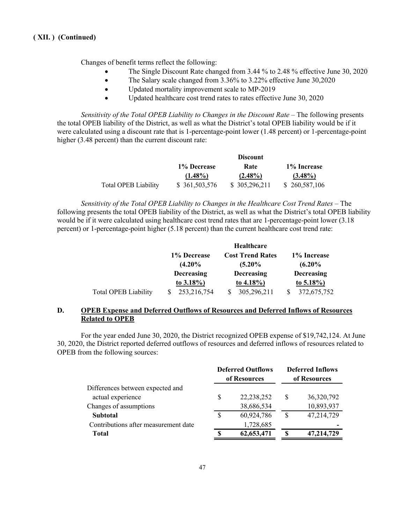Changes of benefit terms reflect the following:

- The Single Discount Rate changed from 3.44 % to 2.48 % effective June 30, 2020
- The Salary scale changed from 3.36% to 3.22% effective June 30,2020
- Updated mortality improvement scale to MP-2019
- Updated healthcare cost trend rates to rates effective June 30, 2020

*Sensitivity of the Total OPEB Liability to Changes in the Discount Rate* – The following presents the total OPEB liability of the District, as well as what the District's total OPEB liability would be if it were calculated using a discount rate that is 1-percentage-point lower (1.48 percent) or 1-percentage-point higher (3.48 percent) than the current discount rate:

|                             | <b>Discount</b> |                |               |  |  |
|-----------------------------|-----------------|----------------|---------------|--|--|
|                             | 1% Decrease     | Rate           | 1% Increase   |  |  |
|                             | $(1.48\%)$      | $(2.48\%)$     | $(3.48\%)$    |  |  |
| <b>Total OPEB Liability</b> | \$ 361,503,576  | \$ 305,296,211 | \$260,587,106 |  |  |

*Sensitivity of the Total OPEB Liability to Changes in the Healthcare Cost Trend Rates* – The following presents the total OPEB liability of the District, as well as what the District's total OPEB liability would be if it were calculated using healthcare cost trend rates that are 1-percentage-point lower (3.18 percent) or 1-percentage-point higher (5.18 percent) than the current healthcare cost trend rate:

|                             |                   | <b>Healthcare</b>       |                   |
|-----------------------------|-------------------|-------------------------|-------------------|
|                             | 1% Decrease       | <b>Cost Trend Rates</b> | 1% Increase       |
|                             | (4.20%            | $(5.20\%$               | $(6.20\%$         |
|                             | <b>Decreasing</b> | <b>Decreasing</b>       | <b>Decreasing</b> |
|                             | to $3.18%$        | to $4.18%$              | to $5.18\%$ )     |
| <b>Total OPEB Liability</b> | 253, 216, 754     | 305,296,211             | 372,675,752       |

#### **D. OPEB Expense and Deferred Outflows of Resources and Deferred Inflows of Resources Related to OPEB**

For the year ended June 30, 2020, the District recognized OPEB expense of \$19,742,124. At June 30, 2020, the District reported deferred outflows of resources and deferred inflows of resources related to OPEB from the following sources:

|   |            |                                          | <b>Deferred Inflows</b><br>of Resources |
|---|------------|------------------------------------------|-----------------------------------------|
|   |            |                                          |                                         |
| S | 22,238,252 | S                                        | 36,320,792                              |
|   | 38,686,534 |                                          | 10,893,937                              |
| S | 60,924,786 | S                                        | 47,214,729                              |
|   | 1,728,685  |                                          |                                         |
|   | 62,653,471 | -S                                       | 47,214,729                              |
|   |            | <b>Deferred Outflows</b><br>of Resources |                                         |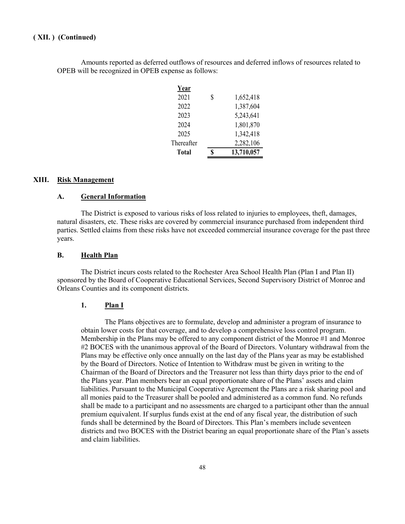Amounts reported as deferred outflows of resources and deferred inflows of resources related to OPEB will be recognized in OPEB expense as follows:

| Year         |   |            |
|--------------|---|------------|
| 2021         | S | 1,652,418  |
| 2022         |   | 1,387,604  |
| 2023         |   | 5,243,641  |
| 2024         |   | 1,801,870  |
| 2025         |   | 1,342,418  |
| Thereafter   |   | 2,282,106  |
| <b>Total</b> |   | 13,710,057 |
|              |   |            |

#### **XIII. Risk Management**

#### **A. General Information**

The District is exposed to various risks of loss related to injuries to employees, theft, damages, natural disasters, etc. These risks are covered by commercial insurance purchased from independent third parties. Settled claims from these risks have not exceeded commercial insurance coverage for the past three years.

#### **B. Health Plan**

The District incurs costs related to the Rochester Area School Health Plan (Plan I and Plan II) sponsored by the Board of Cooperative Educational Services, Second Supervisory District of Monroe and Orleans Counties and its component districts.

#### **1. Plan I**

The Plans objectives are to formulate, develop and administer a program of insurance to obtain lower costs for that coverage, and to develop a comprehensive loss control program. Membership in the Plans may be offered to any component district of the Monroe #1 and Monroe #2 BOCES with the unanimous approval of the Board of Directors. Voluntary withdrawal from the Plans may be effective only once annually on the last day of the Plans year as may be established by the Board of Directors. Notice of Intention to Withdraw must be given in writing to the Chairman of the Board of Directors and the Treasurer not less than thirty days prior to the end of the Plans year. Plan members bear an equal proportionate share of the Plans' assets and claim liabilities. Pursuant to the Municipal Cooperative Agreement the Plans are a risk sharing pool and all monies paid to the Treasurer shall be pooled and administered as a common fund. No refunds shall be made to a participant and no assessments are charged to a participant other than the annual premium equivalent. If surplus funds exist at the end of any fiscal year, the distribution of such funds shall be determined by the Board of Directors. This Plan's members include seventeen districts and two BOCES with the District bearing an equal proportionate share of the Plan's assets and claim liabilities.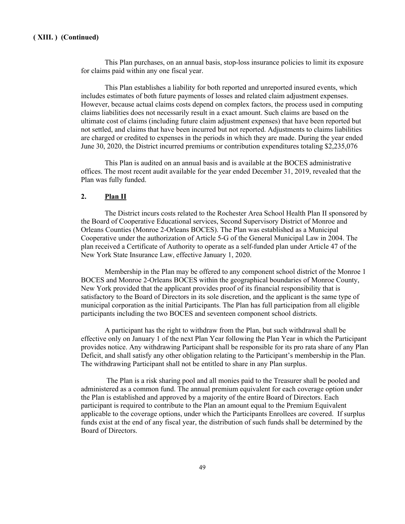This Plan purchases, on an annual basis, stop-loss insurance policies to limit its exposure for claims paid within any one fiscal year.

This Plan establishes a liability for both reported and unreported insured events, which includes estimates of both future payments of losses and related claim adjustment expenses. However, because actual claims costs depend on complex factors, the process used in computing claims liabilities does not necessarily result in a exact amount. Such claims are based on the ultimate cost of claims (including future claim adjustment expenses) that have been reported but not settled, and claims that have been incurred but not reported. Adjustments to claims liabilities are charged or credited to expenses in the periods in which they are made. During the year ended June 30, 2020, the District incurred premiums or contribution expenditures totaling \$2,235,076

This Plan is audited on an annual basis and is available at the BOCES administrative offices. The most recent audit available for the year ended December 31, 2019, revealed that the Plan was fully funded.

#### **2. Plan II**

The District incurs costs related to the Rochester Area School Health Plan II sponsored by the Board of Cooperative Educational services, Second Supervisory District of Monroe and Orleans Counties (Monroe 2-Orleans BOCES). The Plan was established as a Municipal Cooperative under the authorization of Article 5-G of the General Municipal Law in 2004. The plan received a Certificate of Authority to operate as a self-funded plan under Article 47 of the New York State Insurance Law, effective January 1, 2020.

Membership in the Plan may be offered to any component school district of the Monroe 1 BOCES and Monroe 2-Orleans BOCES within the geographical boundaries of Monroe County, New York provided that the applicant provides proof of its financial responsibility that is satisfactory to the Board of Directors in its sole discretion, and the applicant is the same type of municipal corporation as the initial Participants. The Plan has full participation from all eligible participants including the two BOCES and seventeen component school districts.

A participant has the right to withdraw from the Plan, but such withdrawal shall be effective only on January 1 of the next Plan Year following the Plan Year in which the Participant provides notice. Any withdrawing Participant shall be responsible for its pro rata share of any Plan Deficit, and shall satisfy any other obligation relating to the Participant's membership in the Plan. The withdrawing Participant shall not be entitled to share in any Plan surplus.

The Plan is a risk sharing pool and all monies paid to the Treasurer shall be pooled and administered as a common fund. The annual premium equivalent for each coverage option under the Plan is established and approved by a majority of the entire Board of Directors. Each participant is required to contribute to the Plan an amount equal to the Premium Equivalent applicable to the coverage options, under which the Participants Enrollees are covered. If surplus funds exist at the end of any fiscal year, the distribution of such funds shall be determined by the Board of Directors.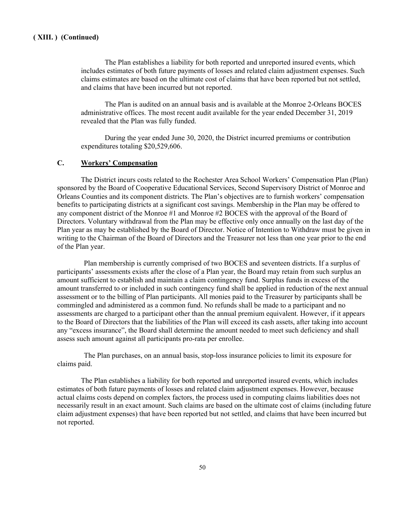The Plan establishes a liability for both reported and unreported insured events, which includes estimates of both future payments of losses and related claim adjustment expenses. Such claims estimates are based on the ultimate cost of claims that have been reported but not settled, and claims that have been incurred but not reported.

The Plan is audited on an annual basis and is available at the Monroe 2-Orleans BOCES administrative offices. The most recent audit available for the year ended December 31, 2019 revealed that the Plan was fully funded.

During the year ended June 30, 2020, the District incurred premiums or contribution expenditures totaling \$20,529,606.

#### **C. Workers' Compensation**

The District incurs costs related to the Rochester Area School Workers' Compensation Plan (Plan) sponsored by the Board of Cooperative Educational Services, Second Supervisory District of Monroe and Orleans Counties and its component districts. The Plan's objectives are to furnish workers' compensation benefits to participating districts at a significant cost savings. Membership in the Plan may be offered to any component district of the Monroe #1 and Monroe #2 BOCES with the approval of the Board of Directors. Voluntary withdrawal from the Plan may be effective only once annually on the last day of the Plan year as may be established by the Board of Director. Notice of Intention to Withdraw must be given in writing to the Chairman of the Board of Directors and the Treasurer not less than one year prior to the end of the Plan year.

Plan membership is currently comprised of two BOCES and seventeen districts. If a surplus of participants' assessments exists after the close of a Plan year, the Board may retain from such surplus an amount sufficient to establish and maintain a claim contingency fund. Surplus funds in excess of the amount transferred to or included in such contingency fund shall be applied in reduction of the next annual assessment or to the billing of Plan participants. All monies paid to the Treasurer by participants shall be commingled and administered as a common fund. No refunds shall be made to a participant and no assessments are charged to a participant other than the annual premium equivalent. However, if it appears to the Board of Directors that the liabilities of the Plan will exceed its cash assets, after taking into account any "excess insurance", the Board shall determine the amount needed to meet such deficiency and shall assess such amount against all participants pro-rata per enrollee.

The Plan purchases, on an annual basis, stop-loss insurance policies to limit its exposure for claims paid.

The Plan establishes a liability for both reported and unreported insured events, which includes estimates of both future payments of losses and related claim adjustment expenses. However, because actual claims costs depend on complex factors, the process used in computing claims liabilities does not necessarily result in an exact amount. Such claims are based on the ultimate cost of claims (including future claim adjustment expenses) that have been reported but not settled, and claims that have been incurred but not reported.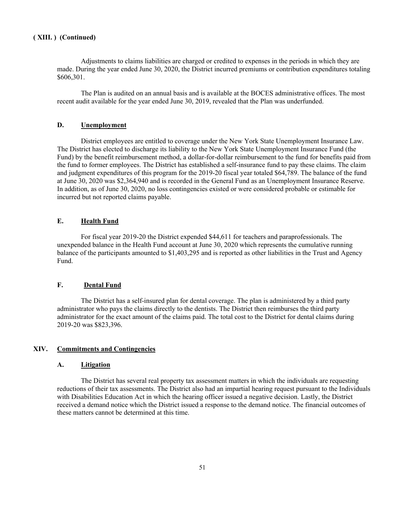Adjustments to claims liabilities are charged or credited to expenses in the periods in which they are made. During the year ended June 30, 2020, the District incurred premiums or contribution expenditures totaling \$606,301.

The Plan is audited on an annual basis and is available at the BOCES administrative offices. The most recent audit available for the year ended June 30, 2019, revealed that the Plan was underfunded.

#### **D. Unemployment**

District employees are entitled to coverage under the New York State Unemployment Insurance Law. The District has elected to discharge its liability to the New York State Unemployment Insurance Fund (the Fund) by the benefit reimbursement method, a dollar-for-dollar reimbursement to the fund for benefits paid from the fund to former employees. The District has established a self-insurance fund to pay these claims. The claim and judgment expenditures of this program for the 2019-20 fiscal year totaled \$64,789. The balance of the fund at June 30, 2020 was \$2,364,940 and is recorded in the General Fund as an Unemployment Insurance Reserve. In addition, as of June 30, 2020, no loss contingencies existed or were considered probable or estimable for incurred but not reported claims payable.

#### **E. Health Fund**

For fiscal year 2019-20 the District expended \$44,611 for teachers and paraprofessionals. The unexpended balance in the Health Fund account at June 30, 2020 which represents the cumulative running balance of the participants amounted to \$1,403,295 and is reported as other liabilities in the Trust and Agency Fund.

#### **F. Dental Fund**

The District has a self-insured plan for dental coverage. The plan is administered by a third party administrator who pays the claims directly to the dentists. The District then reimburses the third party administrator for the exact amount of the claims paid. The total cost to the District for dental claims during 2019-20 was \$823,396.

#### **XIV. Commitments and Contingencies**

#### **A. Litigation**

The District has several real property tax assessment matters in which the individuals are requesting reductions of their tax assessments. The District also had an impartial hearing request pursuant to the Individuals with Disabilities Education Act in which the hearing officer issued a negative decision. Lastly, the District received a demand notice which the District issued a response to the demand notice. The financial outcomes of these matters cannot be determined at this time.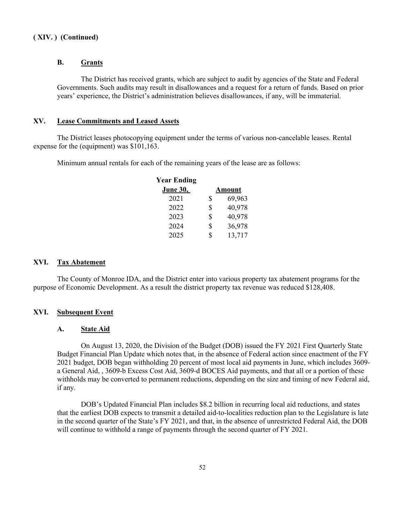#### **B. Grants**

The District has received grants, which are subject to audit by agencies of the State and Federal Governments. Such audits may result in disallowances and a request for a return of funds. Based on prior years' experience, the District's administration believes disallowances, if any, will be immaterial.

#### **XV. Lease Commitments and Leased Assets**

The District leases photocopying equipment under the terms of various non-cancelable leases. Rental expense for the (equipment) was \$101,163.

Minimum annual rentals for each of the remaining years of the lease are as follows:

| <b>Year Ending</b> |    |               |
|--------------------|----|---------------|
| <u>June 30,</u>    |    | <b>Amount</b> |
| 2021               | \$ | 69,963        |
| 2022               | \$ | 40,978        |
| 2023               | \$ | 40,978        |
| 2024               | \$ | 36,978        |
| 2025               | ፍ  | 13,717        |

#### **XVI. Tax Abatement**

The County of Monroe IDA, and the District enter into various property tax abatement programs for the purpose of Economic Development. As a result the district property tax revenue was reduced \$128,408.

#### **XVI. Subsequent Event**

#### **A. State Aid**

On August 13, 2020, the Division of the Budget (DOB) issued the FY 2021 First Quarterly State Budget Financial Plan Update which notes that, in the absence of Federal action since enactment of the FY 2021 budget, DOB began withholding 20 percent of most local aid payments in June, which includes 3609 a General Aid, , 3609-b Excess Cost Aid, 3609-d BOCES Aid payments, and that all or a portion of these withholds may be converted to permanent reductions, depending on the size and timing of new Federal aid, if any.

DOB's Updated Financial Plan includes \$8.2 billion in recurring local aid reductions, and states that the earliest DOB expects to transmit a detailed aid-to-localities reduction plan to the Legislature is late in the second quarter of the State's FY 2021, and that, in the absence of unrestricted Federal Aid, the DOB will continue to withhold a range of payments through the second quarter of FY 2021.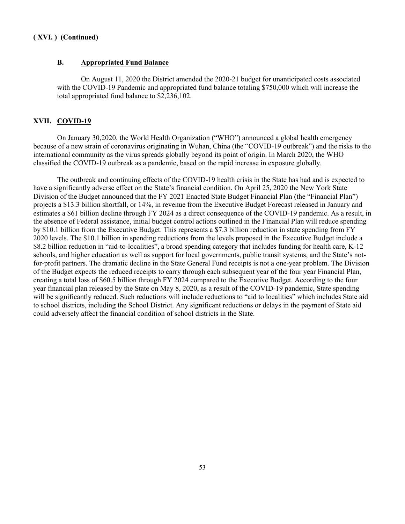#### **B. Appropriated Fund Balance**

On August 11, 2020 the District amended the 2020-21 budget for unanticipated costs associated with the COVID-19 Pandemic and appropriated fund balance totaling \$750,000 which will increase the total appropriated fund balance to \$2,236,102.

#### **XVII. COVID-19**

On January 30,2020, the World Health Organization ("WHO") announced a global health emergency because of a new strain of coronavirus originating in Wuhan, China (the "COVID-19 outbreak") and the risks to the international community as the virus spreads globally beyond its point of origin. In March 2020, the WHO classified the COVID-19 outbreak as a pandemic, based on the rapid increase in exposure globally.

The outbreak and continuing effects of the COVID-19 health crisis in the State has had and is expected to have a significantly adverse effect on the State's financial condition. On April 25, 2020 the New York State Division of the Budget announced that the FY 2021 Enacted State Budget Financial Plan (the "Financial Plan") projects a \$13.3 billion shortfall, or 14%, in revenue from the Executive Budget Forecast released in January and estimates a \$61 billion decline through FY 2024 as a direct consequence of the COVID-19 pandemic. As a result, in the absence of Federal assistance, initial budget control actions outlined in the Financial Plan will reduce spending by \$10.1 billion from the Executive Budget. This represents a \$7.3 billion reduction in state spending from FY 2020 levels. The \$10.1 billion in spending reductions from the levels proposed in the Executive Budget include a \$8.2 billion reduction in "aid-to-localities", a broad spending category that includes funding for health care, K-12 schools, and higher education as well as support for local governments, public transit systems, and the State's notfor-profit partners. The dramatic decline in the State General Fund receipts is not a one-year problem. The Division of the Budget expects the reduced receipts to carry through each subsequent year of the four year Financial Plan, creating a total loss of \$60.5 billion through FY 2024 compared to the Executive Budget. According to the four year financial plan released by the State on May 8, 2020, as a result of the COVID-19 pandemic, State spending will be significantly reduced. Such reductions will include reductions to "aid to localities" which includes State aid to school districts, including the School District. Any significant reductions or delays in the payment of State aid could adversely affect the financial condition of school districts in the State.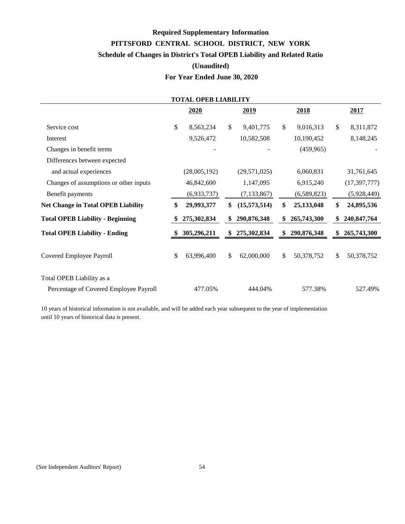## **Required Supplementary Information PITTSFORD CENTRAL SCHOOL DISTRICT, NEW YORK Schedule of Changes in District's Total OPEB Liability and Related Ratio (Unaudited) For Year Ended June 30, 2020**

|                                           |    | <b>TOTAL OPEB LIABILITY</b> |             |                |              |             |                   |
|-------------------------------------------|----|-----------------------------|-------------|----------------|--------------|-------------|-------------------|
|                                           |    | 2020                        | <u>2019</u> |                |              | 2018        | 2017              |
| Service cost                              | \$ | 8,563,234                   | \$          | 9,401,775      | $\mathbb{S}$ | 9,016,313   | \$<br>8,311,872   |
| Interest                                  |    | 9,526,472                   |             | 10,582,508     |              | 10,190,452  | 8,148,245         |
| Changes in benefit terms                  |    |                             |             |                |              | (459, 965)  |                   |
| Differences between expected              |    |                             |             |                |              |             |                   |
| and actual experiences                    |    | (28,005,192)                |             | (29, 571, 025) |              | 6,060,831   | 31,761,645        |
| Changes of assumptions or other inputs    |    | 46,842,600                  |             | 1,147,095      |              | 6,915,240   | (17, 397, 777)    |
| Benefit payments                          |    | (6,933,737)                 |             | (7, 133, 867)  |              | (6,589,823) | (5,928,449)       |
| <b>Net Change in Total OPEB Liability</b> | \$ | 29,993,377                  | \$          | (15,573,514)   | \$           | 25,133,048  | \$<br>24,895,536  |
| <b>Total OPEB Liability - Beginning</b>   |    | 275,302,834                 | \$          | 290,876,348    | \$           | 265,743,300 | \$<br>240,847,764 |
| <b>Total OPEB Liability - Ending</b>      |    | 305,296,211                 | \$          | 275,302,834    | \$           | 290,876,348 | \$<br>265,743,300 |
| Covered Employee Payroll                  | \$ | 63,996,400                  | \$          | 62,000,000     | \$           | 50,378,752  | \$<br>50,378,752  |
| Total OPEB Liability as a                 |    |                             |             |                |              |             |                   |
| Percentage of Covered Employee Payroll    |    | 477.05%                     |             | 444.04%        |              | 577.38%     | 527.49%           |

10 years of historical information is not available, and will be added each year subsequent to the year of implementation until 10 years of historical data is present.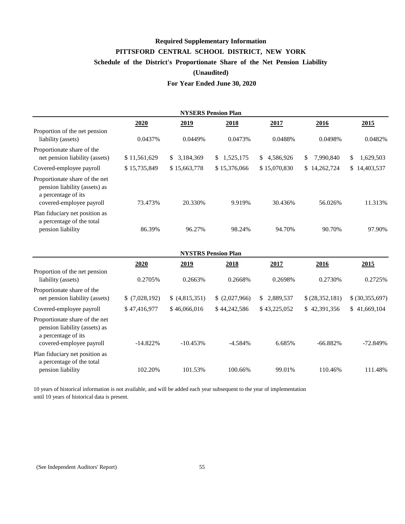### **Required Supplementary Information PITTSFORD CENTRAL SCHOOL DISTRICT, NEW YORK Schedule of the District's Proportionate Share of the Net Pension Liability (Unaudited) For Year Ended June 30, 2020**

| <b>NYSERS Pension Plan</b> |                 |                 |                 |                 |                |  |  |  |  |  |  |  |  |
|----------------------------|-----------------|-----------------|-----------------|-----------------|----------------|--|--|--|--|--|--|--|--|
| 2020                       |                 | 2018            | 2017            | 2016            | 2015           |  |  |  |  |  |  |  |  |
| 0.0437%                    | 0.0449%         | 0.0473%         | 0.0488%         | 0.0498%         | 0.0482%        |  |  |  |  |  |  |  |  |
| \$11,561,629               | 3,184,369<br>S. | 1,525,175<br>S. | 4,586,926<br>\$ | \$<br>7,990,840 | 1,629,503<br>S |  |  |  |  |  |  |  |  |
| \$15,735,849               | \$15,663,778    | \$15,376,066    | \$15,070,830    | \$14,262,724    | \$14,403,537   |  |  |  |  |  |  |  |  |
| 73.473%                    | 20.330%         | 9.919%          | 30.436%         | 56.026%         | 11.313%        |  |  |  |  |  |  |  |  |
| 86.39%                     | 96.27%          | 98.24%          | 94.70%          | 90.70%          | 97.90%         |  |  |  |  |  |  |  |  |
|                            |                 | 2019            |                 |                 |                |  |  |  |  |  |  |  |  |

|                                                                                                                    |               |               | <b>NYSTRS Pension Plan</b> |                 |                 |                 |
|--------------------------------------------------------------------------------------------------------------------|---------------|---------------|----------------------------|-----------------|-----------------|-----------------|
|                                                                                                                    | 2020          | <u>2019</u>   | <u>2018</u>                | 2017            | 2016            | 2015            |
| Proportion of the net pension<br>liability (assets)                                                                | 0.2705%       | 0.2663%       | 0.2668%                    | 0.2698%         | 0.2730%         | 0.2725%         |
| Proportionate share of the<br>net pension liability (assets)                                                       | \$(7,028,192) | \$(4,815,351) | \$ (2,027,966)             | 2,889,537<br>S. | \$ (28,352,181) | \$ (30,355,697) |
| Covered-employee payroll                                                                                           | \$47,416,977  | \$46,066,016  | \$44,242,586               | \$43,225,052    | \$42,391,356    | \$41,669,104    |
| Proportionate share of the net<br>pension liability (assets) as<br>a percentage of its<br>covered-employee payroll | $-14.822\%$   | $-10.453%$    | $-4.584%$                  | 6.685%          | $-66.882%$      | $-72.849%$      |
| Plan fiduciary net position as<br>a percentage of the total<br>pension liability                                   | 102.20%       | 101.53%       | 100.66%                    | 99.01%          | 110.46%         | 111.48%         |

10 years of historical information is not available, and will be added each year subsequent to the year of implementation until 10 years of historical data is present.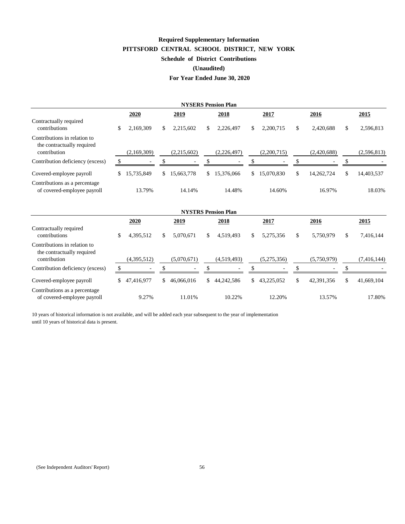### **Required Supplementary Information PITTSFORD CENTRAL SCHOOL DISTRICT, NEW YORK Schedule of District Contributions (Unaudited) For Year Ended June 30, 2020**

|                                                                            |    |             |      |             |    | <b>NYSERS Pension Plan</b> |                  |                  |                  |
|----------------------------------------------------------------------------|----|-------------|------|-------------|----|----------------------------|------------------|------------------|------------------|
|                                                                            |    | 2020        | 2019 |             |    | 2018                       | 2017             | 2016             | 2015             |
| Contractually required<br>contributions                                    |    | 2,169,309   | \$   | 2,215,602   | \$ | 2,226,497                  | \$<br>2,200,715  | \$<br>2,420,688  | \$<br>2,596,813  |
| Contributions in relation to<br>the contractually required<br>contribution |    | (2,169,309) |      | (2,215,602) |    | (2,226,497)                | (2,200,715)      | (2,420,688)      | (2, 596, 813)    |
| Contribution deficiency (excess)                                           | \$ |             | \$   |             |    |                            |                  | \$               | \$               |
| Covered-employee payroll                                                   | \$ | 15,735,849  | \$   | 15,663,778  | \$ | 15,376,066                 | \$<br>15,070,830 | \$<br>14,262,724 | \$<br>14,403,537 |
| Contributions as a percentage<br>of covered-employee payroll               |    | 13.79%      |      | 14.14%      |    | 14.48%                     | 14.60%           | 16.97%           | 18.03%           |
|                                                                            |    |             |      |             |    | <b>NYSTRS Pension Plan</b> |                  |                  |                  |
|                                                                            |    | 2020        |      | 2019        |    | <u>2018</u>                | 2017             | 2016             | <u>2015</u>      |
| Contractually required<br>contributions                                    | \$ | 4,395,512   | \$   | 5,070,671   | \$ | 4,519,493                  | \$<br>5,275,356  | \$<br>5,750,979  | \$<br>7,416,144  |
| Contributions in relation to<br>the contractually required<br>contribution |    | (4,395,512) |      | (5,070,671) |    | (4,519,493)                | (5,275,356)      | (5,750,979)      | (7, 416, 144)    |
| Contribution deficiency (excess)                                           | -S |             | \$   |             |    |                            |                  | \$               | \$               |
| Covered-employee payroll                                                   |    | 47,416,977  | \$   | 46.066.016  | \$ | 44,242,586                 | \$<br>43,225,052 | \$<br>42,391,356 | \$<br>41,669,104 |
| Contributions as a percentage<br>of covered-employee payroll               |    | 9.27%       |      | 11.01%      |    | 10.22%                     | 12.20%           | 13.57%           | 17.80%           |

10 years of historical information is not available, and will be added each year subsequent to the year of implementation until 10 years of historical data is present.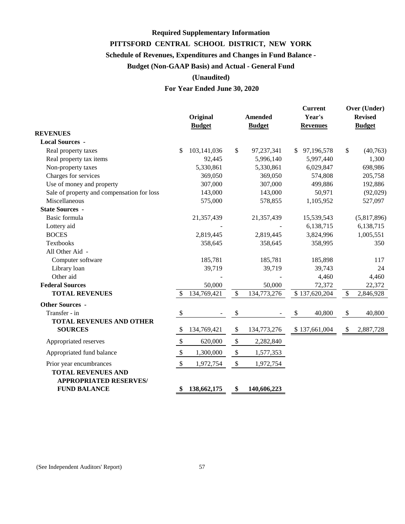## **Required Supplementary Information PITTSFORD CENTRAL SCHOOL DISTRICT, NEW YORK Schedule of Revenues, Expenditures and Changes in Fund Balance - Budget (Non-GAAP Basis) and Actual - General Fund**

### **(Unaudited)**

### **For Year Ended June 30, 2020**

| <b>Revised</b><br>Original<br>Amended<br>Year's<br><b>Budget</b><br><b>Budget</b><br><b>Budget</b><br><b>Revenues</b><br><b>REVENUES</b><br><b>Local Sources -</b><br>\$<br>\$<br>\$<br>103,141,036<br>97,237,341<br>\$97,196,578<br>(40,763)<br>Real property taxes<br>Real property tax items<br>92,445<br>5,996,140<br>5,997,440<br>1,300<br>Non-property taxes<br>5,330,861<br>5,330,861<br>6,029,847<br>698,986<br>Charges for services<br>369,050<br>369,050<br>574,808<br>205,758<br>Use of money and property<br>499,886<br>307,000<br>307,000<br>192,886<br>Sale of property and compensation for loss<br>50,971<br>143,000<br>143,000<br>(92,029)<br>Miscellaneous<br>575,000<br>578,855<br>1,105,952<br>527,097<br><b>State Sources -</b><br>Basic formula<br>21,357,439<br>21,357,439<br>15,539,543<br>(5,817,896)<br>Lottery aid<br>6,138,715<br>6,138,715<br><b>BOCES</b><br>2,819,445<br>2,819,445<br>3,824,996<br>1,005,551<br><b>Textbooks</b><br>358,645<br>358,645<br>358,995<br>350<br>All Other Aid -<br>Computer software<br>185,781<br>185,781<br>185,898<br>117<br>Library loan<br>39,719<br>39,743<br>24<br>39,719<br>Other aid<br>4,460<br>4,460<br><b>Federal Sources</b><br>50,000<br>50,000<br>72,372<br>22,372<br>$\mathcal{S}$<br><b>TOTAL REVENUES</b><br>134,769,421<br>134,773,276<br>\$137,620,204<br>\$<br>2,846,928<br>-S<br><b>Other Sources -</b><br>Transfer - in<br>\$<br>\$<br>\$<br>40,800<br>$\boldsymbol{\mathsf{S}}$<br>40,800<br><b>TOTAL REVENUES AND OTHER</b><br>\$137,661,004 |                |                   |                   | <b>Current</b> | Over (Under)              |           |  |  |  |
|----------------------------------------------------------------------------------------------------------------------------------------------------------------------------------------------------------------------------------------------------------------------------------------------------------------------------------------------------------------------------------------------------------------------------------------------------------------------------------------------------------------------------------------------------------------------------------------------------------------------------------------------------------------------------------------------------------------------------------------------------------------------------------------------------------------------------------------------------------------------------------------------------------------------------------------------------------------------------------------------------------------------------------------------------------------------------------------------------------------------------------------------------------------------------------------------------------------------------------------------------------------------------------------------------------------------------------------------------------------------------------------------------------------------------------------------------------------------------------------------------------------------------------|----------------|-------------------|-------------------|----------------|---------------------------|-----------|--|--|--|
|                                                                                                                                                                                                                                                                                                                                                                                                                                                                                                                                                                                                                                                                                                                                                                                                                                                                                                                                                                                                                                                                                                                                                                                                                                                                                                                                                                                                                                                                                                                                  |                |                   |                   |                |                           |           |  |  |  |
|                                                                                                                                                                                                                                                                                                                                                                                                                                                                                                                                                                                                                                                                                                                                                                                                                                                                                                                                                                                                                                                                                                                                                                                                                                                                                                                                                                                                                                                                                                                                  |                |                   |                   |                |                           |           |  |  |  |
|                                                                                                                                                                                                                                                                                                                                                                                                                                                                                                                                                                                                                                                                                                                                                                                                                                                                                                                                                                                                                                                                                                                                                                                                                                                                                                                                                                                                                                                                                                                                  |                |                   |                   |                |                           |           |  |  |  |
|                                                                                                                                                                                                                                                                                                                                                                                                                                                                                                                                                                                                                                                                                                                                                                                                                                                                                                                                                                                                                                                                                                                                                                                                                                                                                                                                                                                                                                                                                                                                  |                |                   |                   |                |                           |           |  |  |  |
|                                                                                                                                                                                                                                                                                                                                                                                                                                                                                                                                                                                                                                                                                                                                                                                                                                                                                                                                                                                                                                                                                                                                                                                                                                                                                                                                                                                                                                                                                                                                  |                |                   |                   |                |                           |           |  |  |  |
|                                                                                                                                                                                                                                                                                                                                                                                                                                                                                                                                                                                                                                                                                                                                                                                                                                                                                                                                                                                                                                                                                                                                                                                                                                                                                                                                                                                                                                                                                                                                  |                |                   |                   |                |                           |           |  |  |  |
|                                                                                                                                                                                                                                                                                                                                                                                                                                                                                                                                                                                                                                                                                                                                                                                                                                                                                                                                                                                                                                                                                                                                                                                                                                                                                                                                                                                                                                                                                                                                  |                |                   |                   |                |                           |           |  |  |  |
|                                                                                                                                                                                                                                                                                                                                                                                                                                                                                                                                                                                                                                                                                                                                                                                                                                                                                                                                                                                                                                                                                                                                                                                                                                                                                                                                                                                                                                                                                                                                  |                |                   |                   |                |                           |           |  |  |  |
|                                                                                                                                                                                                                                                                                                                                                                                                                                                                                                                                                                                                                                                                                                                                                                                                                                                                                                                                                                                                                                                                                                                                                                                                                                                                                                                                                                                                                                                                                                                                  |                |                   |                   |                |                           |           |  |  |  |
|                                                                                                                                                                                                                                                                                                                                                                                                                                                                                                                                                                                                                                                                                                                                                                                                                                                                                                                                                                                                                                                                                                                                                                                                                                                                                                                                                                                                                                                                                                                                  |                |                   |                   |                |                           |           |  |  |  |
|                                                                                                                                                                                                                                                                                                                                                                                                                                                                                                                                                                                                                                                                                                                                                                                                                                                                                                                                                                                                                                                                                                                                                                                                                                                                                                                                                                                                                                                                                                                                  |                |                   |                   |                |                           |           |  |  |  |
|                                                                                                                                                                                                                                                                                                                                                                                                                                                                                                                                                                                                                                                                                                                                                                                                                                                                                                                                                                                                                                                                                                                                                                                                                                                                                                                                                                                                                                                                                                                                  |                |                   |                   |                |                           |           |  |  |  |
|                                                                                                                                                                                                                                                                                                                                                                                                                                                                                                                                                                                                                                                                                                                                                                                                                                                                                                                                                                                                                                                                                                                                                                                                                                                                                                                                                                                                                                                                                                                                  |                |                   |                   |                |                           |           |  |  |  |
|                                                                                                                                                                                                                                                                                                                                                                                                                                                                                                                                                                                                                                                                                                                                                                                                                                                                                                                                                                                                                                                                                                                                                                                                                                                                                                                                                                                                                                                                                                                                  |                |                   |                   |                |                           |           |  |  |  |
|                                                                                                                                                                                                                                                                                                                                                                                                                                                                                                                                                                                                                                                                                                                                                                                                                                                                                                                                                                                                                                                                                                                                                                                                                                                                                                                                                                                                                                                                                                                                  |                |                   |                   |                |                           |           |  |  |  |
|                                                                                                                                                                                                                                                                                                                                                                                                                                                                                                                                                                                                                                                                                                                                                                                                                                                                                                                                                                                                                                                                                                                                                                                                                                                                                                                                                                                                                                                                                                                                  |                |                   |                   |                |                           |           |  |  |  |
|                                                                                                                                                                                                                                                                                                                                                                                                                                                                                                                                                                                                                                                                                                                                                                                                                                                                                                                                                                                                                                                                                                                                                                                                                                                                                                                                                                                                                                                                                                                                  |                |                   |                   |                |                           |           |  |  |  |
|                                                                                                                                                                                                                                                                                                                                                                                                                                                                                                                                                                                                                                                                                                                                                                                                                                                                                                                                                                                                                                                                                                                                                                                                                                                                                                                                                                                                                                                                                                                                  |                |                   |                   |                |                           |           |  |  |  |
|                                                                                                                                                                                                                                                                                                                                                                                                                                                                                                                                                                                                                                                                                                                                                                                                                                                                                                                                                                                                                                                                                                                                                                                                                                                                                                                                                                                                                                                                                                                                  |                |                   |                   |                |                           |           |  |  |  |
|                                                                                                                                                                                                                                                                                                                                                                                                                                                                                                                                                                                                                                                                                                                                                                                                                                                                                                                                                                                                                                                                                                                                                                                                                                                                                                                                                                                                                                                                                                                                  |                |                   |                   |                |                           |           |  |  |  |
|                                                                                                                                                                                                                                                                                                                                                                                                                                                                                                                                                                                                                                                                                                                                                                                                                                                                                                                                                                                                                                                                                                                                                                                                                                                                                                                                                                                                                                                                                                                                  |                |                   |                   |                |                           |           |  |  |  |
|                                                                                                                                                                                                                                                                                                                                                                                                                                                                                                                                                                                                                                                                                                                                                                                                                                                                                                                                                                                                                                                                                                                                                                                                                                                                                                                                                                                                                                                                                                                                  |                |                   |                   |                |                           |           |  |  |  |
|                                                                                                                                                                                                                                                                                                                                                                                                                                                                                                                                                                                                                                                                                                                                                                                                                                                                                                                                                                                                                                                                                                                                                                                                                                                                                                                                                                                                                                                                                                                                  |                |                   |                   |                |                           |           |  |  |  |
|                                                                                                                                                                                                                                                                                                                                                                                                                                                                                                                                                                                                                                                                                                                                                                                                                                                                                                                                                                                                                                                                                                                                                                                                                                                                                                                                                                                                                                                                                                                                  |                |                   |                   |                |                           |           |  |  |  |
|                                                                                                                                                                                                                                                                                                                                                                                                                                                                                                                                                                                                                                                                                                                                                                                                                                                                                                                                                                                                                                                                                                                                                                                                                                                                                                                                                                                                                                                                                                                                  |                |                   |                   |                |                           |           |  |  |  |
|                                                                                                                                                                                                                                                                                                                                                                                                                                                                                                                                                                                                                                                                                                                                                                                                                                                                                                                                                                                                                                                                                                                                                                                                                                                                                                                                                                                                                                                                                                                                  | <b>SOURCES</b> | \$<br>134,769,421 | \$<br>134,773,276 |                | $\boldsymbol{\mathsf{S}}$ | 2,887,728 |  |  |  |
| $\boldsymbol{\mathsf{S}}$<br>$\$\,$<br>620,000<br>2,282,840<br>Appropriated reserves                                                                                                                                                                                                                                                                                                                                                                                                                                                                                                                                                                                                                                                                                                                                                                                                                                                                                                                                                                                                                                                                                                                                                                                                                                                                                                                                                                                                                                             |                |                   |                   |                |                           |           |  |  |  |
| $\mathbb{S}$<br>$\mathbb{S}$<br>1,300,000<br>1,577,353<br>Appropriated fund balance                                                                                                                                                                                                                                                                                                                                                                                                                                                                                                                                                                                                                                                                                                                                                                                                                                                                                                                                                                                                                                                                                                                                                                                                                                                                                                                                                                                                                                              |                |                   |                   |                |                           |           |  |  |  |
| $\$\,$<br>$\sqrt[6]{\frac{1}{2}}$<br>Prior year encumbrances<br>1,972,754<br>1,972,754                                                                                                                                                                                                                                                                                                                                                                                                                                                                                                                                                                                                                                                                                                                                                                                                                                                                                                                                                                                                                                                                                                                                                                                                                                                                                                                                                                                                                                           |                |                   |                   |                |                           |           |  |  |  |
| <b>TOTAL REVENUES AND</b>                                                                                                                                                                                                                                                                                                                                                                                                                                                                                                                                                                                                                                                                                                                                                                                                                                                                                                                                                                                                                                                                                                                                                                                                                                                                                                                                                                                                                                                                                                        |                |                   |                   |                |                           |           |  |  |  |
| <b>APPROPRIATED RESERVES/</b>                                                                                                                                                                                                                                                                                                                                                                                                                                                                                                                                                                                                                                                                                                                                                                                                                                                                                                                                                                                                                                                                                                                                                                                                                                                                                                                                                                                                                                                                                                    |                |                   |                   |                |                           |           |  |  |  |
| <b>FUND BALANCE</b><br>138,662,175<br>140,606,223<br>\$                                                                                                                                                                                                                                                                                                                                                                                                                                                                                                                                                                                                                                                                                                                                                                                                                                                                                                                                                                                                                                                                                                                                                                                                                                                                                                                                                                                                                                                                          |                |                   |                   |                |                           |           |  |  |  |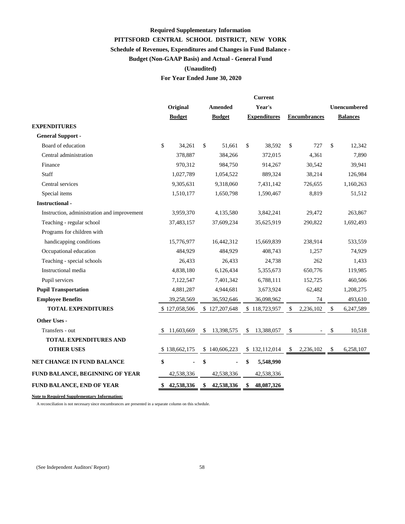### **PITTSFORD CENTRAL SCHOOL DISTRICT, NEW YORK For Year Ended June 30, 2020 Required Supplementary Information Schedule of Revenues, Expenditures and Changes in Fund Balance - Budget (Non-GAAP Basis) and Actual - General Fund (Unaudited)**

|                                             |     | Original      |    | Amended       | Year's              |                     |           |    | Unencumbered    |
|---------------------------------------------|-----|---------------|----|---------------|---------------------|---------------------|-----------|----|-----------------|
|                                             |     | <b>Budget</b> |    | <b>Budget</b> | <b>Expenditures</b> | <b>Encumbrances</b> |           |    | <b>Balances</b> |
| <b>EXPENDITURES</b>                         |     |               |    |               |                     |                     |           |    |                 |
| <b>General Support -</b>                    |     |               |    |               |                     |                     |           |    |                 |
| Board of education                          | \$  | 34,261        | \$ | 51.661        | \$<br>38,592        | \$                  | 727       | \$ | 12,342          |
| Central administration                      |     | 378,887       |    | 384,266       | 372,015             |                     | 4,361     |    | 7,890           |
| Finance                                     |     | 970,312       |    | 984,750       | 914,267             |                     | 30,542    |    | 39,941          |
| Staff                                       |     | 1,027,789     |    | 1,054,522     | 889,324             |                     | 38,214    |    | 126,984         |
| Central services                            |     | 9,305,631     |    | 9,318,060     | 7,431,142           |                     | 726,655   |    | 1,160,263       |
| Special items                               |     | 1,510,177     |    | 1,650,798     | 1,590,467           |                     | 8,819     |    | 51,512          |
| <b>Instructional-</b>                       |     |               |    |               |                     |                     |           |    |                 |
| Instruction, administration and improvement |     | 3,959,370     |    | 4,135,580     | 3,842,241           |                     | 29,472    |    | 263,867         |
| Teaching - regular school                   |     | 37,483,157    |    | 37,609,234    | 35,625,919          | 290,822             |           |    | 1,692,493       |
| Programs for children with                  |     |               |    |               |                     |                     |           |    |                 |
| handicapping conditions                     |     | 15,776,977    |    | 16,442,312    | 15,669,839          |                     | 238,914   |    | 533,559         |
| Occupational education                      |     | 484,929       |    | 484,929       | 408,743             | 1,257               |           |    | 74,929          |
| Teaching - special schools                  |     | 26,433        |    | 26,433        | 24,738              |                     | 262       |    | 1,433           |
| Instructional media                         |     | 4,838,180     |    | 6,126,434     | 5,355,673           |                     | 650,776   |    | 119,985         |
| Pupil services                              |     | 7,122,547     |    | 7,401,342     | 6,788,111           |                     | 152,725   |    | 460,506         |
| <b>Pupil Transportation</b>                 |     | 4,881,287     |    | 4,944,681     | 3,673,924           |                     | 62,482    |    | 1,208,275       |
| <b>Employee Benefits</b>                    |     | 39,258,569    |    | 36,592,646    | 36,098,962          |                     | 74        |    | 493,610         |
| <b>TOTAL EXPENDITURES</b>                   |     | \$127,058,506 |    | \$127,207,648 | \$118,723,957       | \$                  | 2,236,102 | \$ | 6,247,589       |
| <b>Other Uses -</b>                         |     |               |    |               |                     |                     |           |    |                 |
| Transfers - out                             | \$. | 11,603,669    | \$ | 13,398,575    | \$<br>13,388,057    | \$                  |           | \$ | 10,518          |
| <b>TOTAL EXPENDITURES AND</b>               |     |               |    |               |                     |                     |           |    |                 |
| <b>OTHER USES</b>                           |     | \$138,662,175 |    | \$140,606,223 | \$132,112,014       | \$                  | 2,236,102 | \$ | 6,258,107       |
| NET CHANGE IN FUND BALANCE                  | \$  |               | \$ |               | \$<br>5,548,990     |                     |           |    |                 |
| FUND BALANCE, BEGINNING OF YEAR             |     | 42,538,336    |    | 42,538,336    | 42,538,336          |                     |           |    |                 |
| FUND BALANCE, END OF YEAR                   | \$  | 42,538,336    | \$ | 42,538,336    | \$<br>48,087,326    |                     |           |    |                 |

**Note to Required Supplementary Information:**

A reconciliation is not necessary since encumbrances are presented in a separate column on this schedule.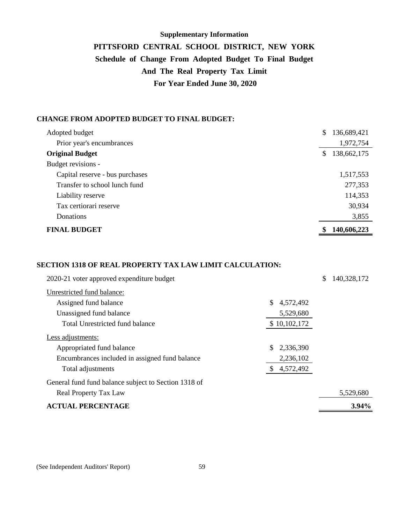## **Supplementary Information PITTSFORD CENTRAL SCHOOL DISTRICT, NEW YORK Schedule of Change From Adopted Budget To Final Budget And The Real Property Tax Limit For Year Ended June 30, 2020**

### **CHANGE FROM ADOPTED BUDGET TO FINAL BUDGET:**

| Adopted budget                  | S  | 136,689,421 |
|---------------------------------|----|-------------|
| Prior year's encumbrances       |    | 1,972,754   |
| <b>Original Budget</b>          | \$ | 138,662,175 |
| Budget revisions -              |    |             |
| Capital reserve - bus purchases |    | 1,517,553   |
| Transfer to school lunch fund   |    | 277,353     |
| Liability reserve               |    | 114,353     |
| Tax certiorari reserve          |    | 30,934      |
| Donations                       |    | 3,855       |
| <b>FINAL BUDGET</b>             |    | 140,606,223 |

#### **SECTION 1318 OF REAL PROPERTY TAX LAW LIMIT CALCULATION:**

| 2020-21 voter approved expenditure budget            |                 | \$<br>140,328,172 |
|------------------------------------------------------|-----------------|-------------------|
| Unrestricted fund balance:                           |                 |                   |
| Assigned fund balance                                | \$4,572,492     |                   |
| Unassigned fund balance                              | 5,529,680       |                   |
| Total Unrestricted fund balance                      | \$10,102,172    |                   |
| Less adjustments:                                    |                 |                   |
| Appropriated fund balance                            | 2,336,390<br>S. |                   |
| Encumbrances included in assigned fund balance       | 2,236,102       |                   |
| Total adjustments                                    | 4,572,492<br>S. |                   |
| General fund fund balance subject to Section 1318 of |                 |                   |
| Real Property Tax Law                                |                 | 5,529,680         |
| <b>ACTUAL PERCENTAGE</b>                             |                 | 3.94%             |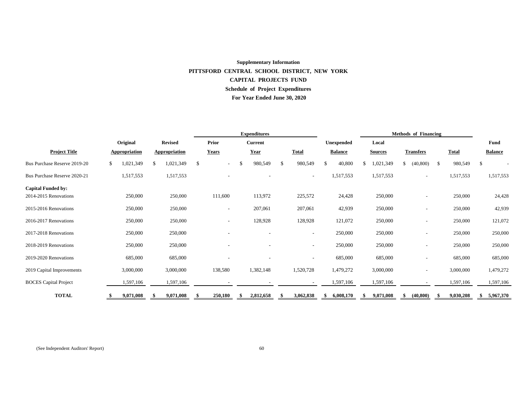#### **PITTSFORD CENTRAL SCHOOL DISTRICT, NEW YORK CAPITAL PROJECTS FUND Schedule of Project Expenditures For Year Ended June 30, 2020 Supplementary Information**

|                              |                |                |                                |    | <b>Expenditures</b>      |               |                          |               |                   |  |                | <b>Methods of Financing</b> |                          |            |              |                            |  |  |  |  |  |  |  |  |  |  |  |  |          |     |           |    |         |    |  |
|------------------------------|----------------|----------------|--------------------------------|----|--------------------------|---------------|--------------------------|---------------|-------------------|--|----------------|-----------------------------|--------------------------|------------|--------------|----------------------------|--|--|--|--|--|--|--|--|--|--|--|--|----------|-----|-----------|----|---------|----|--|
|                              | Original       | <b>Revised</b> | Prior                          |    | <b>Current</b>           |               |                          |               | <b>Unexpended</b> |  | Local          |                             |                          |            |              | Fund                       |  |  |  |  |  |  |  |  |  |  |  |  |          |     |           |    |         |    |  |
| <b>Project Title</b>         | Appropriation  | Appropriation  | Years                          |    | Year                     |               | Total                    |               | <b>Balance</b>    |  | <b>Sources</b> | <b>Transfers</b>            |                          |            | <b>Total</b> | <b>Balance</b>             |  |  |  |  |  |  |  |  |  |  |  |  |          |     |           |    |         |    |  |
| Bus Purchase Reserve 2019-20 | \$<br>,021,349 | 1,021,349      | \$<br>$\overline{\phantom{a}}$ | -S | 980,549                  | S.            | 980,549                  |               | 40,800<br>S       |  |                |                             |                          |            |              |                            |  |  |  |  |  |  |  |  |  |  |  |  | ,021,349 | \$. | (40, 800) | \$ | 980,549 | \$ |  |
| Bus Purchase Reserve 2020-21 | 1,517,553      | 1,517,553      |                                |    | $\overline{\phantom{a}}$ |               | $\sim$                   |               | 1,517,553         |  | 1,517,553      |                             | $\overline{\phantom{a}}$ |            | 1,517,553    | 1,517,553                  |  |  |  |  |  |  |  |  |  |  |  |  |          |     |           |    |         |    |  |
| <b>Capital Funded by:</b>    |                |                |                                |    |                          |               |                          |               |                   |  |                |                             |                          |            |              |                            |  |  |  |  |  |  |  |  |  |  |  |  |          |     |           |    |         |    |  |
| 2014-2015 Renovations        | 250,000        | 250,000        | 111,600                        |    | 113,972                  |               | 225,572                  |               | 24,428            |  | 250,000        |                             | $\tilde{\phantom{a}}$    |            | 250,000      | 24,428                     |  |  |  |  |  |  |  |  |  |  |  |  |          |     |           |    |         |    |  |
| 2015-2016 Renovations        | 250,000        | 250,000        | $\overline{\phantom{a}}$       |    | 207,061                  |               | 207,061                  |               | 42,939            |  | 250,000        |                             | $\overline{\phantom{a}}$ |            | 250,000      | 42,939                     |  |  |  |  |  |  |  |  |  |  |  |  |          |     |           |    |         |    |  |
| 2016-2017 Renovations        | 250,000        | 250,000        | $\overline{\phantom{a}}$       |    | 128,928                  |               | 128,928                  |               | 121,072           |  | 250,000        |                             |                          |            | 250,000      | 121,072                    |  |  |  |  |  |  |  |  |  |  |  |  |          |     |           |    |         |    |  |
| 2017-2018 Renovations        | 250,000        | 250,000        |                                |    |                          |               | $\overline{\phantom{a}}$ |               | 250,000           |  | 250,000        |                             | $\overline{\phantom{a}}$ |            | 250,000      | 250,000                    |  |  |  |  |  |  |  |  |  |  |  |  |          |     |           |    |         |    |  |
| 2018-2019 Renovations        | 250,000        | 250,000        |                                |    |                          |               | $\overline{\phantom{a}}$ |               | 250,000           |  | 250,000        |                             | $\overline{\phantom{a}}$ |            | 250,000      | 250,000                    |  |  |  |  |  |  |  |  |  |  |  |  |          |     |           |    |         |    |  |
| 2019-2020 Renovations        | 685,000        | 685,000        |                                |    |                          |               | $\overline{\phantom{a}}$ |               | 685,000           |  | 685,000        |                             | $\overline{\phantom{a}}$ |            | 685,000      | 685,000                    |  |  |  |  |  |  |  |  |  |  |  |  |          |     |           |    |         |    |  |
| 2019 Capital Improvements    | 3,000,000      | 3,000,000      | 138,580                        |    | 1,382,148                |               | 1,520,728                |               | 1,479,272         |  | 3,000,000      |                             | $\tilde{\phantom{a}}$    |            | 3,000,000    | 1,479,272                  |  |  |  |  |  |  |  |  |  |  |  |  |          |     |           |    |         |    |  |
| <b>BOCES</b> Capital Project | 1,597,106      | 1,597,106      |                                |    |                          |               | $\overline{\phantom{a}}$ |               | 1,597,106         |  | 1,597,106      |                             |                          |            | 1,597,106    | 1,597,106                  |  |  |  |  |  |  |  |  |  |  |  |  |          |     |           |    |         |    |  |
| <b>TOTAL</b>                 | 9,071,008      | 9,071,008      | 250,180                        |    | 2,812,658                | $\rightarrow$ | 3,062,838                | $\rightarrow$ | 6,008,170         |  | 9,071,008      |                             | (40, 800)                | <u>_\$</u> | 9,030,208    | 5,967,370<br>$\frac{S}{2}$ |  |  |  |  |  |  |  |  |  |  |  |  |          |     |           |    |         |    |  |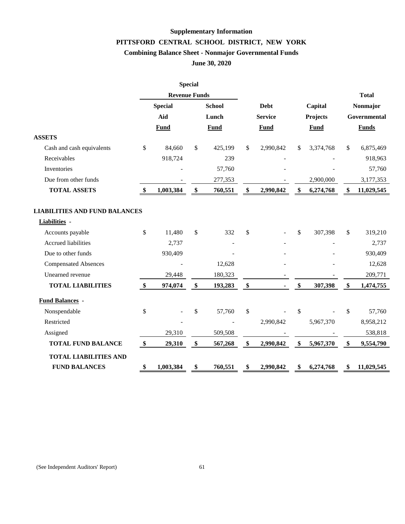### **Supplementary Information PITTSFORD CENTRAL SCHOOL DISTRICT, NEW YORK Combining Balance Sheet - Nonmajor Governmental Funds**

### **June 30, 2020**

|                                      | <b>Special</b>          |             |               |         |             |                |             |           |              |              |  |
|--------------------------------------|-------------------------|-------------|---------------|---------|-------------|----------------|-------------|-----------|--------------|--------------|--|
|                                      | <b>Revenue Funds</b>    |             |               |         |             |                |             |           | <b>Total</b> |              |  |
|                                      | <b>Special</b>          |             | <b>School</b> |         | <b>Debt</b> |                | Capital     |           | Nonmajor     |              |  |
|                                      |                         | Aid         |               | Lunch   |             | <b>Service</b> |             | Projects  |              | Governmental |  |
|                                      |                         | <b>Fund</b> | <b>Fund</b>   |         | Fund        |                | <b>Fund</b> |           | <b>Funds</b> |              |  |
| <b>ASSETS</b>                        |                         |             |               |         |             |                |             |           |              |              |  |
| Cash and cash equivalents            | \$                      | 84,660      | \$            | 425,199 | \$          | 2,990,842      | \$          | 3,374,768 | \$           | 6,875,469    |  |
| Receivables                          |                         | 918,724     |               | 239     |             |                |             |           |              | 918,963      |  |
| Inventories                          |                         |             |               | 57,760  |             |                |             |           |              | 57,760       |  |
| Due from other funds                 |                         |             |               | 277,353 |             |                |             | 2,900,000 |              | 3,177,353    |  |
| <b>TOTAL ASSETS</b>                  | $\sqrt[6]{\frac{1}{2}}$ | 1,003,384   | \$            | 760,551 | \$          | 2,990,842      | \$          | 6,274,768 | \$           | 11,029,545   |  |
|                                      |                         |             |               |         |             |                |             |           |              |              |  |
| <b>LIABILITIES AND FUND BALANCES</b> |                         |             |               |         |             |                |             |           |              |              |  |
| <b>Liabilities</b> -                 |                         |             |               |         |             |                |             |           |              |              |  |
| Accounts payable                     | \$                      | 11,480      | \$            | 332     | \$          |                | \$          | 307,398   | \$           | 319,210      |  |
| Accrued liabilities                  |                         | 2,737       |               |         |             |                |             |           |              | 2,737        |  |
| Due to other funds                   |                         | 930,409     |               |         |             |                |             |           |              | 930,409      |  |
| <b>Compensated Absences</b>          |                         |             |               | 12,628  |             |                |             |           |              | 12,628       |  |
| Unearned revenue                     |                         | 29,448      |               | 180,323 |             |                |             |           |              | 209,771      |  |
| <b>TOTAL LIABILITIES</b>             | \$                      | 974,074     | \$            | 193,283 | \$          |                | \$          | 307,398   | \$           | 1,474,755    |  |
| <b>Fund Balances -</b>               |                         |             |               |         |             |                |             |           |              |              |  |
| Nonspendable                         | \$                      |             | \$            | 57,760  | \$          |                | \$          |           | \$           | 57,760       |  |
| Restricted                           |                         |             |               |         |             | 2,990,842      |             | 5,967,370 |              | 8,958,212    |  |
| Assigned                             |                         | 29,310      |               | 509,508 |             |                |             |           |              | 538,818      |  |
| <b>TOTAL FUND BALANCE</b>            | \$                      | 29,310      | \$            | 567,268 | \$          | 2,990,842      | \$          | 5,967,370 | \$           | 9,554,790    |  |
| <b>TOTAL LIABILITIES AND</b>         |                         |             |               |         |             |                |             |           |              |              |  |
| <b>FUND BALANCES</b>                 | \$                      | 1,003,384   | \$            | 760,551 | \$          | 2,990,842      | \$          | 6,274,768 | \$           | 11,029,545   |  |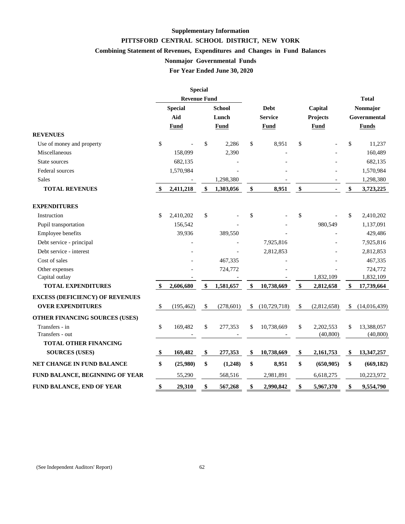### **Supplementary Information PITTSFORD CENTRAL SCHOOL DISTRICT, NEW YORK Combining Statement of Revenues, Expenditures and Changes in Fund Balances For Year Ended June 30, 2020 Nonmajor Governmental Funds**

|                                        | <b>Special</b><br><b>Revenue Fund</b> |             |               |             |             |                |               |             | <b>Total</b> |              |
|----------------------------------------|---------------------------------------|-------------|---------------|-------------|-------------|----------------|---------------|-------------|--------------|--------------|
|                                        | <b>Special</b>                        |             | <b>School</b> |             | <b>Debt</b> |                | Capital       |             | Nonmajor     |              |
|                                        |                                       | Aid         |               | Lunch       |             | <b>Service</b> |               | Projects    |              | Governmental |
|                                        |                                       | <b>Fund</b> |               | <b>Fund</b> |             | <b>Fund</b>    |               | <b>Fund</b> |              | <b>Funds</b> |
| <b>REVENUES</b>                        |                                       |             |               |             |             |                |               |             |              |              |
| Use of money and property              | \$                                    |             | \$            | 2,286       | \$          | 8,951          | \$            |             | \$           | 11,237       |
| Miscellaneous                          |                                       | 158,099     |               | 2,390       |             |                |               |             |              | 160,489      |
| State sources                          |                                       | 682,135     |               |             |             |                |               |             |              | 682,135      |
| Federal sources                        |                                       | 1,570,984   |               |             |             |                |               |             |              | 1,570,984    |
| <b>Sales</b>                           |                                       |             |               | 1,298,380   |             |                |               |             |              | 1,298,380    |
| <b>TOTAL REVENUES</b>                  |                                       | 2,411,218   | \$            | 1,303,056   | \$          | 8,951          | \$            |             | \$           | 3,723,225    |
| <b>EXPENDITURES</b>                    |                                       |             |               |             |             |                |               |             |              |              |
| Instruction                            | \$                                    | 2,410,202   | \$            |             | \$          |                | \$            |             | $\mathbb{S}$ | 2,410,202    |
| Pupil transportation                   |                                       | 156,542     |               |             |             |                |               | 980,549     |              | 1,137,091    |
| Employee benefits                      |                                       | 39,936      |               | 389,550     |             |                |               |             |              | 429,486      |
| Debt service - principal               |                                       |             |               |             |             | 7,925,816      |               |             |              | 7,925,816    |
| Debt service - interest                |                                       |             |               |             |             | 2,812,853      |               |             |              | 2,812,853    |
| Cost of sales                          |                                       |             |               | 467,335     |             |                |               |             |              | 467,335      |
| Other expenses                         |                                       |             |               | 724,772     |             |                |               |             |              | 724,772      |
| Capital outlay                         |                                       |             |               |             |             |                |               | 1,832,109   |              | 1,832,109    |
| <b>TOTAL EXPENDITURES</b>              |                                       | 2,606,680   | \$            | 1,581,657   | \$          | 10,738,669     | \$            | 2,812,658   | \$           | 17,739,664   |
| <b>EXCESS (DEFICIENCY) OF REVENUES</b> |                                       |             |               |             |             |                |               |             |              |              |
| <b>OVER EXPENDITURES</b>               | $\mathbb{S}$                          | (195, 462)  | \$            | (278, 601)  | \$          | (10,729,718)   | \$            | (2,812,658) | \$           | (14,016,439) |
| OTHER FINANCING SOURCES (USES)         |                                       |             |               |             |             |                |               |             |              |              |
| Transfers - in                         | \$                                    | 169,482     | \$            | 277,353     | \$          | 10,738,669     | \$            | 2,202,553   | \$           | 13,388,057   |
| Transfers - out                        |                                       |             |               |             |             |                |               | (40, 800)   |              | (40, 800)    |
| <b>TOTAL OTHER FINANCING</b>           |                                       |             |               |             |             |                |               |             |              |              |
| <b>SOURCES (USES)</b>                  | $\frac{1}{2}$                         | 169,482     | $\frac{1}{2}$ | 277,353     | \$          | 10,738,669     | $\frac{1}{2}$ | 2,161,753   | -\$          | 13,347,257   |
| NET CHANGE IN FUND BALANCE             | \$                                    | (25,980)    | \$            | (1,248)     | \$          | 8,951          | \$            | (650, 905)  | \$           | (669, 182)   |
| FUND BALANCE, BEGINNING OF YEAR        |                                       | 55,290      |               | 568,516     |             | 2,981,891      |               | 6,618,275   |              | 10,223,972   |
| <b>FUND BALANCE, END OF YEAR</b>       | \$                                    | 29,310      | \$            | 567,268     | \$          | 2,990,842      | \$            | 5,967,370   | \$           | 9,554,790    |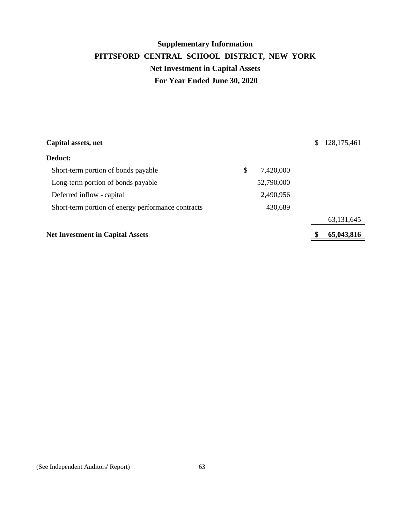## **PITTSFORD CENTRAL SCHOOL DISTRICT, NEW YORK Net Investment in Capital Assets For Year Ended June 30, 2020 Supplementary Information**

| Capital assets, net                                |                 | S | 128, 175, 461 |
|----------------------------------------------------|-----------------|---|---------------|
| <b>Deduct:</b>                                     |                 |   |               |
| Short-term portion of bonds payable                | \$<br>7,420,000 |   |               |
| Long-term portion of bonds payable                 | 52,790,000      |   |               |
| Deferred inflow - capital                          | 2,490,956       |   |               |
| Short-term portion of energy performance contracts | 430,689         |   |               |
|                                                    |                 |   | 63, 131, 645  |
| <b>Net Investment in Capital Assets</b>            |                 |   | 65,043,816    |
|                                                    |                 |   |               |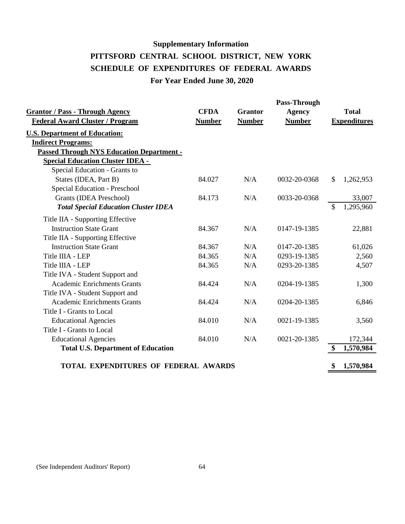## **Supplementary Information PITTSFORD CENTRAL SCHOOL DISTRICT, NEW YORK SCHEDULE OF EXPENDITURES OF FEDERAL AWARDS For Year Ended June 30, 2020**

|                                                  |               |                | Pass-Through  |                            |  |  |
|--------------------------------------------------|---------------|----------------|---------------|----------------------------|--|--|
| <b>Grantor / Pass - Through Agency</b>           | <b>CFDA</b>   | <b>Grantor</b> | <b>Agency</b> | <b>Total</b>               |  |  |
| <b>Federal Award Cluster / Program</b>           | <b>Number</b> | <b>Number</b>  | <b>Number</b> | <b>Expenditures</b>        |  |  |
| <b>U.S. Department of Education:</b>             |               |                |               |                            |  |  |
| <b>Indirect Programs:</b>                        |               |                |               |                            |  |  |
| <b>Passed Through NYS Education Department -</b> |               |                |               |                            |  |  |
| <b>Special Education Cluster IDEA -</b>          |               |                |               |                            |  |  |
| Special Education - Grants to                    |               |                |               |                            |  |  |
| States (IDEA, Part B)                            | 84.027        | N/A            | 0032-20-0368  | $\mathbb{S}$<br>1,262,953  |  |  |
| Special Education - Preschool                    |               |                |               |                            |  |  |
| <b>Grants (IDEA Preschool)</b>                   | 84.173        | N/A            | 0033-20-0368  | 33,007                     |  |  |
| <b>Total Special Education Cluster IDEA</b>      |               |                |               | 1,295,960<br>$\mathcal{S}$ |  |  |
| Title IIA - Supporting Effective                 |               |                |               |                            |  |  |
| <b>Instruction State Grant</b>                   | 84.367        | N/A            | 0147-19-1385  | 22,881                     |  |  |
| Title IIA - Supporting Effective                 |               |                |               |                            |  |  |
| <b>Instruction State Grant</b>                   | 84.367        | N/A            | 0147-20-1385  | 61,026                     |  |  |
| Title IIIA - LEP                                 | 84.365        | N/A            | 0293-19-1385  | 2,560                      |  |  |
| Title IIIA - LEP                                 | 84.365        | N/A            | 0293-20-1385  | 4,507                      |  |  |
| Title IVA - Student Support and                  |               |                |               |                            |  |  |
| <b>Academic Enrichments Grants</b>               | 84.424        | N/A            | 0204-19-1385  | 1,300                      |  |  |
| Title IVA - Student Support and                  |               |                |               |                            |  |  |
| <b>Academic Enrichments Grants</b>               | 84.424        | N/A            | 0204-20-1385  | 6,846                      |  |  |
| Title I - Grants to Local                        |               |                |               |                            |  |  |
| <b>Educational Agencies</b>                      | 84.010        | N/A            | 0021-19-1385  | 3,560                      |  |  |
| Title I - Grants to Local                        |               |                |               |                            |  |  |
| <b>Educational Agencies</b>                      | 84.010        | N/A            | 0021-20-1385  | 172,344                    |  |  |
| <b>Total U.S. Department of Education</b>        |               |                |               | 1,570,984<br>$\mathbf{\$}$ |  |  |
|                                                  |               |                |               |                            |  |  |
| TOTAL EXPENDITURES OF FEDERAL AWARDS             |               |                |               | 1,570,984<br>\$            |  |  |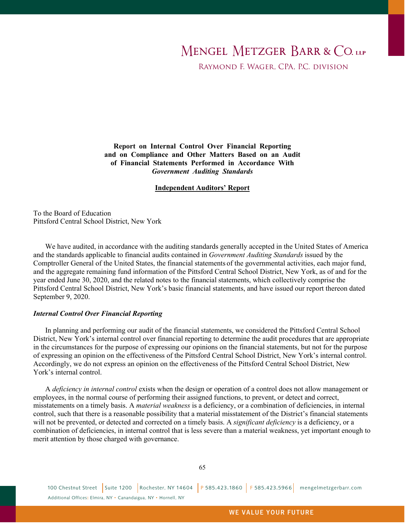# MENGEL METZGER BARR & CO. LLP

Raymond F. Wager, CPA, P.C. division

**Report on Internal Control Over Financial Reporting and on Compliance and Other Matters Based on an Audit of Financial Statements Performed in Accordance With** *Government Auditing Standards*

#### **Independent Auditors' Report**

To the Board of Education Pittsford Central School District, New York

We have audited, in accordance with the auditing standards generally accepted in the United States of America and the standards applicable to financial audits contained in *Government Auditing Standards* issued by the Comptroller General of the United States, the financial statements of the governmental activities, each major fund, and the aggregate remaining fund information of the Pittsford Central School District, New York, as of and for the year ended June 30, 2020, and the related notes to the financial statements, which collectively comprise the Pittsford Central School District, New York's basic financial statements, and have issued our report thereon dated September 9, 2020.

#### *Internal Control Over Financial Reporting*

In planning and performing our audit of the financial statements, we considered the Pittsford Central School District, New York's internal control over financial reporting to determine the audit procedures that are appropriate in the circumstances for the purpose of expressing our opinions on the financial statements, but not for the purpose of expressing an opinion on the effectiveness of the Pittsford Central School District, New York's internal control. Accordingly, we do not express an opinion on the effectiveness of the Pittsford Central School District, New York's internal control.

A *deficiency in internal control* exists when the design or operation of a control does not allow management or employees, in the normal course of performing their assigned functions, to prevent, or detect and correct, misstatements on a timely basis. A *material weakness* is a deficiency, or a combination of deficiencies, in internal control, such that there is a reasonable possibility that a material misstatement of the District's financial statements will not be prevented, or detected and corrected on a timely basis. A *significant deficiency* is a deficiency, or a combination of deficiencies, in internal control that is less severe than a material weakness, yet important enough to merit attention by those charged with governance.

100 Chestnut Street Suite 1200 Rochester, NY 14604 P 585.423.1860 F 585.423.5966 mengelmetzgerbarr.com Additional Offices**:** Elmira, NY • Canandaigua, NY • Hornell, NY